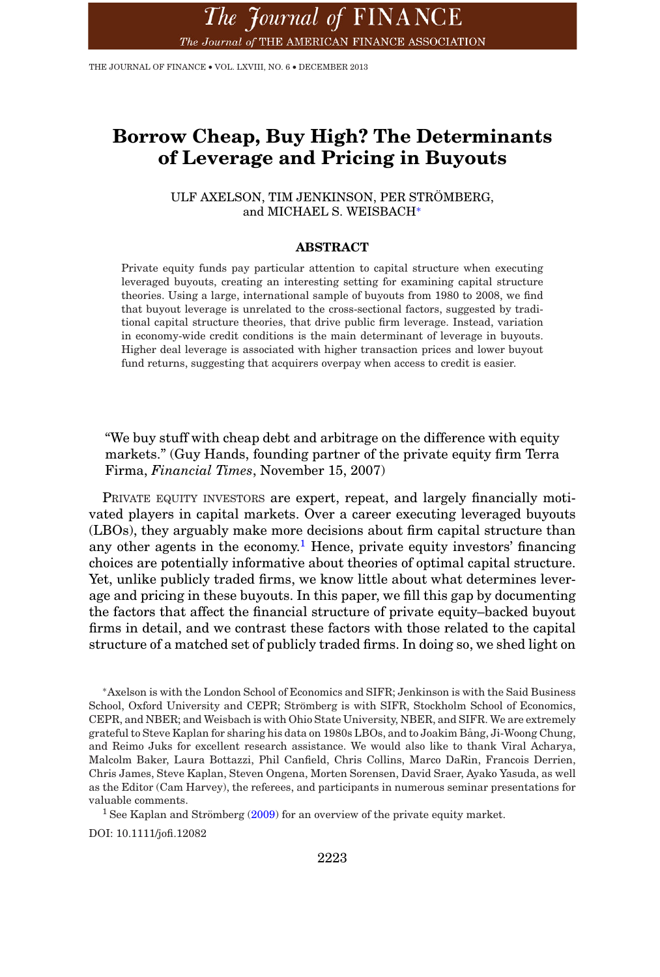THE JOURNAL OF FINANCE • VOL. LXVIII, NO. 6 • DECEMBER 2013

# **Borrow Cheap, Buy High? The Determinants of Leverage and Pricing in Buyouts**

ULF AXELSON, TIM JENKINSON, PER STRÖMBERG, and MICHAEL S. WEISBACH[∗](#page-0-0)

#### **ABSTRACT**

Private equity funds pay particular attention to capital structure when executing leveraged buyouts, creating an interesting setting for examining capital structure theories. Using a large, international sample of buyouts from 1980 to 2008, we find that buyout leverage is unrelated to the cross-sectional factors, suggested by traditional capital structure theories, that drive public firm leverage. Instead, variation in economy-wide credit conditions is the main determinant of leverage in buyouts. Higher deal leverage is associated with higher transaction prices and lower buyout fund returns, suggesting that acquirers overpay when access to credit is easier.

"We buy stuff with cheap debt and arbitrage on the difference with equity markets." (Guy Hands, founding partner of the private equity firm Terra Firma, *Financial Times*, November 15, 2007)

PRIVATE EQUITY INVESTORS are expert, repeat, and largely financially motivated players in capital markets. Over a career executing leveraged buyouts (LBOs), they arguably make more decisions about firm capital structure than any other agents in the economy.<sup>1</sup> Hence, private equity investors' financing choices are potentially informative about theories of optimal capital structure. Yet, unlike publicly traded firms, we know little about what determines leverage and pricing in these buyouts. In this paper, we fill this gap by documenting the factors that affect the financial structure of private equity–backed buyout firms in detail, and we contrast these factors with those related to the capital structure of a matched set of publicly traded firms. In doing so, we shed light on

<span id="page-0-0"></span>∗Axelson is with the London School of Economics and SIFR; Jenkinson is with the Said Business School, Oxford University and CEPR; Strömberg is with SIFR, Stockholm School of Economics, CEPR, and NBER; and Weisbach is with Ohio State University, NBER, and SIFR. We are extremely grateful to Steve Kaplan for sharing his data on 1980s LBOs, and to Joakim Bång, Ji-Woong Chung, and Reimo Juks for excellent research assistance. We would also like to thank Viral Acharya, Malcolm Baker, Laura Bottazzi, Phil Canfield, Chris Collins, Marco DaRin, Francois Derrien, Chris James, Steve Kaplan, Steven Ongena, Morten Sorensen, David Sraer, Ayako Yasuda, as well as the Editor (Cam Harvey), the referees, and participants in numerous seminar presentations for valuable comments.

<span id="page-0-1"></span><sup>1</sup> See Kaplan and Strömberg ([2009\)](#page-43-0) for an overview of the private equity market.

DOI: 10.1111/jofi.12082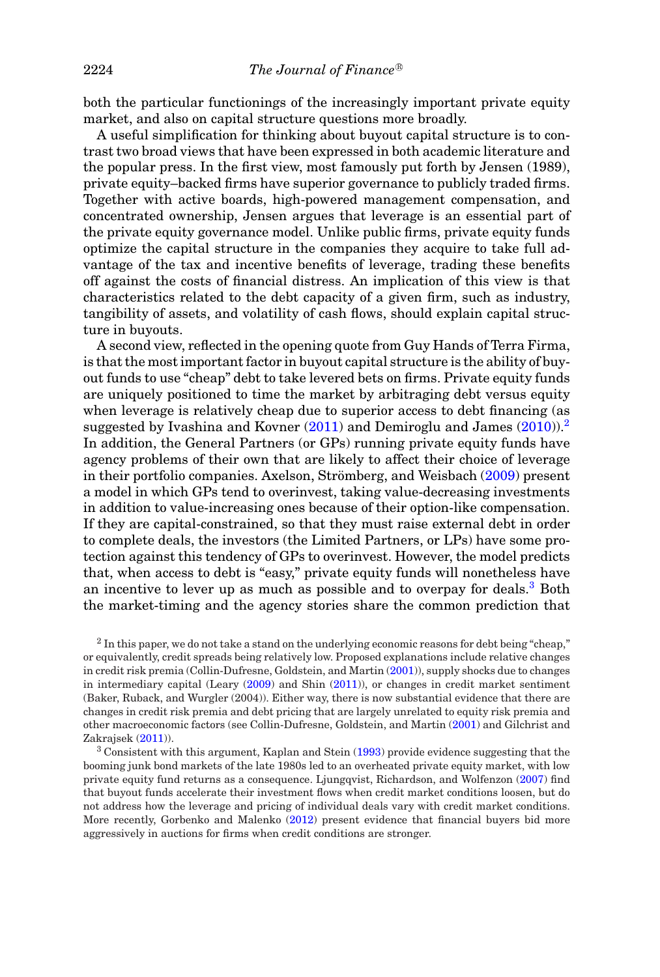both the particular functionings of the increasingly important private equity market, and also on capital structure questions more broadly.

A useful simplification for thinking about buyout capital structure is to contrast two broad views that have been expressed in both academic literature and the popular press. In the first view, most famously put forth by Jensen (1989), private equity–backed firms have superior governance to publicly traded firms. Together with active boards, high-powered management compensation, and concentrated ownership, Jensen argues that leverage is an essential part of the private equity governance model. Unlike public firms, private equity funds optimize the capital structure in the companies they acquire to take full advantage of the tax and incentive benefits of leverage, trading these benefits off against the costs of financial distress. An implication of this view is that characteristics related to the debt capacity of a given firm, such as industry, tangibility of assets, and volatility of cash flows, should explain capital structure in buyouts.

A second view, reflected in the opening quote from Guy Hands of Terra Firma, is that the most important factor in buyout capital structure is the ability of buyout funds to use "cheap" debt to take levered bets on firms. Private equity funds are uniquely positioned to time the market by arbitraging debt versus equity when leverage is relatively cheap due to superior access to debt financing (as suggested by Ivashina and Kovner [\(2011\)](#page-43-1) and Demiroglu and James [\(2010\)](#page-42-0)).<sup>[2](#page-1-0)</sup> In addition, the General Partners (or GPs) running private equity funds have agency problems of their own that are likely to affect their choice of leverage in their portfolio companies. Axelson, Strömberg, and Weisbach  $(2009)$  $(2009)$  present a model in which GPs tend to overinvest, taking value-decreasing investments in addition to value-increasing ones because of their option-like compensation. If they are capital-constrained, so that they must raise external debt in order to complete deals, the investors (the Limited Partners, or LPs) have some protection against this tendency of GPs to overinvest. However, the model predicts that, when access to debt is "easy," private equity funds will nonetheless have an incentive to lever up as much as possible and to overpay for deals.<sup>[3](#page-1-1)</sup> Both the market-timing and the agency stories share the common prediction that

<span id="page-1-0"></span><sup>2</sup> In this paper, we do not take a stand on the underlying economic reasons for debt being "cheap," or equivalently, credit spreads being relatively low. Proposed explanations include relative changes in credit risk premia (Collin-Dufresne, Goldstein, and Martin [\(2001\)](#page-42-2)), supply shocks due to changes in intermediary capital (Leary [\(2009\)](#page-43-2) and Shin [\(2011\)](#page-43-3)), or changes in credit market sentiment (Baker, Ruback, and Wurgler (2004)). Either way, there is now substantial evidence that there are changes in credit risk premia and debt pricing that are largely unrelated to equity risk premia and other macroeconomic factors (see Collin-Dufresne, Goldstein, and Martin [\(2001\)](#page-42-2) and Gilchrist and Zakrajsek [\(2011\)](#page-42-3)).

<span id="page-1-1"></span><sup>3</sup> Consistent with this argument, Kaplan and Stein [\(1993\)](#page-43-4) provide evidence suggesting that the booming junk bond markets of the late 1980s led to an overheated private equity market, with low private equity fund returns as a consequence. Ljungqvist, Richardson, and Wolfenzon [\(2007\)](#page-43-5) find that buyout funds accelerate their investment flows when credit market conditions loosen, but do not address how the leverage and pricing of individual deals vary with credit market conditions. More recently, Gorbenko and Malenko [\(2012\)](#page-42-4) present evidence that financial buyers bid more aggressively in auctions for firms when credit conditions are stronger.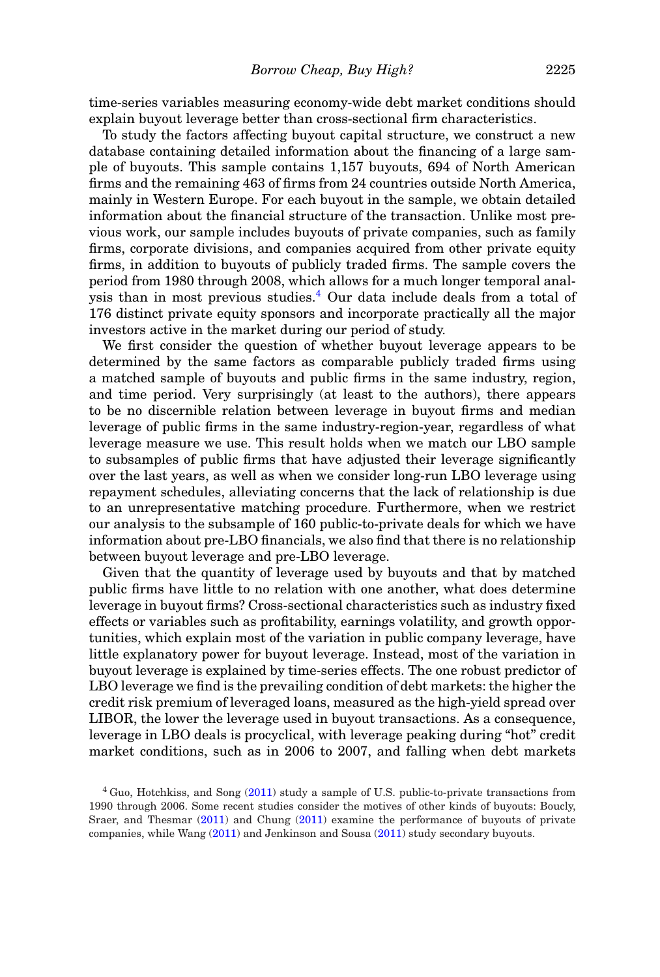time-series variables measuring economy-wide debt market conditions should explain buyout leverage better than cross-sectional firm characteristics.

To study the factors affecting buyout capital structure, we construct a new database containing detailed information about the financing of a large sample of buyouts. This sample contains 1,157 buyouts, 694 of North American firms and the remaining 463 of firms from 24 countries outside North America, mainly in Western Europe. For each buyout in the sample, we obtain detailed information about the financial structure of the transaction. Unlike most previous work, our sample includes buyouts of private companies, such as family firms, corporate divisions, and companies acquired from other private equity firms, in addition to buyouts of publicly traded firms. The sample covers the period from 1980 through 2008, which allows for a much longer temporal analysis than in most previous studies[.4](#page-2-0) Our data include deals from a total of 176 distinct private equity sponsors and incorporate practically all the major investors active in the market during our period of study.

We first consider the question of whether buyout leverage appears to be determined by the same factors as comparable publicly traded firms using a matched sample of buyouts and public firms in the same industry, region, and time period. Very surprisingly (at least to the authors), there appears to be no discernible relation between leverage in buyout firms and median leverage of public firms in the same industry-region-year, regardless of what leverage measure we use. This result holds when we match our LBO sample to subsamples of public firms that have adjusted their leverage significantly over the last years, as well as when we consider long-run LBO leverage using repayment schedules, alleviating concerns that the lack of relationship is due to an unrepresentative matching procedure. Furthermore, when we restrict our analysis to the subsample of 160 public-to-private deals for which we have information about pre-LBO financials, we also find that there is no relationship between buyout leverage and pre-LBO leverage.

Given that the quantity of leverage used by buyouts and that by matched public firms have little to no relation with one another, what does determine leverage in buyout firms? Cross-sectional characteristics such as industry fixed effects or variables such as profitability, earnings volatility, and growth opportunities, which explain most of the variation in public company leverage, have little explanatory power for buyout leverage. Instead, most of the variation in buyout leverage is explained by time-series effects. The one robust predictor of LBO leverage we find is the prevailing condition of debt markets: the higher the credit risk premium of leveraged loans, measured as the high-yield spread over LIBOR, the lower the leverage used in buyout transactions. As a consequence, leverage in LBO deals is procyclical, with leverage peaking during "hot" credit market conditions, such as in 2006 to 2007, and falling when debt markets

<span id="page-2-0"></span><sup>4</sup> Guo, Hotchkiss, and Song [\(2011\)](#page-42-5) study a sample of U.S. public-to-private transactions from 1990 through 2006. Some recent studies consider the motives of other kinds of buyouts: Boucly, Sraer, and Thesmar [\(2011\)](#page-42-6) and Chung [\(2011\)](#page-42-7) examine the performance of buyouts of private companies, while Wang [\(2011\)](#page-44-0) and Jenkinson and Sousa [\(2011\)](#page-43-6) study secondary buyouts.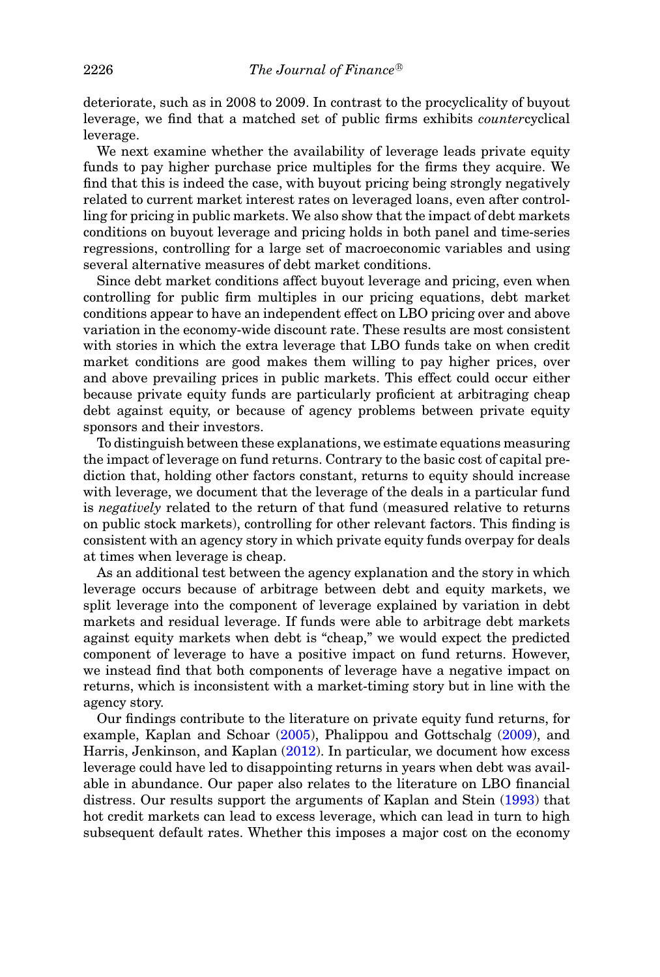deteriorate, such as in 2008 to 2009. In contrast to the procyclicality of buyout leverage, we find that a matched set of public firms exhibits *counter*cyclical leverage.

We next examine whether the availability of leverage leads private equity funds to pay higher purchase price multiples for the firms they acquire. We find that this is indeed the case, with buyout pricing being strongly negatively related to current market interest rates on leveraged loans, even after controlling for pricing in public markets. We also show that the impact of debt markets conditions on buyout leverage and pricing holds in both panel and time-series regressions, controlling for a large set of macroeconomic variables and using several alternative measures of debt market conditions.

Since debt market conditions affect buyout leverage and pricing, even when controlling for public firm multiples in our pricing equations, debt market conditions appear to have an independent effect on LBO pricing over and above variation in the economy-wide discount rate. These results are most consistent with stories in which the extra leverage that LBO funds take on when credit market conditions are good makes them willing to pay higher prices, over and above prevailing prices in public markets. This effect could occur either because private equity funds are particularly proficient at arbitraging cheap debt against equity, or because of agency problems between private equity sponsors and their investors.

To distinguish between these explanations, we estimate equations measuring the impact of leverage on fund returns. Contrary to the basic cost of capital prediction that, holding other factors constant, returns to equity should increase with leverage, we document that the leverage of the deals in a particular fund is *negatively* related to the return of that fund (measured relative to returns on public stock markets), controlling for other relevant factors. This finding is consistent with an agency story in which private equity funds overpay for deals at times when leverage is cheap.

As an additional test between the agency explanation and the story in which leverage occurs because of arbitrage between debt and equity markets, we split leverage into the component of leverage explained by variation in debt markets and residual leverage. If funds were able to arbitrage debt markets against equity markets when debt is "cheap," we would expect the predicted component of leverage to have a positive impact on fund returns. However, we instead find that both components of leverage have a negative impact on returns, which is inconsistent with a market-timing story but in line with the agency story.

Our findings contribute to the literature on private equity fund returns, for example, Kaplan and Schoar [\(2005\)](#page-43-7), Phalippou and Gottschalg [\(2009\)](#page-43-8), and Harris, Jenkinson, and Kaplan [\(2012\)](#page-42-8). In particular, we document how excess leverage could have led to disappointing returns in years when debt was available in abundance. Our paper also relates to the literature on LBO financial distress. Our results support the arguments of Kaplan and Stein [\(1993\)](#page-43-4) that hot credit markets can lead to excess leverage, which can lead in turn to high subsequent default rates. Whether this imposes a major cost on the economy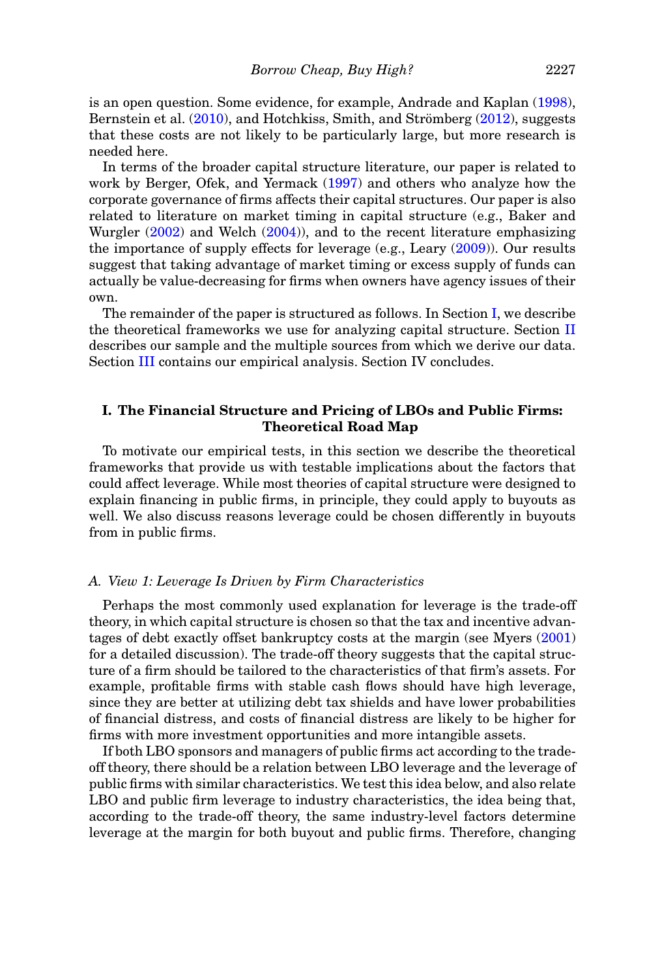is an open question. Some evidence, for example, Andrade and Kaplan [\(1998\)](#page-42-9), Bernstein et al. [\(2010\)](#page-42-10), and Hotchkiss, Smith, and Strömberg ([2012\)](#page-43-9), suggests that these costs are not likely to be particularly large, but more research is needed here.

In terms of the broader capital structure literature, our paper is related to work by Berger, Ofek, and Yermack [\(1997\)](#page-42-11) and others who analyze how the corporate governance of firms affects their capital structures. Our paper is also related to literature on market timing in capital structure (e.g., Baker and Wurgler [\(2002\)](#page-42-12) and Welch [\(2004\)](#page-44-1)), and to the recent literature emphasizing the importance of supply effects for leverage (e.g., Leary [\(2009\)](#page-43-2)). Our results suggest that taking advantage of market timing or excess supply of funds can actually be value-decreasing for firms when owners have agency issues of their own.

The remainder of the paper is structured as follows. In Section [I,](#page-4-0) we describe the theoretical frameworks we use for analyzing capital structure. Section [II](#page-7-0) describes our sample and the multiple sources from which we derive our data. Section [III](#page-10-0) contains our empirical analysis. Section IV concludes.

## <span id="page-4-0"></span>**I. The Financial Structure and Pricing of LBOs and Public Firms: Theoretical Road Map**

To motivate our empirical tests, in this section we describe the theoretical frameworks that provide us with testable implications about the factors that could affect leverage. While most theories of capital structure were designed to explain financing in public firms, in principle, they could apply to buyouts as well. We also discuss reasons leverage could be chosen differently in buyouts from in public firms.

#### *A. View 1: Leverage Is Driven by Firm Characteristics*

Perhaps the most commonly used explanation for leverage is the trade-off theory, in which capital structure is chosen so that the tax and incentive advantages of debt exactly offset bankruptcy costs at the margin (see Myers [\(2001\)](#page-43-10) for a detailed discussion). The trade-off theory suggests that the capital structure of a firm should be tailored to the characteristics of that firm's assets. For example, profitable firms with stable cash flows should have high leverage, since they are better at utilizing debt tax shields and have lower probabilities of financial distress, and costs of financial distress are likely to be higher for firms with more investment opportunities and more intangible assets.

If both LBO sponsors and managers of public firms act according to the tradeoff theory, there should be a relation between LBO leverage and the leverage of public firms with similar characteristics. We test this idea below, and also relate LBO and public firm leverage to industry characteristics, the idea being that, according to the trade-off theory, the same industry-level factors determine leverage at the margin for both buyout and public firms. Therefore, changing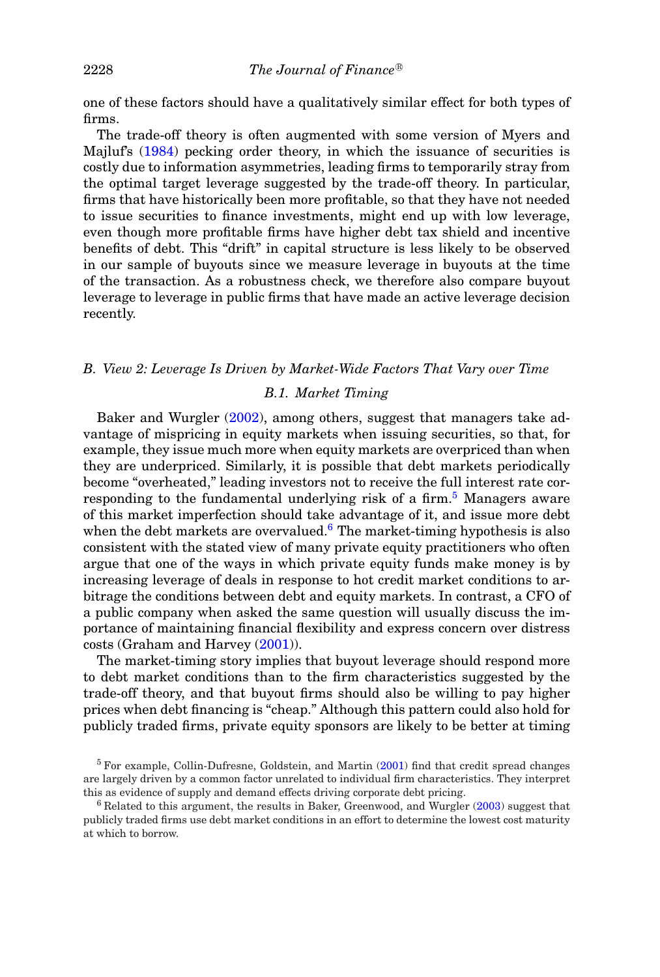one of these factors should have a qualitatively similar effect for both types of firms.

The trade-off theory is often augmented with some version of Myers and Majluf's [\(1984\)](#page-43-11) pecking order theory, in which the issuance of securities is costly due to information asymmetries, leading firms to temporarily stray from the optimal target leverage suggested by the trade-off theory. In particular, firms that have historically been more profitable, so that they have not needed to issue securities to finance investments, might end up with low leverage, even though more profitable firms have higher debt tax shield and incentive benefits of debt. This "drift" in capital structure is less likely to be observed in our sample of buyouts since we measure leverage in buyouts at the time of the transaction. As a robustness check, we therefore also compare buyout leverage to leverage in public firms that have made an active leverage decision recently.

## *B. View 2: Leverage Is Driven by Market-Wide Factors That Vary over Time*

## *B.1. Market Timing*

Baker and Wurgler [\(2002\)](#page-42-12), among others, suggest that managers take advantage of mispricing in equity markets when issuing securities, so that, for example, they issue much more when equity markets are overpriced than when they are underpriced. Similarly, it is possible that debt markets periodically become "overheated," leading investors not to receive the full interest rate cor-responding to the fundamental underlying risk of a firm.<sup>[5](#page-5-0)</sup> Managers aware of this market imperfection should take advantage of it, and issue more debt when the debt markets are overvalued.<sup>[6](#page-5-1)</sup> The market-timing hypothesis is also consistent with the stated view of many private equity practitioners who often argue that one of the ways in which private equity funds make money is by increasing leverage of deals in response to hot credit market conditions to arbitrage the conditions between debt and equity markets. In contrast, a CFO of a public company when asked the same question will usually discuss the importance of maintaining financial flexibility and express concern over distress costs (Graham and Harvey [\(2001\)](#page-42-13)).

The market-timing story implies that buyout leverage should respond more to debt market conditions than to the firm characteristics suggested by the trade-off theory, and that buyout firms should also be willing to pay higher prices when debt financing is "cheap." Although this pattern could also hold for publicly traded firms, private equity sponsors are likely to be better at timing

<span id="page-5-0"></span> $5$  For example, Collin-Dufresne, Goldstein, and Martin  $(2001)$  find that credit spread changes are largely driven by a common factor unrelated to individual firm characteristics. They interpret this as evidence of supply and demand effects driving corporate debt pricing.

<span id="page-5-1"></span><sup>6</sup> Related to this argument, the results in Baker, Greenwood, and Wurgler [\(2003\)](#page-42-14) suggest that publicly traded firms use debt market conditions in an effort to determine the lowest cost maturity at which to borrow.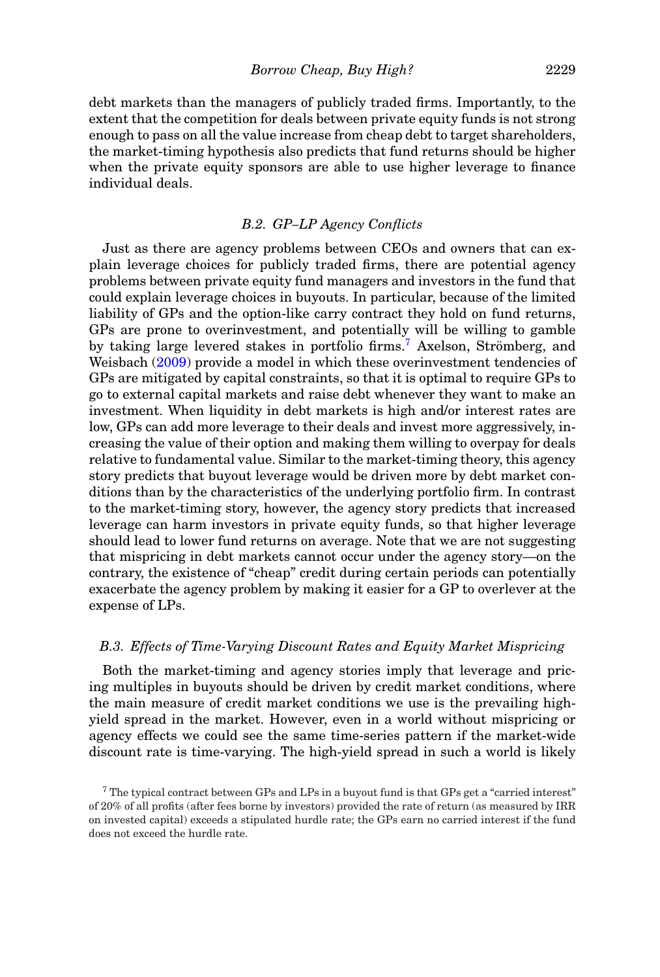debt markets than the managers of publicly traded firms. Importantly, to the extent that the competition for deals between private equity funds is not strong enough to pass on all the value increase from cheap debt to target shareholders, the market-timing hypothesis also predicts that fund returns should be higher when the private equity sponsors are able to use higher leverage to finance individual deals.

## *B.2. GP–LP Agency Conflicts*

Just as there are agency problems between CEOs and owners that can explain leverage choices for publicly traded firms, there are potential agency problems between private equity fund managers and investors in the fund that could explain leverage choices in buyouts. In particular, because of the limited liability of GPs and the option-like carry contract they hold on fund returns, GPs are prone to overinvestment, and potentially will be willing to gamble by taking large levered stakes in portfolio firms.<sup>7</sup> Axelson, Strömberg, and Weisbach [\(2009\)](#page-42-1) provide a model in which these overinvestment tendencies of GPs are mitigated by capital constraints, so that it is optimal to require GPs to go to external capital markets and raise debt whenever they want to make an investment. When liquidity in debt markets is high and/or interest rates are low, GPs can add more leverage to their deals and invest more aggressively, increasing the value of their option and making them willing to overpay for deals relative to fundamental value. Similar to the market-timing theory, this agency story predicts that buyout leverage would be driven more by debt market conditions than by the characteristics of the underlying portfolio firm. In contrast to the market-timing story, however, the agency story predicts that increased leverage can harm investors in private equity funds, so that higher leverage should lead to lower fund returns on average. Note that we are not suggesting that mispricing in debt markets cannot occur under the agency story—on the contrary, the existence of "cheap" credit during certain periods can potentially exacerbate the agency problem by making it easier for a GP to overlever at the expense of LPs.

#### *B.3. Effects of Time-Varying Discount Rates and Equity Market Mispricing*

Both the market-timing and agency stories imply that leverage and pricing multiples in buyouts should be driven by credit market conditions, where the main measure of credit market conditions we use is the prevailing highyield spread in the market. However, even in a world without mispricing or agency effects we could see the same time-series pattern if the market-wide discount rate is time-varying. The high-yield spread in such a world is likely

<span id="page-6-0"></span><sup>7</sup> The typical contract between GPs and LPs in a buyout fund is that GPs get a "carried interest" of 20% of all profits (after fees borne by investors) provided the rate of return (as measured by IRR on invested capital) exceeds a stipulated hurdle rate; the GPs earn no carried interest if the fund does not exceed the hurdle rate.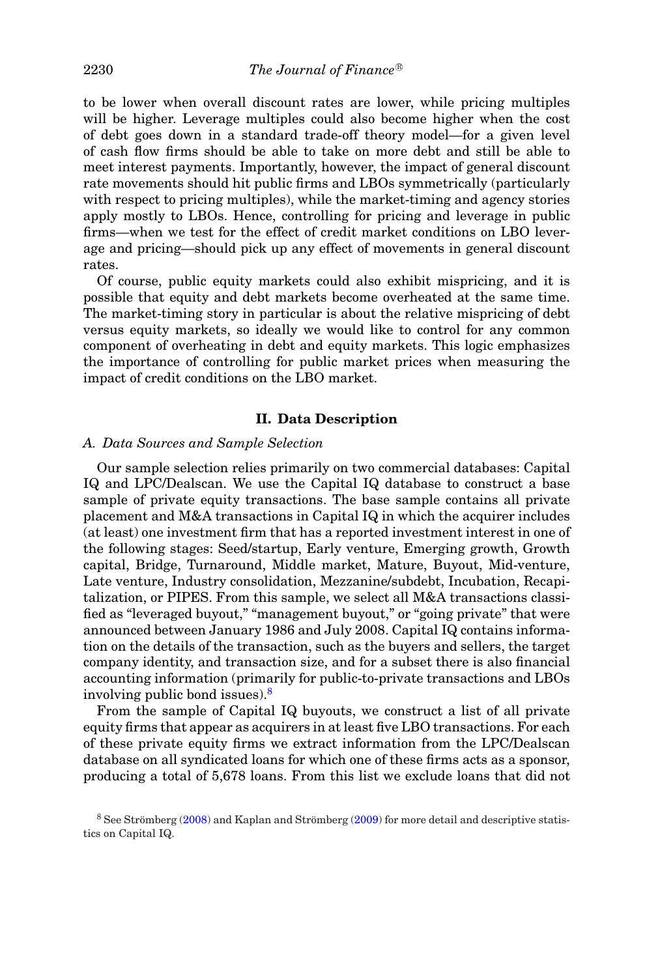to be lower when overall discount rates are lower, while pricing multiples will be higher. Leverage multiples could also become higher when the cost of debt goes down in a standard trade-off theory model—for a given level of cash flow firms should be able to take on more debt and still be able to meet interest payments. Importantly, however, the impact of general discount rate movements should hit public firms and LBOs symmetrically (particularly with respect to pricing multiples), while the market-timing and agency stories apply mostly to LBOs. Hence, controlling for pricing and leverage in public firms—when we test for the effect of credit market conditions on LBO leverage and pricing—should pick up any effect of movements in general discount rates.

Of course, public equity markets could also exhibit mispricing, and it is possible that equity and debt markets become overheated at the same time. The market-timing story in particular is about the relative mispricing of debt versus equity markets, so ideally we would like to control for any common component of overheating in debt and equity markets. This logic emphasizes the importance of controlling for public market prices when measuring the impact of credit conditions on the LBO market.

#### **II. Data Description**

#### <span id="page-7-0"></span>*A. Data Sources and Sample Selection*

Our sample selection relies primarily on two commercial databases: Capital IQ and LPC/Dealscan. We use the Capital IQ database to construct a base sample of private equity transactions. The base sample contains all private placement and M&A transactions in Capital IQ in which the acquirer includes (at least) one investment firm that has a reported investment interest in one of the following stages: Seed/startup, Early venture, Emerging growth, Growth capital, Bridge, Turnaround, Middle market, Mature, Buyout, Mid-venture, Late venture, Industry consolidation, Mezzanine/subdebt, Incubation, Recapitalization, or PIPES. From this sample, we select all M&A transactions classified as "leveraged buyout," "management buyout," or "going private" that were announced between January 1986 and July 2008. Capital IQ contains information on the details of the transaction, such as the buyers and sellers, the target company identity, and transaction size, and for a subset there is also financial accounting information (primarily for public-to-private transactions and LBOs involving public bond issues).<sup>8</sup>

From the sample of Capital IQ buyouts, we construct a list of all private equity firms that appear as acquirers in at least five LBO transactions. For each of these private equity firms we extract information from the LPC/Dealscan database on all syndicated loans for which one of these firms acts as a sponsor, producing a total of 5,678 loans. From this list we exclude loans that did not

<span id="page-7-1"></span> $8$  See Strömberg ([2008\)](#page-43-12) and Kaplan and Strömberg ([2009\)](#page-43-0) for more detail and descriptive statistics on Capital IQ.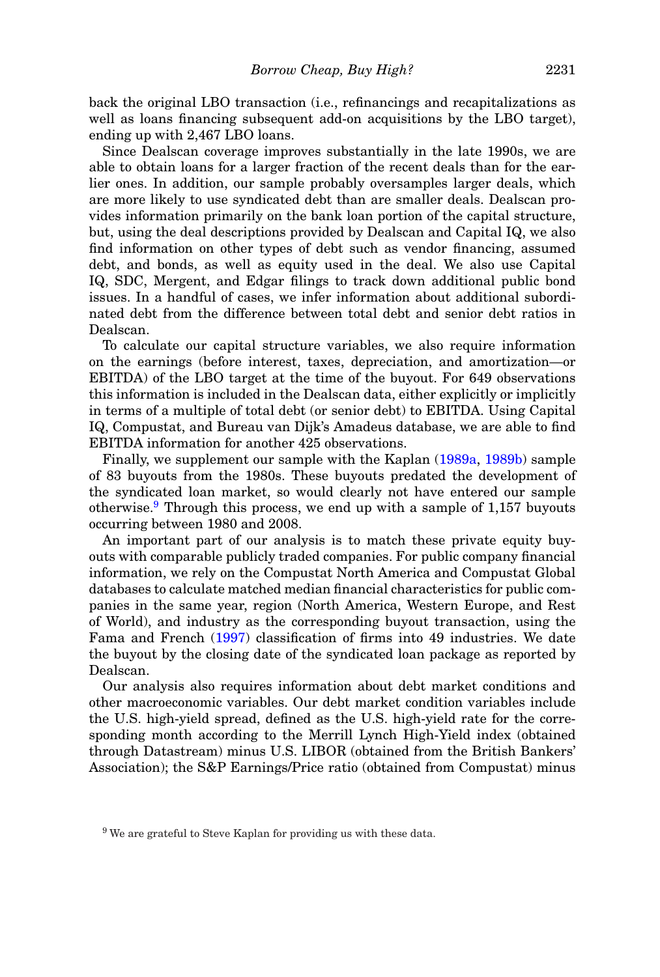back the original LBO transaction (i.e., refinancings and recapitalizations as well as loans financing subsequent add-on acquisitions by the LBO target), ending up with 2,467 LBO loans.

Since Dealscan coverage improves substantially in the late 1990s, we are able to obtain loans for a larger fraction of the recent deals than for the earlier ones. In addition, our sample probably oversamples larger deals, which are more likely to use syndicated debt than are smaller deals. Dealscan provides information primarily on the bank loan portion of the capital structure, but, using the deal descriptions provided by Dealscan and Capital IQ, we also find information on other types of debt such as vendor financing, assumed debt, and bonds, as well as equity used in the deal. We also use Capital IQ, SDC, Mergent, and Edgar filings to track down additional public bond issues. In a handful of cases, we infer information about additional subordinated debt from the difference between total debt and senior debt ratios in Dealscan.

To calculate our capital structure variables, we also require information on the earnings (before interest, taxes, depreciation, and amortization—or EBITDA) of the LBO target at the time of the buyout. For 649 observations this information is included in the Dealscan data, either explicitly or implicitly in terms of a multiple of total debt (or senior debt) to EBITDA. Using Capital IQ, Compustat, and Bureau van Dijk's Amadeus database, we are able to find EBITDA information for another 425 observations.

Finally, we supplement our sample with the Kaplan [\(1989a,](#page-43-13) [1989b\)](#page-43-14) sample of 83 buyouts from the 1980s. These buyouts predated the development of the syndicated loan market, so would clearly not have entered our sample otherwise[.9](#page-8-0) Through this process, we end up with a sample of 1,157 buyouts occurring between 1980 and 2008.

An important part of our analysis is to match these private equity buyouts with comparable publicly traded companies. For public company financial information, we rely on the Compustat North America and Compustat Global databases to calculate matched median financial characteristics for public companies in the same year, region (North America, Western Europe, and Rest of World), and industry as the corresponding buyout transaction, using the Fama and French [\(1997\)](#page-42-15) classification of firms into 49 industries. We date the buyout by the closing date of the syndicated loan package as reported by Dealscan.

Our analysis also requires information about debt market conditions and other macroeconomic variables. Our debt market condition variables include the U.S. high-yield spread, defined as the U.S. high-yield rate for the corresponding month according to the Merrill Lynch High-Yield index (obtained through Datastream) minus U.S. LIBOR (obtained from the British Bankers' Association); the S&P Earnings/Price ratio (obtained from Compustat) minus

<span id="page-8-0"></span><sup>9</sup> We are grateful to Steve Kaplan for providing us with these data.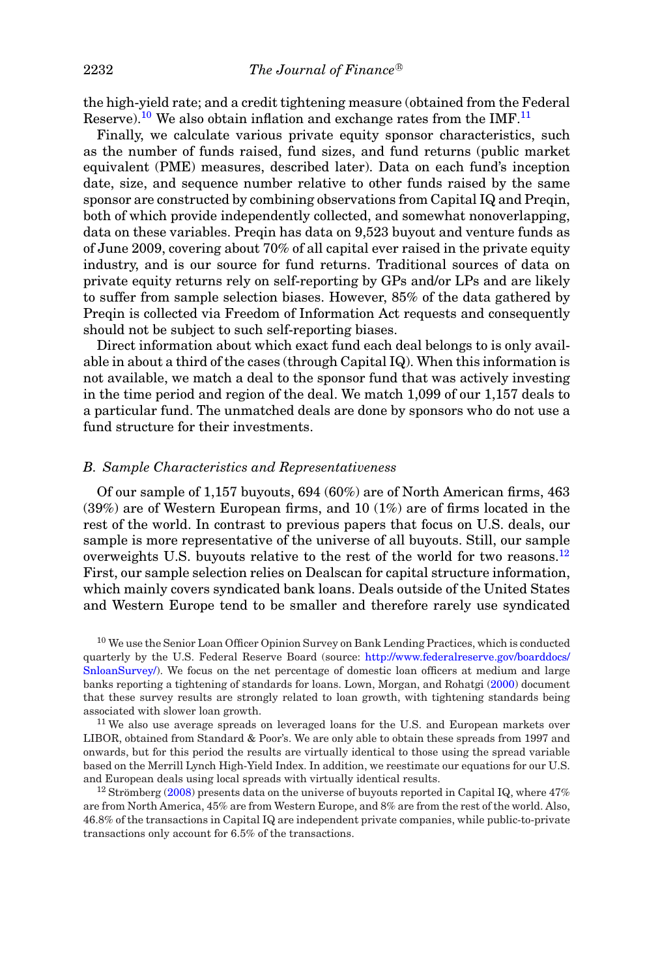the high-yield rate; and a credit tightening measure (obtained from the Federal Reserve).<sup>[10](#page-9-0)</sup> We also obtain inflation and exchange rates from the IMF.<sup>[11](#page-9-1)</sup>

Finally, we calculate various private equity sponsor characteristics, such as the number of funds raised, fund sizes, and fund returns (public market equivalent (PME) measures, described later). Data on each fund's inception date, size, and sequence number relative to other funds raised by the same sponsor are constructed by combining observations from Capital IQ and Preqin, both of which provide independently collected, and somewhat nonoverlapping, data on these variables. Preqin has data on 9,523 buyout and venture funds as of June 2009, covering about 70% of all capital ever raised in the private equity industry, and is our source for fund returns. Traditional sources of data on private equity returns rely on self-reporting by GPs and/or LPs and are likely to suffer from sample selection biases. However, 85% of the data gathered by Preqin is collected via Freedom of Information Act requests and consequently should not be subject to such self-reporting biases.

Direct information about which exact fund each deal belongs to is only available in about a third of the cases (through Capital IQ). When this information is not available, we match a deal to the sponsor fund that was actively investing in the time period and region of the deal. We match 1,099 of our 1,157 deals to a particular fund. The unmatched deals are done by sponsors who do not use a fund structure for their investments.

#### *B. Sample Characteristics and Representativeness*

Of our sample of 1,157 buyouts, 694 (60%) are of North American firms, 463 (39%) are of Western European firms, and 10 (1%) are of firms located in the rest of the world. In contrast to previous papers that focus on U.S. deals, our sample is more representative of the universe of all buyouts. Still, our sample overweights U.S. buyouts relative to the rest of the world for two reasons[.12](#page-9-2) First, our sample selection relies on Dealscan for capital structure information, which mainly covers syndicated bank loans. Deals outside of the United States and Western Europe tend to be smaller and therefore rarely use syndicated

<span id="page-9-0"></span><sup>10</sup> We use the Senior Loan Officer Opinion Survey on Bank Lending Practices, which is conducted quarterly by the U.S. Federal Reserve Board (source: [http://www.federalreserve.gov/boarddocs/](http://www.federalreserve.gov/boarddocs/SnloanSurvey/) [SnloanSurvey/\)](http://www.federalreserve.gov/boarddocs/SnloanSurvey/). We focus on the net percentage of domestic loan officers at medium and large banks reporting a tightening of standards for loans. Lown, Morgan, and Rohatgi [\(2000\)](#page-43-15) document that these survey results are strongly related to loan growth, with tightening standards being associated with slower loan growth.

<span id="page-9-1"></span><sup>11</sup> We also use average spreads on leveraged loans for the U.S. and European markets over LIBOR, obtained from Standard & Poor's. We are only able to obtain these spreads from 1997 and onwards, but for this period the results are virtually identical to those using the spread variable based on the Merrill Lynch High-Yield Index. In addition, we reestimate our equations for our U.S. and European deals using local spreads with virtually identical results.

<span id="page-9-2"></span> $^{12}$  Strömberg ([2008\)](#page-43-12) presents data on the universe of buyouts reported in Capital IQ, where  $47\%$ are from North America, 45% are from Western Europe, and 8% are from the rest of the world. Also, 46.8% of the transactions in Capital IQ are independent private companies, while public-to-private transactions only account for 6.5% of the transactions.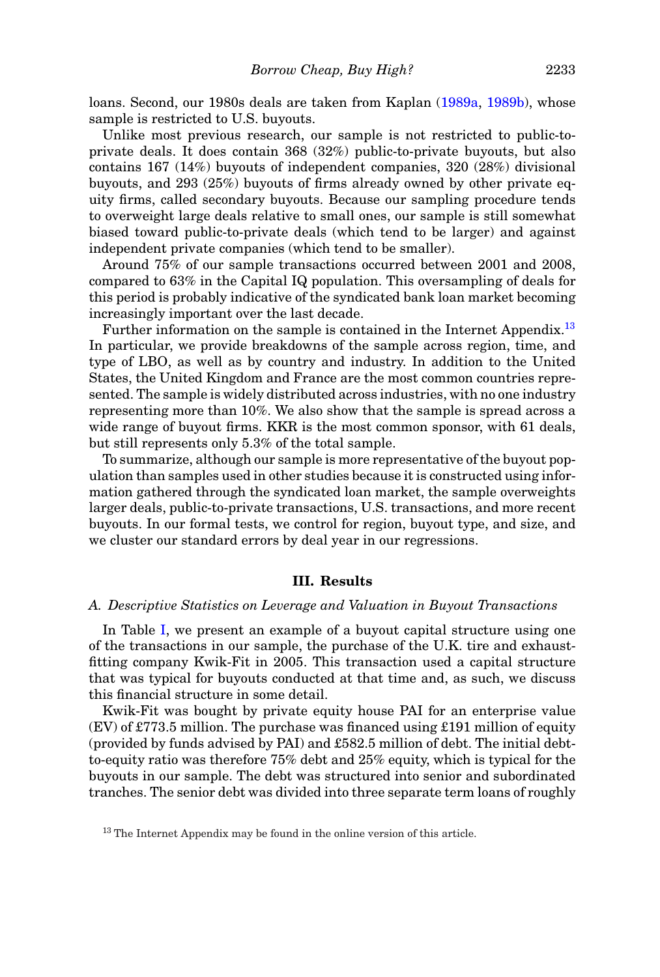loans. Second, our 1980s deals are taken from Kaplan [\(1989a,](#page-43-13) [1989b\)](#page-43-14), whose sample is restricted to U.S. buyouts.

Unlike most previous research, our sample is not restricted to public-toprivate deals. It does contain 368 (32%) public-to-private buyouts, but also contains 167 (14%) buyouts of independent companies, 320 (28%) divisional buyouts, and 293 (25%) buyouts of firms already owned by other private equity firms, called secondary buyouts. Because our sampling procedure tends to overweight large deals relative to small ones, our sample is still somewhat biased toward public-to-private deals (which tend to be larger) and against independent private companies (which tend to be smaller).

Around 75% of our sample transactions occurred between 2001 and 2008, compared to 63% in the Capital IQ population. This oversampling of deals for this period is probably indicative of the syndicated bank loan market becoming increasingly important over the last decade.

Further information on the sample is contained in the Internet Appendix.<sup>13</sup> In particular, we provide breakdowns of the sample across region, time, and type of LBO, as well as by country and industry. In addition to the United States, the United Kingdom and France are the most common countries represented. The sample is widely distributed across industries, with no one industry representing more than 10%. We also show that the sample is spread across a wide range of buyout firms. KKR is the most common sponsor, with 61 deals, but still represents only 5.3% of the total sample.

To summarize, although our sample is more representative of the buyout population than samples used in other studies because it is constructed using information gathered through the syndicated loan market, the sample overweights larger deals, public-to-private transactions, U.S. transactions, and more recent buyouts. In our formal tests, we control for region, buyout type, and size, and we cluster our standard errors by deal year in our regressions.

## **III. Results**

#### <span id="page-10-0"></span>*A. Descriptive Statistics on Leverage and Valuation in Buyout Transactions*

In Table [I,](#page-11-0) we present an example of a buyout capital structure using one of the transactions in our sample, the purchase of the U.K. tire and exhaustfitting company Kwik-Fit in 2005. This transaction used a capital structure that was typical for buyouts conducted at that time and, as such, we discuss this financial structure in some detail.

Kwik-Fit was bought by private equity house PAI for an enterprise value (EV) of £773.5 million. The purchase was financed using £191 million of equity (provided by funds advised by PAI) and £582.5 million of debt. The initial debtto-equity ratio was therefore 75% debt and 25% equity, which is typical for the buyouts in our sample. The debt was structured into senior and subordinated tranches. The senior debt was divided into three separate term loans of roughly

<span id="page-10-1"></span><sup>&</sup>lt;sup>13</sup> The Internet Appendix may be found in the online version of this article.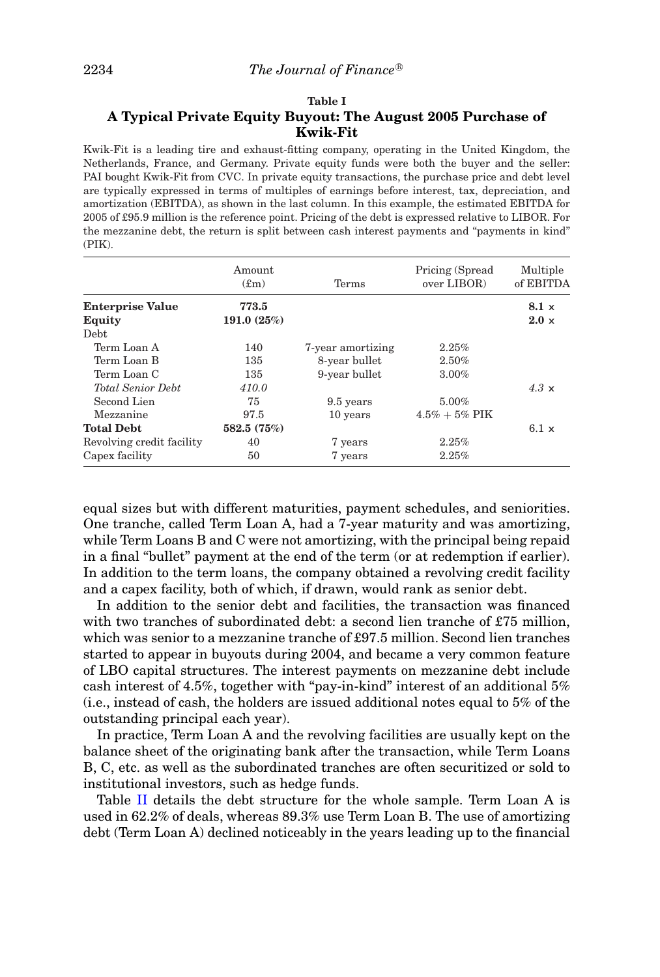## <span id="page-11-0"></span>**Table I A Typical Private Equity Buyout: The August 2005 Purchase of Kwik-Fit**

Kwik-Fit is a leading tire and exhaust-fitting company, operating in the United Kingdom, the Netherlands, France, and Germany. Private equity funds were both the buyer and the seller: PAI bought Kwik-Fit from CVC. In private equity transactions, the purchase price and debt level are typically expressed in terms of multiples of earnings before interest, tax, depreciation, and amortization (EBITDA), as shown in the last column. In this example, the estimated EBITDA for 2005 of £95.9 million is the reference point. Pricing of the debt is expressed relative to LIBOR. For the mezzanine debt, the return is split between cash interest payments and "payments in kind" (PIK).

|                           | Amount<br>$(\pmb{\pounds} \mathbf{m})$ | Terms             | Pricing (Spread<br>over LIBOR) | Multiple<br>of EBITDA |
|---------------------------|----------------------------------------|-------------------|--------------------------------|-----------------------|
| <b>Enterprise Value</b>   | 773.5                                  |                   |                                | $8.1 \times$          |
| Equity                    | 191.0 $(25%)$                          |                   |                                | $2.0 \times$          |
| <b>Debt</b>               |                                        |                   |                                |                       |
| Term Loan A               | 140                                    | 7-year amortizing | 2.25%                          |                       |
| Term Loan B               | 135                                    | 8-year bullet     | $2.50\%$                       |                       |
| Term Loan C               | 135                                    | 9-year bullet     | $3.00\%$                       |                       |
| <b>Total Senior Debt</b>  | 410.0                                  |                   |                                | $4.3 \times$          |
| Second Lien               | 75                                     | 9.5 years         | $5.00\%$                       |                       |
| Mezzanine                 | 97.5                                   | 10 years          | $4.5\% + 5\%$ PIK              |                       |
| <b>Total Debt</b>         | 582.5 (75%)                            |                   |                                | $6.1 \times$          |
| Revolving credit facility | 40                                     | 7 years           | 2.25%                          |                       |
| Capex facility            | 50                                     | 7 years           | 2.25%                          |                       |

equal sizes but with different maturities, payment schedules, and seniorities. One tranche, called Term Loan A, had a 7-year maturity and was amortizing, while Term Loans B and C were not amortizing, with the principal being repaid in a final "bullet" payment at the end of the term (or at redemption if earlier). In addition to the term loans, the company obtained a revolving credit facility and a capex facility, both of which, if drawn, would rank as senior debt.

In addition to the senior debt and facilities, the transaction was financed with two tranches of subordinated debt: a second lien tranche of £75 million, which was senior to a mezzanine tranche of £97.5 million. Second lien tranches started to appear in buyouts during 2004, and became a very common feature of LBO capital structures. The interest payments on mezzanine debt include cash interest of 4.5%, together with "pay-in-kind" interest of an additional 5% (i.e., instead of cash, the holders are issued additional notes equal to 5% of the outstanding principal each year).

In practice, Term Loan A and the revolving facilities are usually kept on the balance sheet of the originating bank after the transaction, while Term Loans B, C, etc. as well as the subordinated tranches are often securitized or sold to institutional investors, such as hedge funds.

Table [II](#page-12-0) details the debt structure for the whole sample. Term Loan A is used in 62.2% of deals, whereas 89.3% use Term Loan B. The use of amortizing debt (Term Loan A) declined noticeably in the years leading up to the financial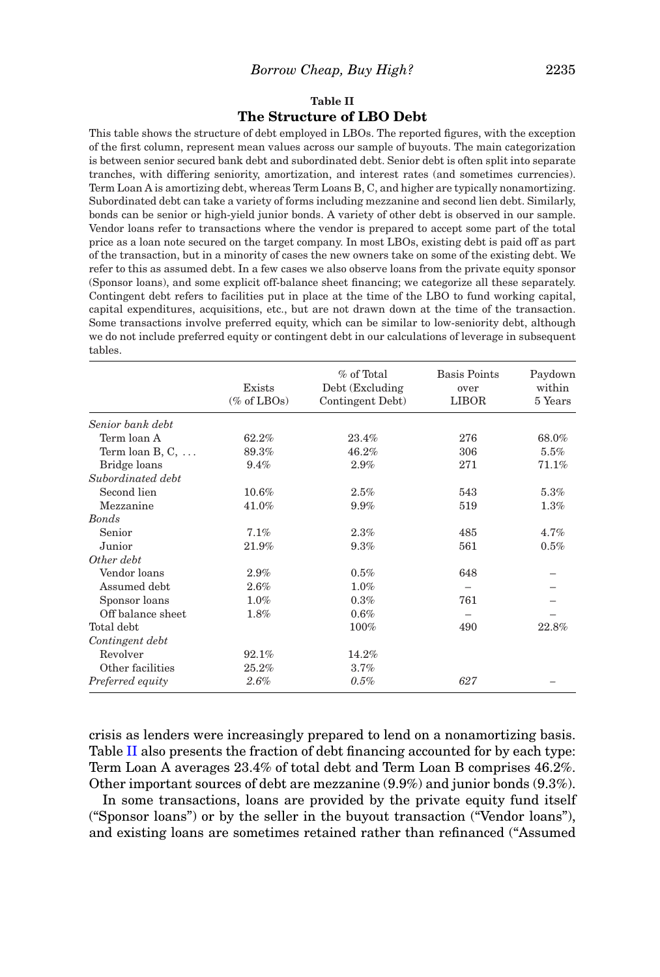#### **Table II The Structure of LBO Debt**

<span id="page-12-0"></span>This table shows the structure of debt employed in LBOs. The reported figures, with the exception of the first column, represent mean values across our sample of buyouts. The main categorization is between senior secured bank debt and subordinated debt. Senior debt is often split into separate tranches, with differing seniority, amortization, and interest rates (and sometimes currencies). Term Loan A is amortizing debt, whereas Term Loans B, C, and higher are typically nonamortizing. Subordinated debt can take a variety of forms including mezzanine and second lien debt. Similarly, bonds can be senior or high-yield junior bonds. A variety of other debt is observed in our sample. Vendor loans refer to transactions where the vendor is prepared to accept some part of the total price as a loan note secured on the target company. In most LBOs, existing debt is paid off as part of the transaction, but in a minority of cases the new owners take on some of the existing debt. We refer to this as assumed debt. In a few cases we also observe loans from the private equity sponsor (Sponsor loans), and some explicit off-balance sheet financing; we categorize all these separately. Contingent debt refers to facilities put in place at the time of the LBO to fund working capital, capital expenditures, acquisitions, etc., but are not drawn down at the time of the transaction. Some transactions involve preferred equity, which can be similar to low-seniority debt, although we do not include preferred equity or contingent debt in our calculations of leverage in subsequent tables.

|                          | Exists<br>$(\%$ of LBOs) | % of Total<br>Debt (Excluding<br>Contingent Debt) | <b>Basis Points</b><br>over<br><b>LIBOR</b> | Paydown<br>within<br>5 Years |
|--------------------------|--------------------------|---------------------------------------------------|---------------------------------------------|------------------------------|
| Senior bank debt         |                          |                                                   |                                             |                              |
| Term loan A              | $62.2\%$                 | 23.4%                                             | 276                                         | 68.0%                        |
| Term loan $B, C, \ldots$ | 89.3%                    | 46.2%                                             | 306                                         | 5.5%                         |
| Bridge loans             | 9.4%                     | 2.9%                                              | 271                                         | 71.1%                        |
| Subordinated debt        |                          |                                                   |                                             |                              |
| Second lien              | $10.6\%$                 | 2.5%                                              | 543                                         | 5.3%                         |
| Mezzanine                | 41.0%                    | 9.9%                                              | 519                                         | 1.3%                         |
| <b>Bonds</b>             |                          |                                                   |                                             |                              |
| Senior                   | 7.1%                     | 2.3%                                              | 485                                         | 4.7%                         |
| Junior                   | $21.9\%$                 | 9.3%                                              | 561                                         | 0.5%                         |
| Other debt               |                          |                                                   |                                             |                              |
| Vendor loans             | 2.9%                     | 0.5%                                              | 648                                         |                              |
| Assumed debt             | 2.6%                     | 1.0%                                              |                                             |                              |
| Sponsor loans            | $1.0\%$                  | 0.3%                                              | 761                                         |                              |
| Off balance sheet        | 1.8%                     | 0.6%                                              |                                             |                              |
| Total debt               |                          | $100\%$                                           | 490                                         | 22.8%                        |
| Contingent debt          |                          |                                                   |                                             |                              |
| Revolver                 | 92.1%                    | 14.2%                                             |                                             |                              |
| Other facilities         | $25.2\%$                 | 3.7%                                              |                                             |                              |
| Preferred equity         | $2.6\%$                  | 0.5%                                              | 627                                         |                              |

crisis as lenders were increasingly prepared to lend on a nonamortizing basis. Table [II](#page-12-0) also presents the fraction of debt financing accounted for by each type: Term Loan A averages 23.4% of total debt and Term Loan B comprises 46.2%. Other important sources of debt are mezzanine (9.9%) and junior bonds (9.3%).

In some transactions, loans are provided by the private equity fund itself ("Sponsor loans") or by the seller in the buyout transaction ("Vendor loans"), and existing loans are sometimes retained rather than refinanced ("Assumed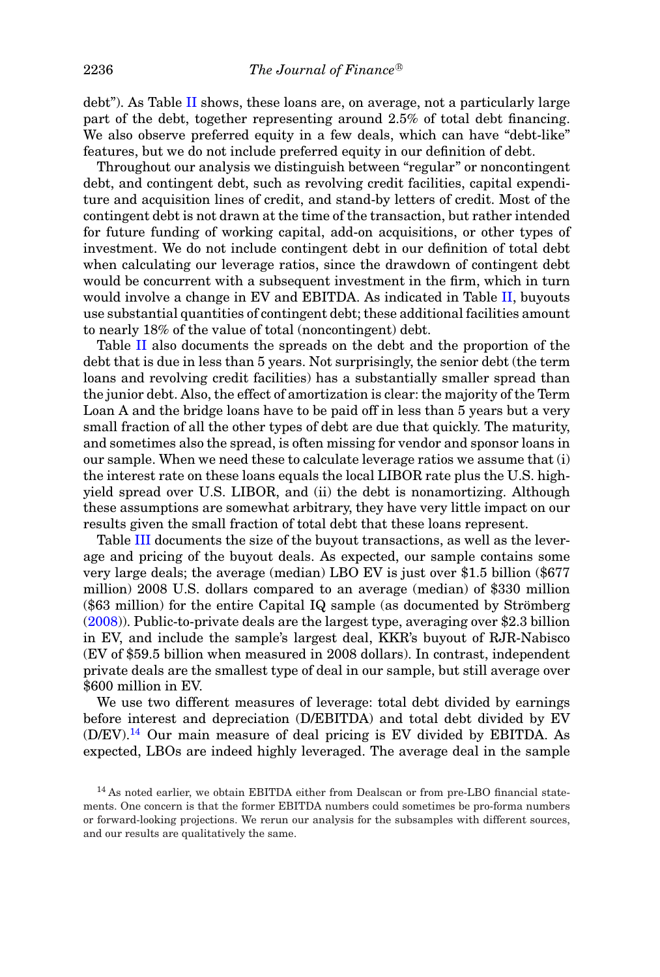debt"). As Table [II](#page-12-0) shows, these loans are, on average, not a particularly large part of the debt, together representing around 2.5% of total debt financing. We also observe preferred equity in a few deals, which can have "debt-like" features, but we do not include preferred equity in our definition of debt.

Throughout our analysis we distinguish between "regular" or noncontingent debt, and contingent debt, such as revolving credit facilities, capital expenditure and acquisition lines of credit, and stand-by letters of credit. Most of the contingent debt is not drawn at the time of the transaction, but rather intended for future funding of working capital, add-on acquisitions, or other types of investment. We do not include contingent debt in our definition of total debt when calculating our leverage ratios, since the drawdown of contingent debt would be concurrent with a subsequent investment in the firm, which in turn would involve a change in EV and EBITDA. As indicated in Table [II,](#page-12-0) buyouts use substantial quantities of contingent debt; these additional facilities amount to nearly 18% of the value of total (noncontingent) debt.

Table  $\overline{II}$  $\overline{II}$  $\overline{II}$  also documents the spreads on the debt and the proportion of the debt that is due in less than 5 years. Not surprisingly, the senior debt (the term loans and revolving credit facilities) has a substantially smaller spread than the junior debt. Also, the effect of amortization is clear: the majority of the Term Loan A and the bridge loans have to be paid off in less than 5 years but a very small fraction of all the other types of debt are due that quickly. The maturity, and sometimes also the spread, is often missing for vendor and sponsor loans in our sample. When we need these to calculate leverage ratios we assume that (i) the interest rate on these loans equals the local LIBOR rate plus the U.S. highyield spread over U.S. LIBOR, and (ii) the debt is nonamortizing. Although these assumptions are somewhat arbitrary, they have very little impact on our results given the small fraction of total debt that these loans represent.

Table [III](#page-14-0) documents the size of the buyout transactions, as well as the leverage and pricing of the buyout deals. As expected, our sample contains some very large deals; the average (median) LBO EV is just over \$1.5 billion (\$677 million) 2008 U.S. dollars compared to an average (median) of \$330 million  $(\$63$  million) for the entire Capital IQ sample (as documented by Strömberg [\(2008\)](#page-43-12)). Public-to-private deals are the largest type, averaging over \$2.3 billion in EV, and include the sample's largest deal, KKR's buyout of RJR-Nabisco (EV of \$59.5 billion when measured in 2008 dollars). In contrast, independent private deals are the smallest type of deal in our sample, but still average over \$600 million in EV.

We use two different measures of leverage: total debt divided by earnings before interest and depreciation (D/EBITDA) and total debt divided by EV (D/EV).[14](#page-13-0) Our main measure of deal pricing is EV divided by EBITDA. As expected, LBOs are indeed highly leveraged. The average deal in the sample

<span id="page-13-0"></span><sup>14</sup> As noted earlier, we obtain EBITDA either from Dealscan or from pre-LBO financial statements. One concern is that the former EBITDA numbers could sometimes be pro-forma numbers or forward-looking projections. We rerun our analysis for the subsamples with different sources, and our results are qualitatively the same.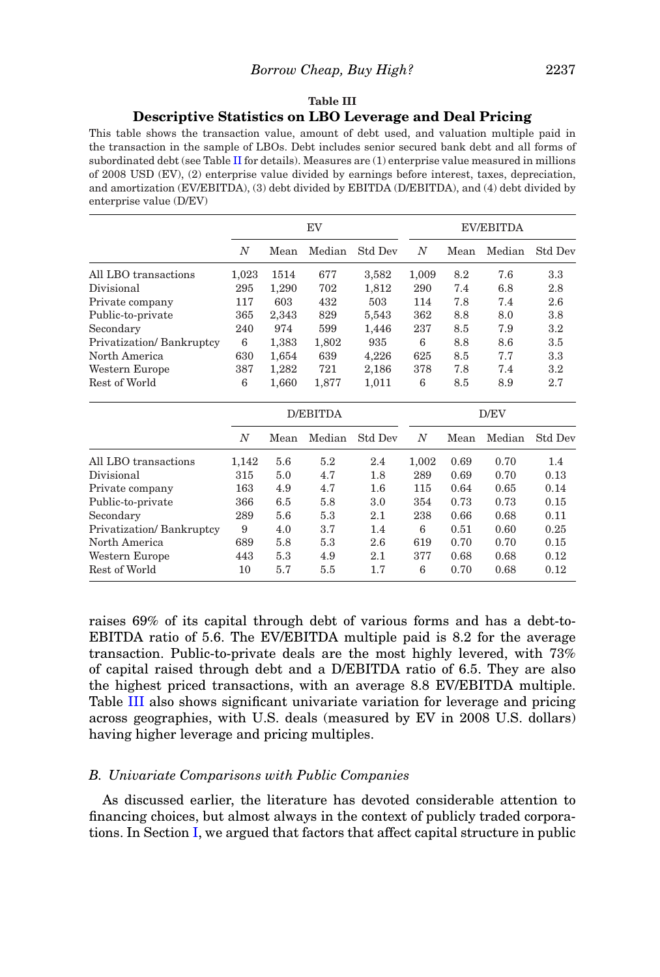#### **Table III**

#### **Descriptive Statistics on LBO Leverage and Deal Pricing**

<span id="page-14-0"></span>This table shows the transaction value, amount of debt used, and valuation multiple paid in the transaction in the sample of LBOs. Debt includes senior secured bank debt and all forms of subordinated debt (see Table [II](#page-12-0) for details). Measures are (1) enterprise value measured in millions of 2008 USD (EV), (2) enterprise value divided by earnings before interest, taxes, depreciation, and amortization (EV/EBITDA), (3) debt divided by EBITDA (D/EBITDA), and (4) debt divided by enterprise value (D/EV)

|                          |                  |       | EV       |                |                  |      | EV/EBITDA |                |
|--------------------------|------------------|-------|----------|----------------|------------------|------|-----------|----------------|
|                          | $\boldsymbol{N}$ | Mean  | Median   | Std Dev        | $\boldsymbol{N}$ | Mean | Median    | <b>Std Dev</b> |
| All LBO transactions     | 1,023            | 1514  | 677      | 3,582          | 1,009            | 8.2  | 7.6       | 3.3            |
| Divisional               | 295              | 1,290 | 702      | 1,812          | 290              | 7.4  | 6.8       | 2.8            |
| Private company          | 117              | 603   | 432      | 503            | 114              | 7.8  | 7.4       | 2.6            |
| Public-to-private        | 365              | 2,343 | 829      | 5,543          | 362              | 8.8  | 8.0       | 3.8            |
| Secondary                | 240              | 974   | 599      | 1,446          | 237              | 8.5  | 7.9       | 3.2            |
| Privatization/Bankruptcy | 6                | 1,383 | 1,802    | 935            | 6                | 8.8  | 8.6       | $3.5\,$        |
| North America            | 630              | 1,654 | 639      | 4,226          | 625              | 8.5  | 7.7       | 3.3            |
| Western Europe           | 387              | 1,282 | 721      | 2,186          | 378              | 7.8  | 7.4       | $3.2\,$        |
| Rest of World            | 6                | 1,660 | 1,877    | 1,011          | $6\phantom{1}6$  | 8.5  | 8.9       | 2.7            |
|                          |                  |       | D/EBITDA |                |                  |      | D/EV      |                |
|                          | $\boldsymbol{N}$ | Mean  | Median   | <b>Std Dev</b> | $\boldsymbol{N}$ | Mean | Median    | <b>Std Dev</b> |
| All LBO transactions     | 1,142            | 5.6   | 5.2      | 2.4            | 1,002            | 0.69 | 0.70      | 1.4            |
| Divisional               | 315              | 5.0   | 4.7      | 1.8            | 289              | 0.69 | 0.70      | 0.13           |
| Private company          | 163              | 4.9   | 4.7      | $1.6\,$        | 115              | 0.64 | 0.65      | 0.14           |
| Public-to-private        | 366              | 6.5   | 5.8      | 3.0            | 354              | 0.73 | 0.73      | 0.15           |
| Secondary                | 289              | 5.6   | 5.3      | $2.1\,$        | 238              | 0.66 | 0.68      | 0.11           |
| Privatization/Bankruptcy | 9                | 4.0   | 3.7      | 1.4            | 6                | 0.51 | 0.60      | 0.25           |
| North America            | 689              | 5.8   | 5.3      | 2.6            | 619              | 0.70 | 0.70      | 0.15           |
| Western Europe           | 443              | 5.3   | 4.9      | $2.1\,$        | 377              | 0.68 | 0.68      | 0.12           |
| Rest of World            | 10               | 5.7   | 5.5      | 1.7            | 6                | 0.70 | 0.68      | 0.12           |

raises 69% of its capital through debt of various forms and has a debt-to-EBITDA ratio of 5.6. The EV/EBITDA multiple paid is 8.2 for the average transaction. Public-to-private deals are the most highly levered, with 73% of capital raised through debt and a D/EBITDA ratio of 6.5. They are also the highest priced transactions, with an average 8.8 EV/EBITDA multiple. Table [III](#page-14-0) also shows significant univariate variation for leverage and pricing across geographies, with U.S. deals (measured by EV in 2008 U.S. dollars) having higher leverage and pricing multiples.

## *B. Univariate Comparisons with Public Companies*

As discussed earlier, the literature has devoted considerable attention to financing choices, but almost always in the context of publicly traded corporations. In Section [I,](#page-4-0) we argued that factors that affect capital structure in public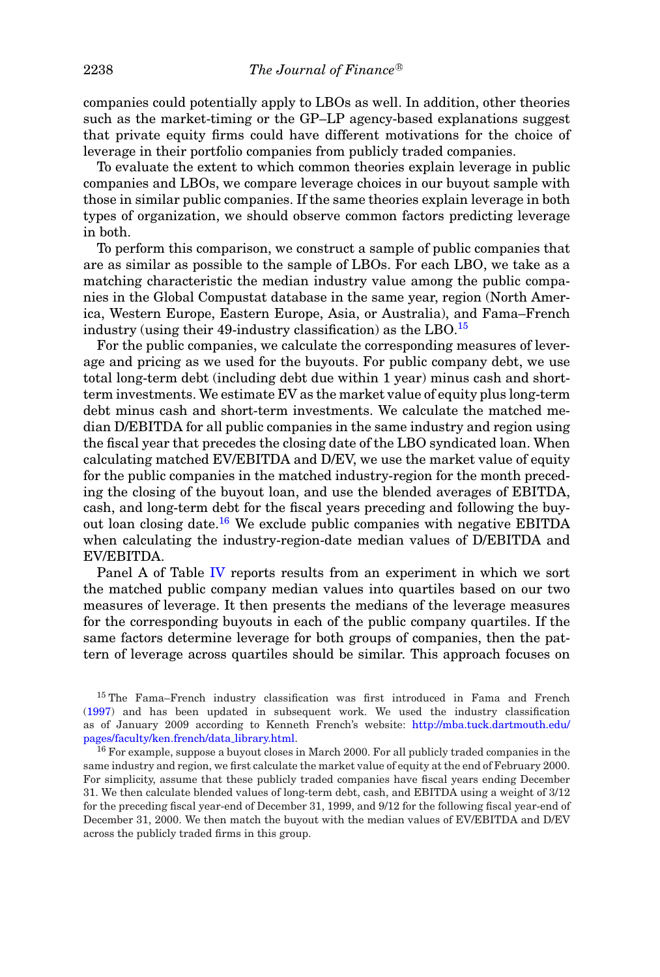companies could potentially apply to LBOs as well. In addition, other theories such as the market-timing or the GP–LP agency-based explanations suggest that private equity firms could have different motivations for the choice of leverage in their portfolio companies from publicly traded companies.

To evaluate the extent to which common theories explain leverage in public companies and LBOs, we compare leverage choices in our buyout sample with those in similar public companies. If the same theories explain leverage in both types of organization, we should observe common factors predicting leverage in both.

To perform this comparison, we construct a sample of public companies that are as similar as possible to the sample of LBOs. For each LBO, we take as a matching characteristic the median industry value among the public companies in the Global Compustat database in the same year, region (North America, Western Europe, Eastern Europe, Asia, or Australia), and Fama–French industry (using their 49-industry classification) as the LBO.<sup>[15](#page-15-0)</sup>

For the public companies, we calculate the corresponding measures of leverage and pricing as we used for the buyouts. For public company debt, we use total long-term debt (including debt due within 1 year) minus cash and shortterm investments. We estimate EV as the market value of equity plus long-term debt minus cash and short-term investments. We calculate the matched median D/EBITDA for all public companies in the same industry and region using the fiscal year that precedes the closing date of the LBO syndicated loan. When calculating matched EV/EBITDA and D/EV, we use the market value of equity for the public companies in the matched industry-region for the month preceding the closing of the buyout loan, and use the blended averages of EBITDA, cash, and long-term debt for the fiscal years preceding and following the buy-out loan closing date.<sup>[16](#page-15-1)</sup> We exclude public companies with negative EBITDA when calculating the industry-region-date median values of D/EBITDA and EV/EBITDA.

Panel A of Table [IV](#page-16-0) reports results from an experiment in which we sort the matched public company median values into quartiles based on our two measures of leverage. It then presents the medians of the leverage measures for the corresponding buyouts in each of the public company quartiles. If the same factors determine leverage for both groups of companies, then the pattern of leverage across quartiles should be similar. This approach focuses on

<span id="page-15-0"></span><sup>15</sup> The Fama–French industry classification was first introduced in Fama and French [\(1997\)](#page-42-15) and has been updated in subsequent work. We used the industry classification as of January 2009 according to Kenneth French's website: [http://mba.tuck.dartmouth.edu/](http://mba.tuck.dartmouth.edu/pages/faculty/ken.french/data_library.html) [pages/faculty/ken.french/data](http://mba.tuck.dartmouth.edu/pages/faculty/ken.french/data_library.html) library.html.

<span id="page-15-1"></span><sup>16</sup> For example, suppose a buyout closes in March 2000. For all publicly traded companies in the same industry and region, we first calculate the market value of equity at the end of February 2000. For simplicity, assume that these publicly traded companies have fiscal years ending December 31. We then calculate blended values of long-term debt, cash, and EBITDA using a weight of 3/12 for the preceding fiscal year-end of December 31, 1999, and 9/12 for the following fiscal year-end of December 31, 2000. We then match the buyout with the median values of EV/EBITDA and D/EV across the publicly traded firms in this group.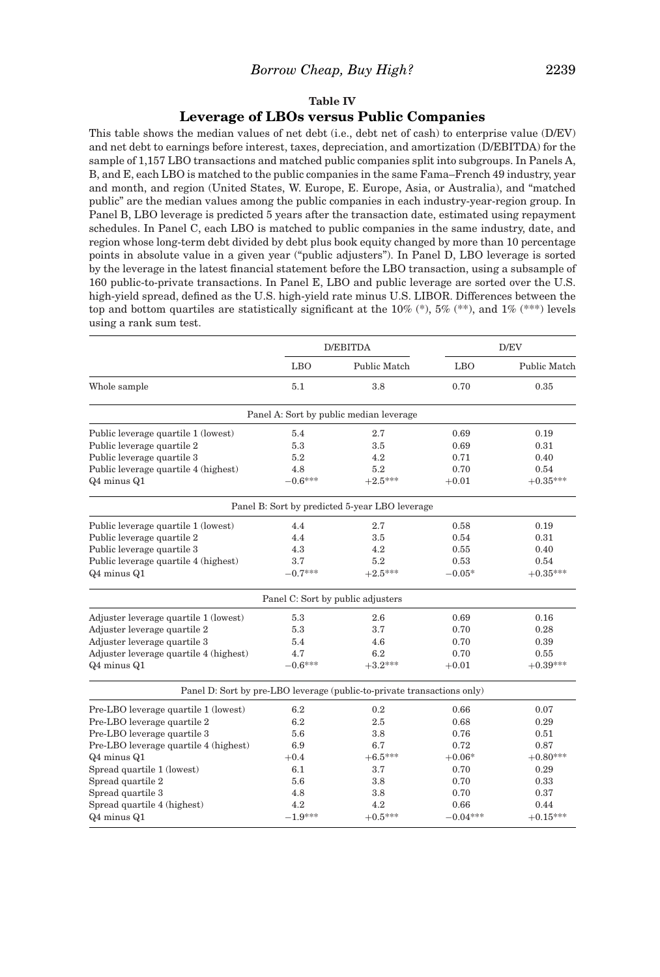#### **Table IV**

#### **Leverage of LBOs versus Public Companies**

<span id="page-16-0"></span>This table shows the median values of net debt (i.e., debt net of cash) to enterprise value (D/EV) and net debt to earnings before interest, taxes, depreciation, and amortization (D/EBITDA) for the sample of 1,157 LBO transactions and matched public companies split into subgroups. In Panels A, B, and E, each LBO is matched to the public companies in the same Fama–French 49 industry, year and month, and region (United States, W. Europe, E. Europe, Asia, or Australia), and "matched public" are the median values among the public companies in each industry-year-region group. In Panel B, LBO leverage is predicted 5 years after the transaction date, estimated using repayment schedules. In Panel C, each LBO is matched to public companies in the same industry, date, and region whose long-term debt divided by debt plus book equity changed by more than 10 percentage points in absolute value in a given year ("public adjusters"). In Panel D, LBO leverage is sorted by the leverage in the latest financial statement before the LBO transaction, using a subsample of 160 public-to-private transactions. In Panel E, LBO and public leverage are sorted over the U.S. high-yield spread, defined as the U.S. high-yield rate minus U.S. LIBOR. Differences between the top and bottom quartiles are statistically significant at the  $10\%$  (\*),  $5\%$  (\*\*), and  $1\%$  (\*\*\*) levels using a rank sum test.

|                                        |                                   | D/EBITDA                                                                |            | D/EV         |
|----------------------------------------|-----------------------------------|-------------------------------------------------------------------------|------------|--------------|
|                                        | <b>LBO</b>                        | Public Match                                                            | <b>LBO</b> | Public Match |
| Whole sample                           | 5.1                               | 3.8                                                                     | 0.70       | 0.35         |
|                                        |                                   | Panel A: Sort by public median leverage                                 |            |              |
| Public leverage quartile 1 (lowest)    | 5.4                               | $2.7\,$                                                                 | 0.69       | 0.19         |
| Public leverage quartile 2             | 5.3                               | 3.5                                                                     | 0.69       | 0.31         |
| Public leverage quartile 3             | 5.2                               | 4.2                                                                     | 0.71       | 0.40         |
| Public leverage quartile 4 (highest)   | 4.8                               | 5.2                                                                     | 0.70       | 0.54         |
| Q4 minus Q1                            | $-0.6***$                         | $+2.5***$                                                               | $+0.01$    | $+0.35***$   |
|                                        |                                   | Panel B: Sort by predicted 5-year LBO leverage                          |            |              |
| Public leverage quartile 1 (lowest)    | 4.4                               | $2.7\,$                                                                 | 0.58       | 0.19         |
| Public leverage quartile 2             | 4.4                               | $3.5\,$                                                                 | 0.54       | 0.31         |
| Public leverage quartile 3             | 4.3                               | 4.2                                                                     | 0.55       | 0.40         |
| Public leverage quartile 4 (highest)   | 3.7                               | 5.2                                                                     | 0.53       | 0.54         |
| Q4 minus Q1                            | $-0.7***$                         | $+2.5***$                                                               | $-0.05*$   | $+0.35***$   |
|                                        | Panel C: Sort by public adjusters |                                                                         |            |              |
| Adjuster leverage quartile 1 (lowest)  | 5.3                               | $2.6\,$                                                                 | 0.69       | 0.16         |
| Adjuster leverage quartile 2           | 5.3                               | 3.7                                                                     | 0.70       | 0.28         |
| Adjuster leverage quartile 3           | 5.4                               | 4.6                                                                     | 0.70       | 0.39         |
| Adjuster leverage quartile 4 (highest) | 4.7                               | 6.2                                                                     | 0.70       | 0.55         |
| Q4 minus Q1                            | $-0.6***$                         | $+3.2***$                                                               | $+0.01$    | $+0.39***$   |
|                                        |                                   | Panel D: Sort by pre-LBO leverage (public-to-private transactions only) |            |              |
| Pre-LBO leverage quartile 1 (lowest)   | 6.2                               | 0.2                                                                     | 0.66       | 0.07         |
| Pre-LBO leverage quartile 2            | 6.2                               | 2.5                                                                     | 0.68       | 0.29         |
| Pre-LBO leverage quartile 3            | 5.6                               | 3.8                                                                     | 0.76       | 0.51         |
| Pre-LBO leverage quartile 4 (highest)  | 6.9                               | 6.7                                                                     | 0.72       | 0.87         |
| Q4 minus Q1                            | $+0.4$                            | $+6.5***$                                                               | $+0.06*$   | $+0.80***$   |
| Spread quartile 1 (lowest)             | 6.1                               | 3.7                                                                     | 0.70       | 0.29         |
| Spread quartile 2                      | 5.6                               | 3.8                                                                     | 0.70       | 0.33         |
| Spread quartile 3                      | 4.8                               | 3.8                                                                     | 0.70       | 0.37         |
| Spread quartile 4 (highest)            | 4.2                               | 4.2                                                                     | 0.66       | 0.44         |
| Q4 minus Q1                            | $-1.9***$                         | $+0.5***$                                                               | $-0.04***$ | $+0.15***$   |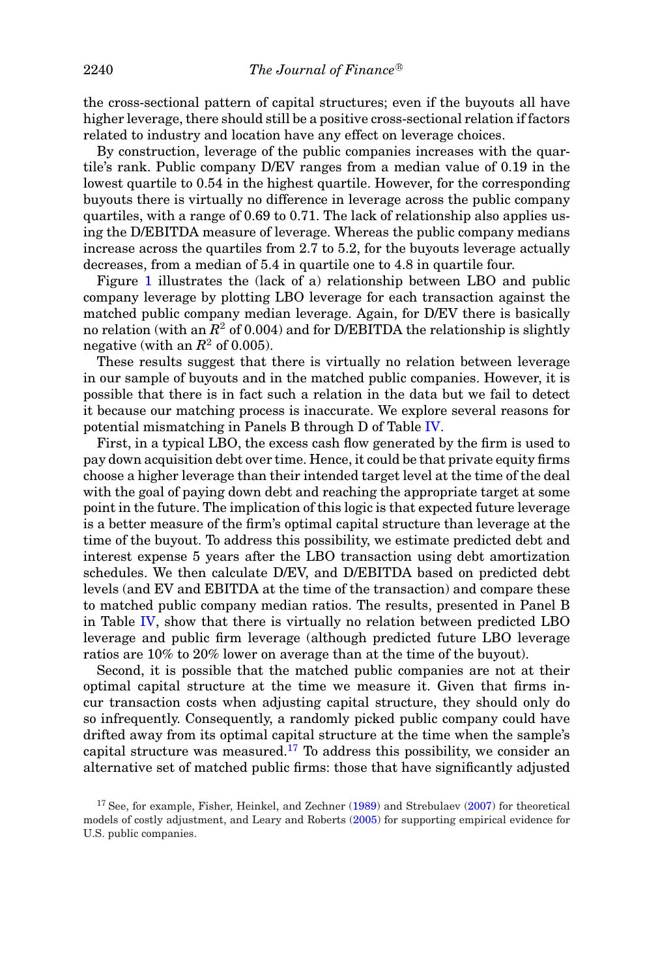the cross-sectional pattern of capital structures; even if the buyouts all have higher leverage, there should still be a positive cross-sectional relation if factors related to industry and location have any effect on leverage choices.

By construction, leverage of the public companies increases with the quartile's rank. Public company D/EV ranges from a median value of 0.19 in the lowest quartile to 0.54 in the highest quartile. However, for the corresponding buyouts there is virtually no difference in leverage across the public company quartiles, with a range of 0.69 to 0.71. The lack of relationship also applies using the D/EBITDA measure of leverage. Whereas the public company medians increase across the quartiles from 2.7 to 5.2, for the buyouts leverage actually decreases, from a median of 5.4 in quartile one to 4.8 in quartile four.

Figure [1](#page-18-0) illustrates the (lack of a) relationship between LBO and public company leverage by plotting LBO leverage for each transaction against the matched public company median leverage. Again, for D/EV there is basically no relation (with an  $R^2$  of 0.004) and for D/EBITDA the relationship is slightly negative (with an  $R^2$  of 0.005).

These results suggest that there is virtually no relation between leverage in our sample of buyouts and in the matched public companies. However, it is possible that there is in fact such a relation in the data but we fail to detect it because our matching process is inaccurate. We explore several reasons for potential mismatching in Panels B through D of Table [IV.](#page-16-0)

First, in a typical LBO, the excess cash flow generated by the firm is used to pay down acquisition debt over time. Hence, it could be that private equity firms choose a higher leverage than their intended target level at the time of the deal with the goal of paying down debt and reaching the appropriate target at some point in the future. The implication of this logic is that expected future leverage is a better measure of the firm's optimal capital structure than leverage at the time of the buyout. To address this possibility, we estimate predicted debt and interest expense 5 years after the LBO transaction using debt amortization schedules. We then calculate D/EV, and D/EBITDA based on predicted debt levels (and EV and EBITDA at the time of the transaction) and compare these to matched public company median ratios. The results, presented in Panel B in Table [IV,](#page-16-0) show that there is virtually no relation between predicted LBO leverage and public firm leverage (although predicted future LBO leverage ratios are 10% to 20% lower on average than at the time of the buyout).

Second, it is possible that the matched public companies are not at their optimal capital structure at the time we measure it. Given that firms incur transaction costs when adjusting capital structure, they should only do so infrequently. Consequently, a randomly picked public company could have drifted away from its optimal capital structure at the time when the sample's capital structure was measured.<sup>[17](#page-17-0)</sup> To address this possibility, we consider an alternative set of matched public firms: those that have significantly adjusted

<span id="page-17-0"></span> $17$  See, for example, Fisher, Heinkel, and Zechner [\(1989\)](#page-42-16) and Strebulaev [\(2007\)](#page-43-16) for theoretical models of costly adjustment, and Leary and Roberts [\(2005\)](#page-43-17) for supporting empirical evidence for U.S. public companies.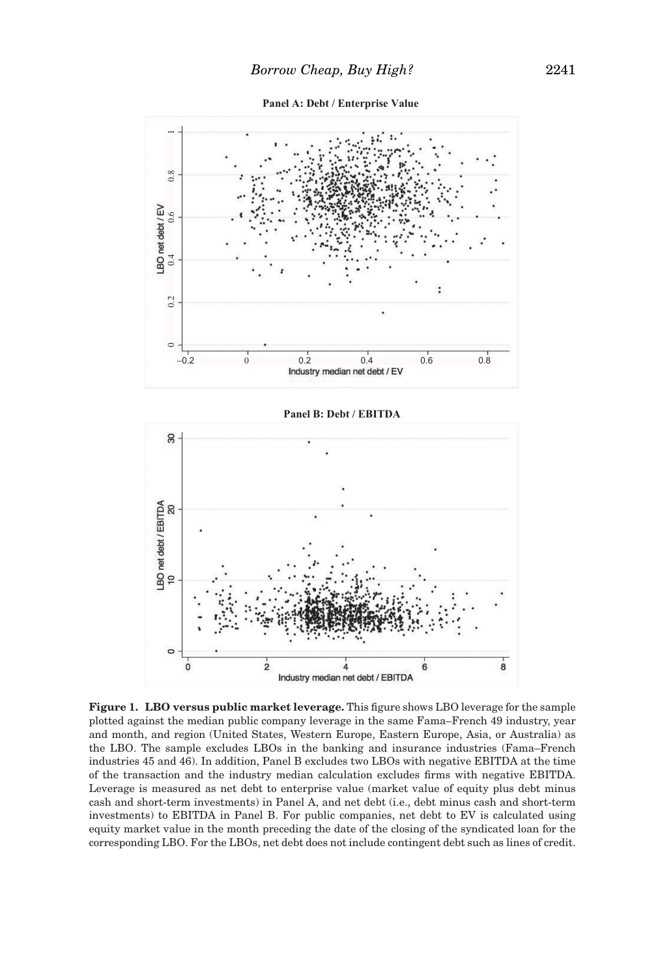**Panel A: Debt / Enterprise Value**



<span id="page-18-0"></span>**Figure 1. LBO versus public market leverage.** This figure shows LBO leverage for the sample plotted against the median public company leverage in the same Fama–French 49 industry, year and month, and region (United States, Western Europe, Eastern Europe, Asia, or Australia) as the LBO. The sample excludes LBOs in the banking and insurance industries (Fama–French industries 45 and 46). In addition, Panel B excludes two LBOs with negative EBITDA at the time of the transaction and the industry median calculation excludes firms with negative EBITDA. Leverage is measured as net debt to enterprise value (market value of equity plus debt minus cash and short-term investments) in Panel A, and net debt (i.e., debt minus cash and short-term investments) to EBITDA in Panel B. For public companies, net debt to EV is calculated using equity market value in the month preceding the date of the closing of the syndicated loan for the corresponding LBO. For the LBOs, net debt does not include contingent debt such as lines of credit.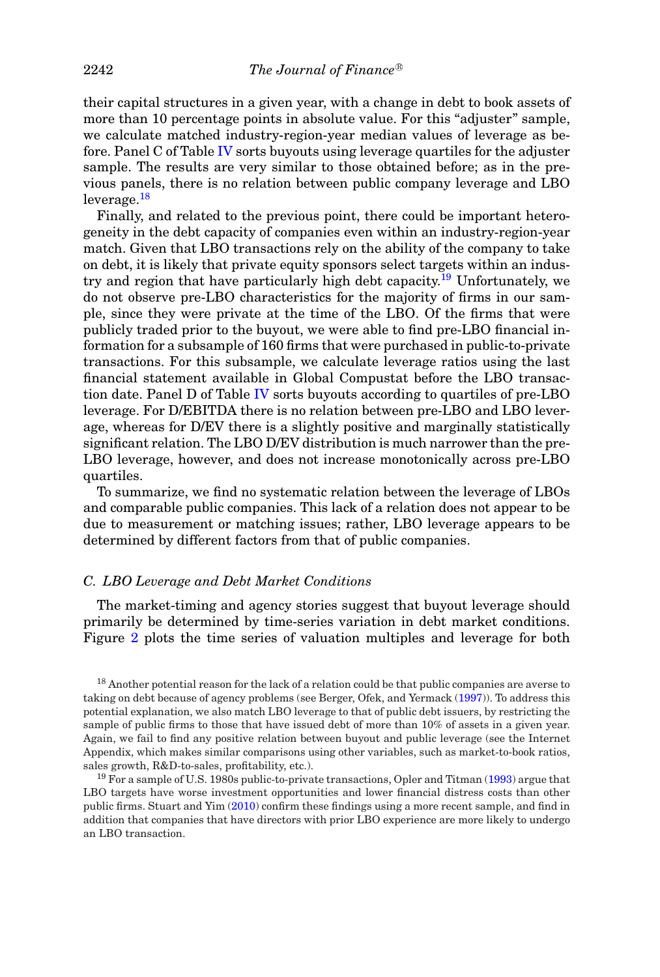their capital structures in a given year, with a change in debt to book assets of more than 10 percentage points in absolute value. For this "adjuster" sample, we calculate matched industry-region-year median values of leverage as be-fore. Panel C of Table [IV](#page-16-0) sorts buyouts using leverage quartiles for the adjuster sample. The results are very similar to those obtained before; as in the previous panels, there is no relation between public company leverage and LBO leverage.<sup>18</sup>

Finally, and related to the previous point, there could be important heterogeneity in the debt capacity of companies even within an industry-region-year match. Given that LBO transactions rely on the ability of the company to take on debt, it is likely that private equity sponsors select targets within an industry and region that have particularly high debt capacity.<sup>19</sup> Unfortunately, we do not observe pre-LBO characteristics for the majority of firms in our sample, since they were private at the time of the LBO. Of the firms that were publicly traded prior to the buyout, we were able to find pre-LBO financial information for a subsample of 160 firms that were purchased in public-to-private transactions. For this subsample, we calculate leverage ratios using the last financial statement available in Global Compustat before the LBO transaction date. Panel D of Table [IV](#page-16-0) sorts buyouts according to quartiles of pre-LBO leverage. For D/EBITDA there is no relation between pre-LBO and LBO leverage, whereas for D/EV there is a slightly positive and marginally statistically significant relation. The LBO D/EV distribution is much narrower than the pre-LBO leverage, however, and does not increase monotonically across pre-LBO quartiles.

To summarize, we find no systematic relation between the leverage of LBOs and comparable public companies. This lack of a relation does not appear to be due to measurement or matching issues; rather, LBO leverage appears to be determined by different factors from that of public companies.

#### *C. LBO Leverage and Debt Market Conditions*

The market-timing and agency stories suggest that buyout leverage should primarily be determined by time-series variation in debt market conditions. Figure [2](#page-20-0) plots the time series of valuation multiples and leverage for both

<span id="page-19-0"></span><sup>18</sup> Another potential reason for the lack of a relation could be that public companies are averse to taking on debt because of agency problems (see Berger, Ofek, and Yermack [\(1997\)](#page-42-11)). To address this potential explanation, we also match LBO leverage to that of public debt issuers, by restricting the sample of public firms to those that have issued debt of more than 10% of assets in a given year. Again, we fail to find any positive relation between buyout and public leverage (see the Internet Appendix, which makes similar comparisons using other variables, such as market-to-book ratios, sales growth, R&D-to-sales, profitability, etc.).

<span id="page-19-1"></span><sup>19</sup> For a sample of U.S. 1980s public-to-private transactions, Opler and Titman [\(1993\)](#page-43-18) argue that LBO targets have worse investment opportunities and lower financial distress costs than other public firms. Stuart and Yim [\(2010\)](#page-44-2) confirm these findings using a more recent sample, and find in addition that companies that have directors with prior LBO experience are more likely to undergo an LBO transaction.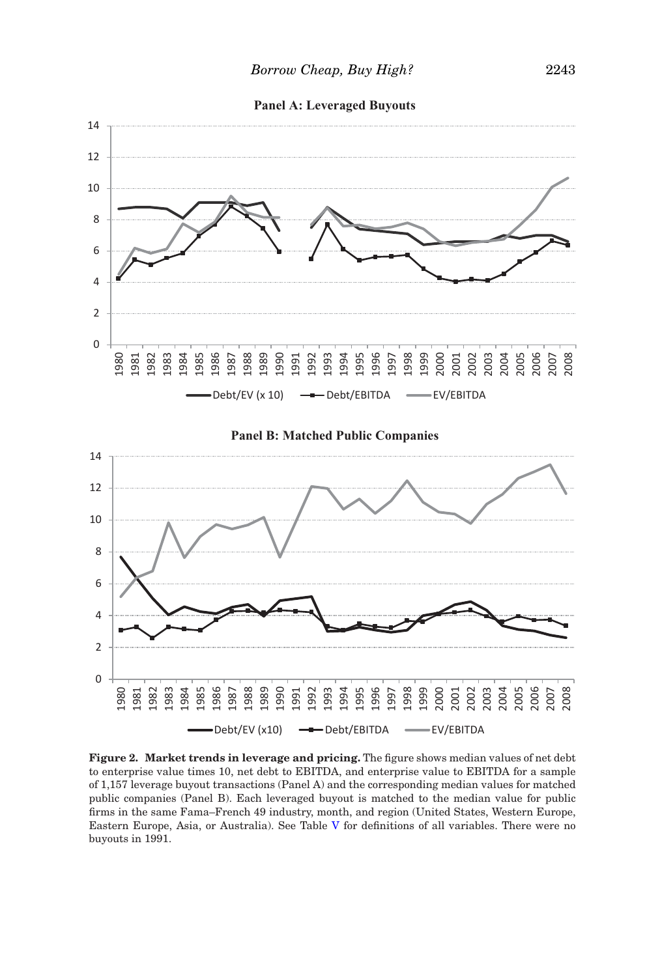



<span id="page-20-0"></span>**Figure 2. Market trends in leverage and pricing.** The figure shows median values of net debt to enterprise value times 10, net debt to EBITDA, and enterprise value to EBITDA for a sample of 1,157 leverage buyout transactions (Panel A) and the corresponding median values for matched public companies (Panel B). Each leveraged buyout is matched to the median value for public firms in the same Fama–French 49 industry, month, and region (United States, Western Europe, Eastern Europe, Asia, or Australia). See Table [V](#page-24-0) for definitions of all variables. There were no buyouts in 1991.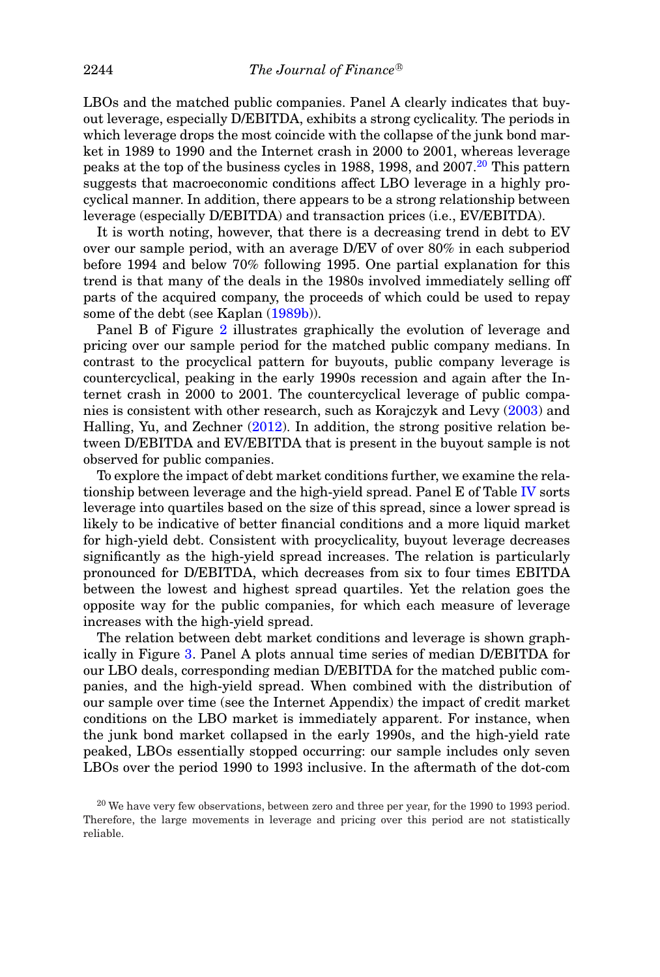LBOs and the matched public companies. Panel A clearly indicates that buyout leverage, especially D/EBITDA, exhibits a strong cyclicality. The periods in which leverage drops the most coincide with the collapse of the junk bond market in 1989 to 1990 and the Internet crash in 2000 to 2001, whereas leverage peaks at the top of the business cycles in 1988, 1998, and [20](#page-21-0)07.<sup>20</sup> This pattern suggests that macroeconomic conditions affect LBO leverage in a highly procyclical manner. In addition, there appears to be a strong relationship between leverage (especially D/EBITDA) and transaction prices (i.e., EV/EBITDA).

It is worth noting, however, that there is a decreasing trend in debt to EV over our sample period, with an average D/EV of over 80% in each subperiod before 1994 and below 70% following 1995. One partial explanation for this trend is that many of the deals in the 1980s involved immediately selling off parts of the acquired company, the proceeds of which could be used to repay some of the debt (see Kaplan [\(1989b\)](#page-43-14)).

Panel B of Figure [2](#page-20-0) illustrates graphically the evolution of leverage and pricing over our sample period for the matched public company medians. In contrast to the procyclical pattern for buyouts, public company leverage is countercyclical, peaking in the early 1990s recession and again after the Internet crash in 2000 to 2001. The countercyclical leverage of public companies is consistent with other research, such as Korajczyk and Levy [\(2003\)](#page-43-19) and Halling, Yu, and Zechner [\(2012\)](#page-42-17). In addition, the strong positive relation between D/EBITDA and EV/EBITDA that is present in the buyout sample is not observed for public companies.

To explore the impact of debt market conditions further, we examine the rela-tionship between leverage and the high-yield spread. Panel E of Table [IV](#page-16-0) sorts leverage into quartiles based on the size of this spread, since a lower spread is likely to be indicative of better financial conditions and a more liquid market for high-yield debt. Consistent with procyclicality, buyout leverage decreases significantly as the high-yield spread increases. The relation is particularly pronounced for D/EBITDA, which decreases from six to four times EBITDA between the lowest and highest spread quartiles. Yet the relation goes the opposite way for the public companies, for which each measure of leverage increases with the high-yield spread.

The relation between debt market conditions and leverage is shown graphically in Figure [3.](#page-22-0) Panel A plots annual time series of median D/EBITDA for our LBO deals, corresponding median D/EBITDA for the matched public companies, and the high-yield spread. When combined with the distribution of our sample over time (see the Internet Appendix) the impact of credit market conditions on the LBO market is immediately apparent. For instance, when the junk bond market collapsed in the early 1990s, and the high-yield rate peaked, LBOs essentially stopped occurring: our sample includes only seven LBOs over the period 1990 to 1993 inclusive. In the aftermath of the dot-com

<span id="page-21-0"></span><sup>&</sup>lt;sup>20</sup> We have very few observations, between zero and three per year, for the 1990 to 1993 period. Therefore, the large movements in leverage and pricing over this period are not statistically reliable.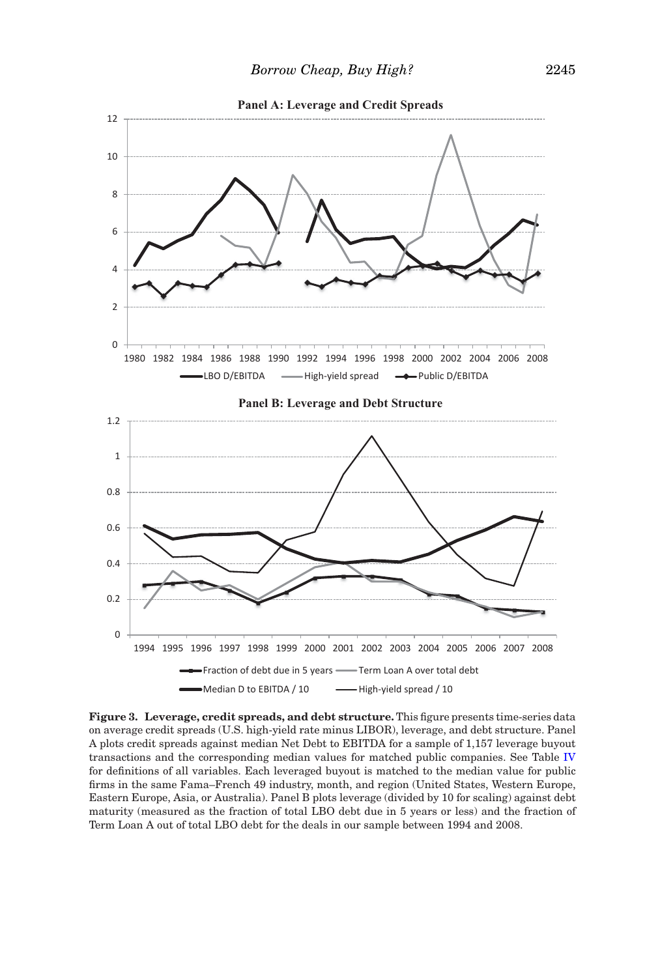

<span id="page-22-0"></span>**Figure 3. Leverage, credit spreads, and debt structure.** This figure presents time-series data on average credit spreads (U.S. high-yield rate minus LIBOR), leverage, and debt structure. Panel A plots credit spreads against median Net Debt to EBITDA for a sample of 1,157 leverage buyout transactions and the corresponding median values for matched public companies. See Table [IV](#page-16-0) for definitions of all variables. Each leveraged buyout is matched to the median value for public firms in the same Fama–French 49 industry, month, and region (United States, Western Europe, Eastern Europe, Asia, or Australia). Panel B plots leverage (divided by 10 for scaling) against debt maturity (measured as the fraction of total LBO debt due in 5 years or less) and the fraction of Term Loan A out of total LBO debt for the deals in our sample between 1994 and 2008.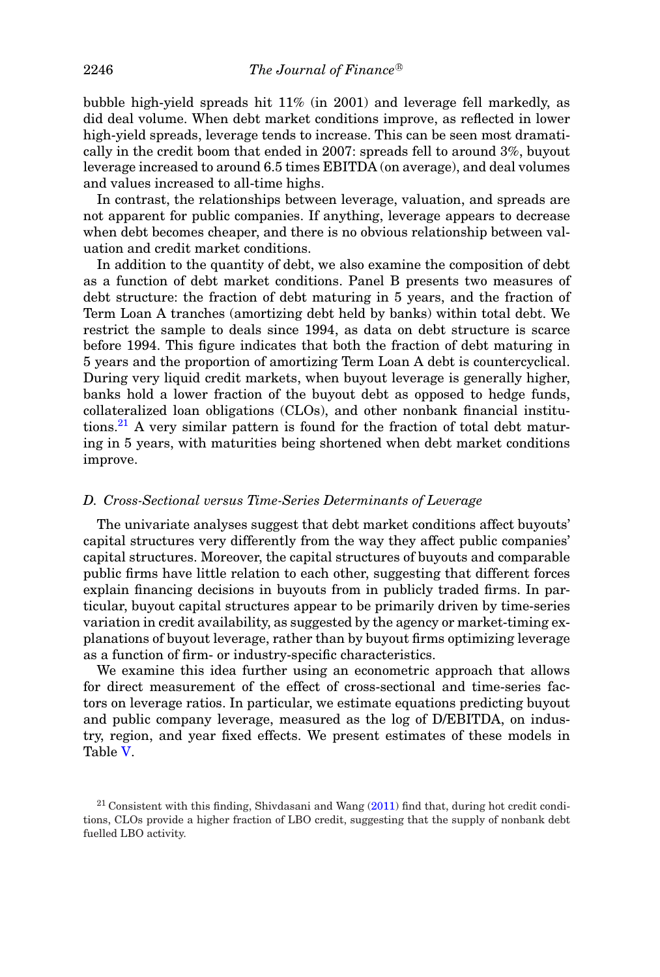bubble high-yield spreads hit 11% (in 2001) and leverage fell markedly, as did deal volume. When debt market conditions improve, as reflected in lower high-yield spreads, leverage tends to increase. This can be seen most dramatically in the credit boom that ended in 2007: spreads fell to around 3%, buyout leverage increased to around 6.5 times EBITDA (on average), and deal volumes and values increased to all-time highs.

In contrast, the relationships between leverage, valuation, and spreads are not apparent for public companies. If anything, leverage appears to decrease when debt becomes cheaper, and there is no obvious relationship between valuation and credit market conditions.

In addition to the quantity of debt, we also examine the composition of debt as a function of debt market conditions. Panel B presents two measures of debt structure: the fraction of debt maturing in 5 years, and the fraction of Term Loan A tranches (amortizing debt held by banks) within total debt. We restrict the sample to deals since 1994, as data on debt structure is scarce before 1994. This figure indicates that both the fraction of debt maturing in 5 years and the proportion of amortizing Term Loan A debt is countercyclical. During very liquid credit markets, when buyout leverage is generally higher, banks hold a lower fraction of the buyout debt as opposed to hedge funds, collateralized loan obligations (CLOs), and other nonbank financial institutions.[21](#page-23-0) A very similar pattern is found for the fraction of total debt maturing in 5 years, with maturities being shortened when debt market conditions improve.

#### *D. Cross-Sectional versus Time-Series Determinants of Leverage*

The univariate analyses suggest that debt market conditions affect buyouts' capital structures very differently from the way they affect public companies' capital structures. Moreover, the capital structures of buyouts and comparable public firms have little relation to each other, suggesting that different forces explain financing decisions in buyouts from in publicly traded firms. In particular, buyout capital structures appear to be primarily driven by time-series variation in credit availability, as suggested by the agency or market-timing explanations of buyout leverage, rather than by buyout firms optimizing leverage as a function of firm- or industry-specific characteristics.

We examine this idea further using an econometric approach that allows for direct measurement of the effect of cross-sectional and time-series factors on leverage ratios. In particular, we estimate equations predicting buyout and public company leverage, measured as the log of D/EBITDA, on industry, region, and year fixed effects. We present estimates of these models in Table [V.](#page-24-0)

<span id="page-23-0"></span><sup>&</sup>lt;sup>21</sup> Consistent with this finding, Shivdasani and Wang [\(2011\)](#page-43-20) find that, during hot credit conditions, CLOs provide a higher fraction of LBO credit, suggesting that the supply of nonbank debt fuelled LBO activity.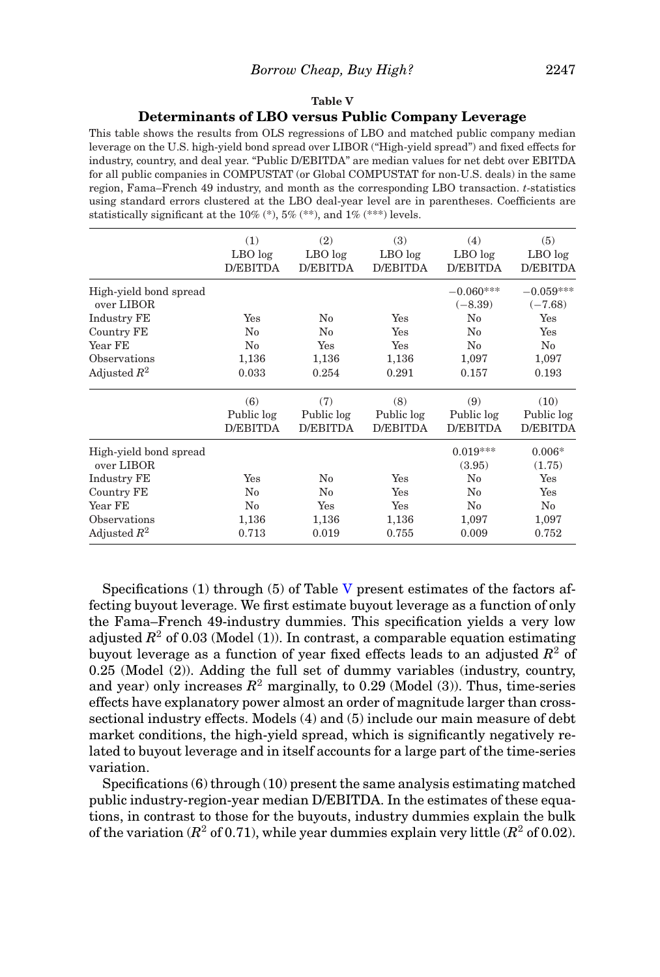#### **Table V**

#### **Determinants of LBO versus Public Company Leverage**

<span id="page-24-0"></span>This table shows the results from OLS regressions of LBO and matched public company median leverage on the U.S. high-yield bond spread over LIBOR ("High-yield spread") and fixed effects for industry, country, and deal year. "Public D/EBITDA" are median values for net debt over EBITDA for all public companies in COMPUSTAT (or Global COMPUSTAT for non-U.S. deals) in the same region, Fama–French 49 industry, and month as the corresponding LBO transaction. *t*-statistics using standard errors clustered at the LBO deal-year level are in parentheses. Coefficients are statistically significant at the 10% (\*),  $5\%$  (\*\*), and  $1\%$  (\*\*\*) levels.

|                                      | (1)<br>$LBO$ $log$<br>D/EBITDA | (2)<br>$LBO$ $log$<br>D/EBITDA       | (3)<br>LBO log<br>D/EBITDA           | (4)<br>$LBO$ $log$<br><b>D/EBITDA</b> | (5)<br>$LBO$ $log$<br>D/EBITDA        |
|--------------------------------------|--------------------------------|--------------------------------------|--------------------------------------|---------------------------------------|---------------------------------------|
| High-yield bond spread<br>over LIBOR |                                |                                      |                                      | $-0.060***$<br>$(-8.39)$              | $-0.059***$<br>$(-7.68)$              |
| Industry FE                          | Yes                            | $\rm No$                             | Yes                                  | $\rm No$                              | Yes                                   |
| Country FE                           | $\rm No$                       | $\rm No$                             | Yes                                  | $\rm No$                              | Yes                                   |
| Year FE                              | $\rm No$                       | Yes                                  | Yes                                  | $\rm No$                              | $\rm No$                              |
| Observations                         | 1,136                          | 1,136                                | 1,136                                | 1,097                                 | 1,097                                 |
| Adjusted $R^2$                       | 0.033                          | 0.254                                | 0.291                                | 0.157                                 | 0.193                                 |
|                                      | (6)<br>Public log<br>D/EBITDA  | (7)<br>Public log<br><b>D/EBITDA</b> | (8)<br>Public log<br><b>D/EBITDA</b> | (9)<br>Public log<br><b>D/EBITDA</b>  | (10)<br>Public log<br><b>D/EBITDA</b> |
| High-yield bond spread<br>over LIBOR |                                |                                      |                                      | $0.019***$<br>(3.95)                  | $0.006*$<br>(1.75)                    |
| <b>Industry FE</b>                   | Yes                            | $\rm No$                             | Yes                                  | No                                    | Yes                                   |
| Country FE                           | No                             | $\rm No$                             | Yes                                  | $\rm No$                              | Yes                                   |
| Year FE                              | No                             | Yes                                  | Yes                                  | $\rm No$                              | $\rm No$                              |
| Observations                         | 1,136                          | 1,136                                | 1,136                                | 1,097                                 | 1,097                                 |
| Adjusted $R^2$                       | 0.713                          | 0.019                                | 0.755                                | 0.009                                 | 0.752                                 |

Specifications (1) through (5) of Table [V](#page-24-0) present estimates of the factors affecting buyout leverage. We first estimate buyout leverage as a function of only the Fama–French 49-industry dummies. This specification yields a very low adjusted  $R^2$  of 0.03 (Model (1)). In contrast, a comparable equation estimating buyout leverage as a function of year fixed effects leads to an adjusted  $R<sup>2</sup>$  of 0.25 (Model (2)). Adding the full set of dummy variables (industry, country, and year) only increases  $R^2$  marginally, to 0.29 (Model (3)). Thus, time-series effects have explanatory power almost an order of magnitude larger than crosssectional industry effects. Models (4) and (5) include our main measure of debt market conditions, the high-yield spread, which is significantly negatively related to buyout leverage and in itself accounts for a large part of the time-series variation.

Specifications (6) through (10) present the same analysis estimating matched public industry-region-year median D/EBITDA. In the estimates of these equations, in contrast to those for the buyouts, industry dummies explain the bulk of the variation  $(R^2 \text{ of } 0.71)$ , while year dummies explain very little  $(R^2 \text{ of } 0.02)$ .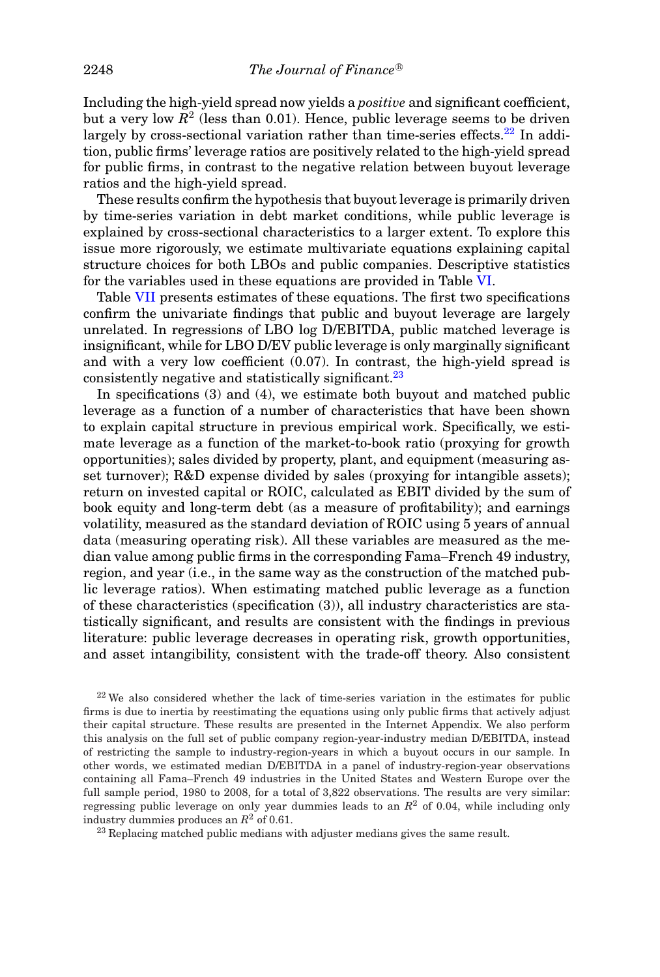Including the high-yield spread now yields a *positive* and significant coefficient, but a very low  $R^2$  (less than 0.01). Hence, public leverage seems to be driven largely by cross-sectional variation rather than time-series effects. $22$  In addition, public firms' leverage ratios are positively related to the high-yield spread for public firms, in contrast to the negative relation between buyout leverage ratios and the high-yield spread.

These results confirm the hypothesis that buyout leverage is primarily driven by time-series variation in debt market conditions, while public leverage is explained by cross-sectional characteristics to a larger extent. To explore this issue more rigorously, we estimate multivariate equations explaining capital structure choices for both LBOs and public companies. Descriptive statistics for the variables used in these equations are provided in Table [VI.](#page-26-0)

Table [VII](#page-27-0) presents estimates of these equations. The first two specifications confirm the univariate findings that public and buyout leverage are largely unrelated. In regressions of LBO log D/EBITDA, public matched leverage is insignificant, while for LBO D/EV public leverage is only marginally significant and with a very low coefficient (0.07). In contrast, the high-yield spread is consistently negative and statistically significant.<sup>23</sup>

In specifications (3) and (4), we estimate both buyout and matched public leverage as a function of a number of characteristics that have been shown to explain capital structure in previous empirical work. Specifically, we estimate leverage as a function of the market-to-book ratio (proxying for growth opportunities); sales divided by property, plant, and equipment (measuring asset turnover); R&D expense divided by sales (proxying for intangible assets); return on invested capital or ROIC, calculated as EBIT divided by the sum of book equity and long-term debt (as a measure of profitability); and earnings volatility, measured as the standard deviation of ROIC using 5 years of annual data (measuring operating risk). All these variables are measured as the median value among public firms in the corresponding Fama–French 49 industry, region, and year (i.e., in the same way as the construction of the matched public leverage ratios). When estimating matched public leverage as a function of these characteristics (specification (3)), all industry characteristics are statistically significant, and results are consistent with the findings in previous literature: public leverage decreases in operating risk, growth opportunities, and asset intangibility, consistent with the trade-off theory. Also consistent

<span id="page-25-0"></span> $22$  We also considered whether the lack of time-series variation in the estimates for public firms is due to inertia by reestimating the equations using only public firms that actively adjust their capital structure. These results are presented in the Internet Appendix. We also perform this analysis on the full set of public company region-year-industry median D/EBITDA, instead of restricting the sample to industry-region-years in which a buyout occurs in our sample. In other words, we estimated median D/EBITDA in a panel of industry-region-year observations containing all Fama–French 49 industries in the United States and Western Europe over the full sample period, 1980 to 2008, for a total of 3,822 observations. The results are very similar: regressing public leverage on only year dummies leads to an  $R<sup>2</sup>$  of 0.04, while including only industry dummies produces an  $R^2$  of 0.61.

<span id="page-25-1"></span> $23$  Replacing matched public medians with adjuster medians gives the same result.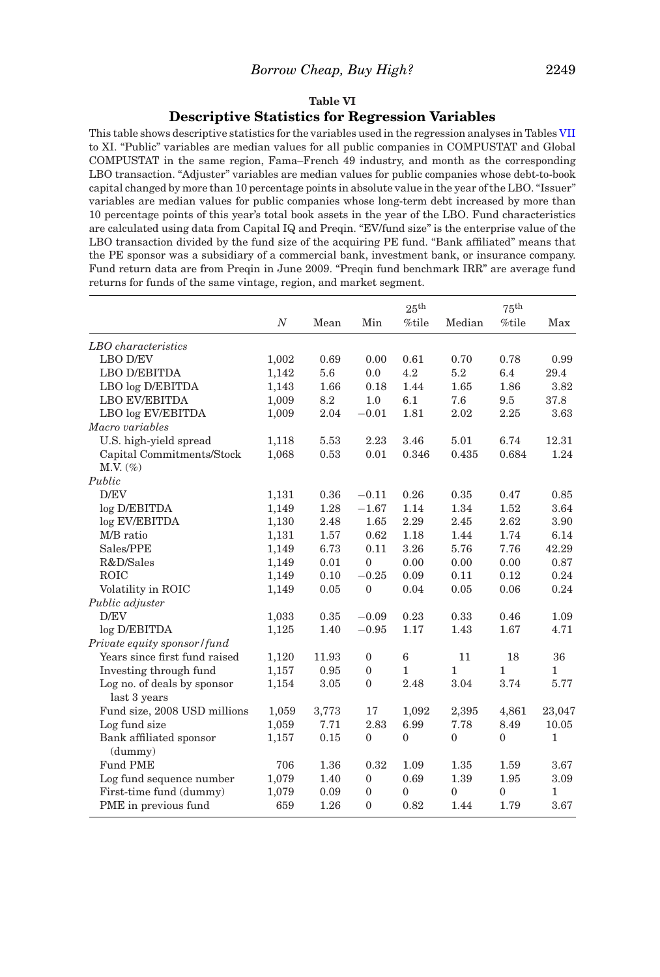## **Table VI Descriptive Statistics for Regression Variables**

<span id="page-26-0"></span>This table shows descriptive statistics for the variables used in the regression analyses in Tables [VII](#page-27-0) to XI. "Public" variables are median values for all public companies in COMPUSTAT and Global COMPUSTAT in the same region, Fama–French 49 industry, and month as the corresponding LBO transaction. "Adjuster" variables are median values for public companies whose debt-to-book capital changed by more than 10 percentage points in absolute value in the year of the LBO. "Issuer" variables are median values for public companies whose long-term debt increased by more than 10 percentage points of this year's total book assets in the year of the LBO. Fund characteristics are calculated using data from Capital IQ and Preqin. "EV/fund size" is the enterprise value of the LBO transaction divided by the fund size of the acquiring PE fund. "Bank affiliated" means that the PE sponsor was a subsidiary of a commercial bank, investment bank, or insurance company. Fund return data are from Preqin in June 2009. "Preqin fund benchmark IRR" are average fund returns for funds of the same vintage, region, and market segment.

|                               |                  |       |                  | 25 <sup>th</sup> |              | 75 <sup>th</sup> |              |
|-------------------------------|------------------|-------|------------------|------------------|--------------|------------------|--------------|
|                               | $\boldsymbol{N}$ | Mean  | Min              | %tile            | Median       | %tile            | Max          |
| LBO characteristics           |                  |       |                  |                  |              |                  |              |
| <b>LBO D/EV</b>               | 1,002            | 0.69  | 0.00             | 0.61             | 0.70         | 0.78             | 0.99         |
| <b>LBO D/EBITDA</b>           | 1,142            | 5.6   | 0.0              | 4.2              | 5.2          | 6.4              | 29.4         |
| LBO log D/EBITDA              | 1,143            | 1.66  | 0.18             | 1.44             | 1.65         | 1.86             | 3.82         |
| <b>LBO EV/EBITDA</b>          | 1,009            | 8.2   | 1.0              | 6.1              | 7.6          | 9.5              | 37.8         |
| LBO log EV/EBITDA             | 1,009            | 2.04  | $-0.01$          | 1.81             | 2.02         | 2.25             | 3.63         |
| Macro variables               |                  |       |                  |                  |              |                  |              |
| U.S. high-yield spread        | 1,118            | 5.53  | 2.23             | 3.46             | 5.01         | 6.74             | 12.31        |
| Capital Commitments/Stock     | 1,068            | 0.53  | 0.01             | 0.346            | 0.435        | 0.684            | 1.24         |
| $M.V.$ $(\%)$                 |                  |       |                  |                  |              |                  |              |
| Public                        |                  |       |                  |                  |              |                  |              |
| D/EV                          | 1,131            | 0.36  | $-0.11$          | 0.26             | 0.35         | 0.47             | 0.85         |
| log D/EBITDA                  | 1,149            | 1.28  | $-1.67$          | 1.14             | 1.34         | 1.52             | 3.64         |
| log EV/EBITDA                 | 1,130            | 2.48  | 1.65             | 2.29             | 2.45         | 2.62             | 3.90         |
| M/B ratio                     | 1,131            | 1.57  | 0.62             | 1.18             | 1.44         | 1.74             | 6.14         |
| Sales/PPE                     | 1,149            | 6.73  | 0.11             | 3.26             | 5.76         | 7.76             | 42.29        |
| R&D/Sales                     | 1,149            | 0.01  | $\mathbf{0}$     | 0.00             | 0.00         | 0.00             | 0.87         |
| <b>ROIC</b>                   | 1,149            | 0.10  | $-0.25$          | 0.09             | 0.11         | 0.12             | 0.24         |
| Volatility in ROIC            | 1,149            | 0.05  | $\mathbf{0}$     | 0.04             | 0.05         | 0.06             | 0.24         |
| Public adjuster               |                  |       |                  |                  |              |                  |              |
| D/EV                          | 1,033            | 0.35  | $-0.09$          | 0.23             | 0.33         | 0.46             | 1.09         |
| log D/EBITDA                  | 1,125            | 1.40  | $-0.95$          | 1.17             | 1.43         | 1.67             | 4.71         |
| Private equity sponsor/fund   |                  |       |                  |                  |              |                  |              |
| Years since first fund raised | 1,120            | 11.93 | $\boldsymbol{0}$ | $6\phantom{1}6$  | 11           | 18               | 36           |
| Investing through fund        | 1,157            | 0.95  | $\overline{0}$   | $\mathbf{1}$     | $\mathbf{1}$ | $\mathbf{1}$     | $\mathbf{1}$ |
| Log no. of deals by sponsor   | 1,154            | 3.05  | $\overline{0}$   | 2.48             | 3.04         | 3.74             | 5.77         |
| last 3 years                  |                  |       |                  |                  |              |                  |              |
| Fund size, 2008 USD millions  | 1,059            | 3,773 | 17               | 1,092            | 2,395        | 4,861            | 23,047       |
| Log fund size                 | 1,059            | 7.71  | 2.83             | 6.99             | 7.78         | 8.49             | 10.05        |
| Bank affiliated sponsor       | 1,157            | 0.15  | $\mathbf{0}$     | $\mathbf{0}$     | $\mathbf{0}$ | $\theta$         | $\mathbf{1}$ |
| (dummy)                       |                  |       |                  |                  |              |                  |              |
| <b>Fund PME</b>               | 706              | 1.36  | 0.32             | 1.09             | 1.35         | 1.59             | 3.67         |
| Log fund sequence number      | 1,079            | 1.40  | $\mathbf{0}$     | 0.69             | 1.39         | 1.95             | 3.09         |
| First-time fund (dummy)       | 1,079            | 0.09  | $\mathbf{0}$     | $\mathbf{0}$     | $\mathbf{0}$ | $\mathbf{0}$     | $\mathbf{1}$ |
| PME in previous fund          | 659              | 1.26  | $\mathbf{0}$     | 0.82             | 1.44         | 1.79             | 3.67         |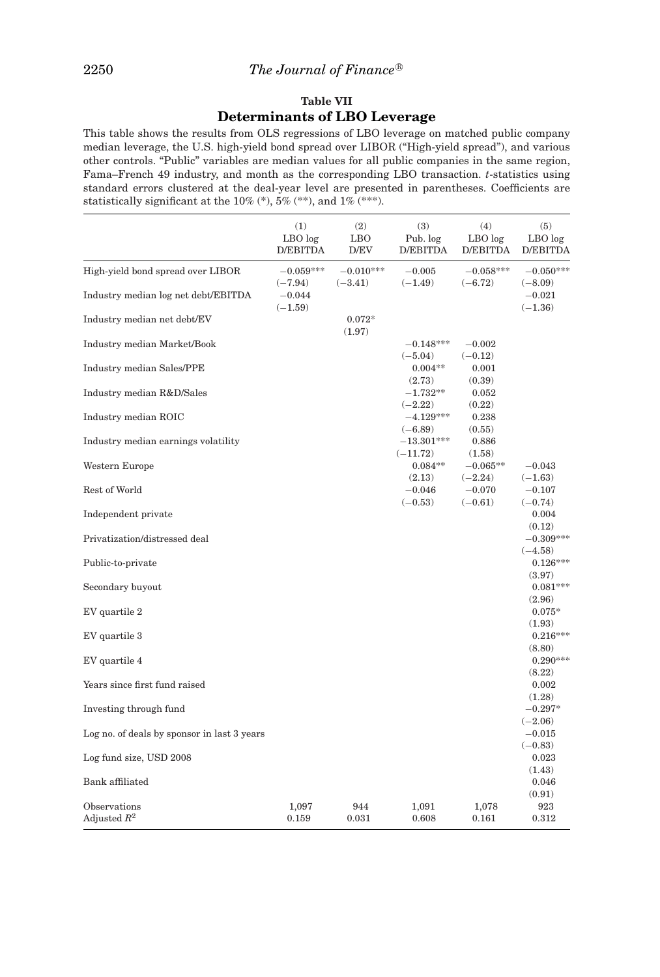## 2250 **The Journal of Finance**

## **Table VII Determinants of LBO Leverage**

<span id="page-27-0"></span>This table shows the results from OLS regressions of LBO leverage on matched public company median leverage, the U.S. high-yield bond spread over LIBOR ("High-yield spread"), and various other controls. "Public" variables are median values for all public companies in the same region, Fama–French 49 industry, and month as the corresponding LBO transaction. *t*-statistics using standard errors clustered at the deal-year level are presented in parentheses. Coefficients are statistically significant at the 10% (\*),  $5\%$  (\*\*), and  $1\%$  (\*\*\*).

|                                             | (1)<br>LBO log<br>D/EBITDA | (2)<br><b>LBO</b><br>D/EV | (3)<br>Pub. log<br>D/EBITDA      | (4)<br>LBO log<br>D/EBITDA | (5)<br>$LBO$ $log$<br>D/EBITDA   |
|---------------------------------------------|----------------------------|---------------------------|----------------------------------|----------------------------|----------------------------------|
| High-yield bond spread over LIBOR           | $-0.059***$<br>$(-7.94)$   | $-0.010***$<br>$(-3.41)$  | $-0.005$<br>$(-1.49)$            | $-0.058***$<br>$(-6.72)$   | $-0.050***$<br>$(-8.09)$         |
| Industry median log net debt/EBITDA         | $-0.044$<br>$(-1.59)$      |                           |                                  |                            | $-0.021$<br>$(-1.36)$            |
| Industry median net debt/EV                 |                            | $0.072*$<br>(1.97)        |                                  |                            |                                  |
| Industry median Market/Book                 |                            |                           | $-0.148***$                      | $-0.002$<br>$(-0.12)$      |                                  |
| Industry median Sales/PPE                   |                            |                           | $(-5.04)$<br>$0.004**$<br>(2.73) | 0.001<br>(0.39)            |                                  |
| Industry median R&D/Sales                   |                            |                           | $-1.732**$<br>$(-2.22)$          | 0.052<br>(0.22)            |                                  |
| Industry median ROIC                        |                            |                           | $-4.129***$                      | 0.238                      |                                  |
| Industry median earnings volatility         |                            |                           | $(-6.89)$<br>$-13.301***$        | (0.55)<br>0.886<br>(1.58)  |                                  |
| Western Europe                              |                            |                           | $(-11.72)$<br>$0.084**$          | $-0.065**$                 | $-0.043$                         |
| Rest of World                               |                            |                           | (2.13)<br>$-0.046$               | $(-2.24)$<br>$-0.070$      | $(-1.63)$<br>$-0.107$            |
| Independent private                         |                            |                           | $(-0.53)$                        | $(-0.61)$                  | $(-0.74)$<br>0.004               |
| Privatization/distressed deal               |                            |                           |                                  |                            | (0.12)<br>$-0.309***$            |
| Public-to-private                           |                            |                           |                                  |                            | $(-4.58)$<br>$0.126***$          |
| Secondary buyout                            |                            |                           |                                  |                            | (3.97)<br>$0.081***$<br>(2.96)   |
| EV quartile 2                               |                            |                           |                                  |                            | $0.075*$<br>(1.93)               |
| EV quartile 3                               |                            |                           |                                  |                            | $0.216***$<br>(8.80)             |
| EV quartile 4                               |                            |                           |                                  |                            | $0.290***$<br>(8.22)             |
| Years since first fund raised               |                            |                           |                                  |                            | 0.002                            |
| Investing through fund                      |                            |                           |                                  |                            | (1.28)<br>$-0.297*$<br>$(-2.06)$ |
| Log no. of deals by sponsor in last 3 years |                            |                           |                                  |                            | $-0.015$<br>$(-0.83)$            |
| Log fund size, USD 2008                     |                            |                           |                                  |                            | 0.023                            |
| Bank affiliated                             |                            |                           |                                  |                            | (1.43)<br>0.046                  |
| Observations<br>Adjusted $R^2$              | 1,097<br>0.159             | 944<br>0.031              | 1,091<br>0.608                   | 1,078<br>0.161             | (0.91)<br>923<br>0.312           |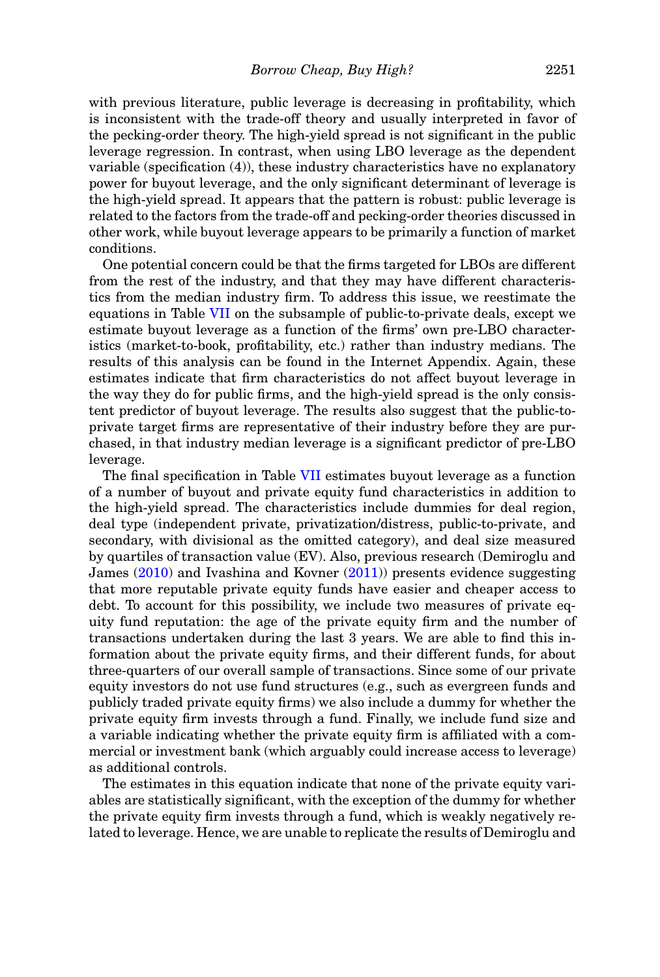with previous literature, public leverage is decreasing in profitability, which is inconsistent with the trade-off theory and usually interpreted in favor of the pecking-order theory. The high-yield spread is not significant in the public leverage regression. In contrast, when using LBO leverage as the dependent variable (specification (4)), these industry characteristics have no explanatory power for buyout leverage, and the only significant determinant of leverage is the high-yield spread. It appears that the pattern is robust: public leverage is related to the factors from the trade-off and pecking-order theories discussed in other work, while buyout leverage appears to be primarily a function of market conditions.

One potential concern could be that the firms targeted for LBOs are different from the rest of the industry, and that they may have different characteristics from the median industry firm. To address this issue, we reestimate the equations in Table [VII](#page-27-0) on the subsample of public-to-private deals, except we estimate buyout leverage as a function of the firms' own pre-LBO characteristics (market-to-book, profitability, etc.) rather than industry medians. The results of this analysis can be found in the Internet Appendix. Again, these estimates indicate that firm characteristics do not affect buyout leverage in the way they do for public firms, and the high-yield spread is the only consistent predictor of buyout leverage. The results also suggest that the public-toprivate target firms are representative of their industry before they are purchased, in that industry median leverage is a significant predictor of pre-LBO leverage.

The final specification in Table [VII](#page-27-0) estimates buyout leverage as a function of a number of buyout and private equity fund characteristics in addition to the high-yield spread. The characteristics include dummies for deal region, deal type (independent private, privatization/distress, public-to-private, and secondary, with divisional as the omitted category), and deal size measured by quartiles of transaction value (EV). Also, previous research (Demiroglu and James [\(2010\)](#page-42-0) and Ivashina and Kovner [\(2011\)](#page-43-1)) presents evidence suggesting that more reputable private equity funds have easier and cheaper access to debt. To account for this possibility, we include two measures of private equity fund reputation: the age of the private equity firm and the number of transactions undertaken during the last 3 years. We are able to find this information about the private equity firms, and their different funds, for about three-quarters of our overall sample of transactions. Since some of our private equity investors do not use fund structures (e.g., such as evergreen funds and publicly traded private equity firms) we also include a dummy for whether the private equity firm invests through a fund. Finally, we include fund size and a variable indicating whether the private equity firm is affiliated with a commercial or investment bank (which arguably could increase access to leverage) as additional controls.

The estimates in this equation indicate that none of the private equity variables are statistically significant, with the exception of the dummy for whether the private equity firm invests through a fund, which is weakly negatively related to leverage. Hence, we are unable to replicate the results of Demiroglu and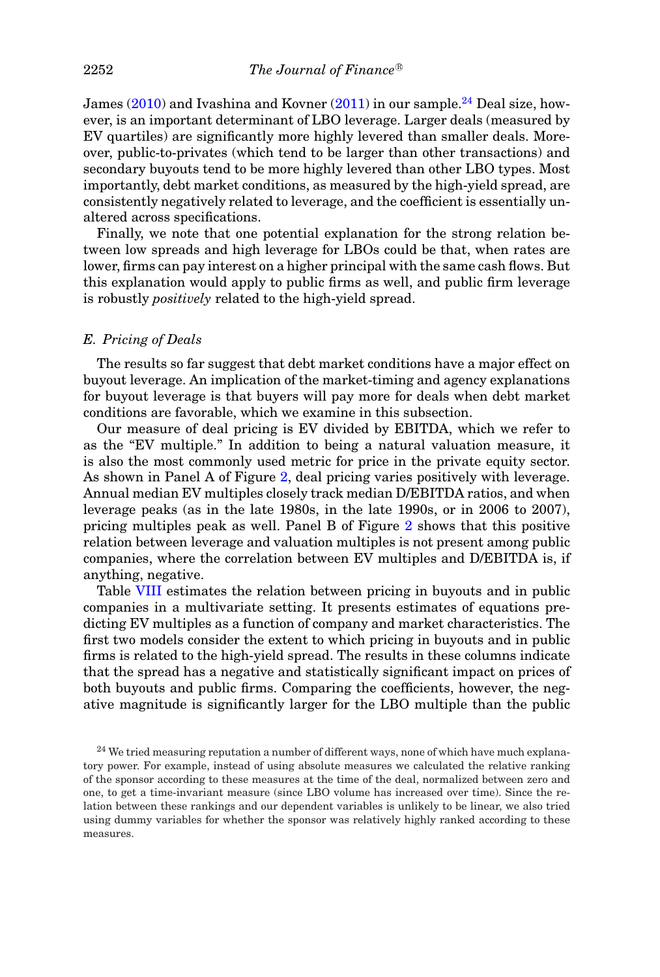James [\(2010\)](#page-42-0) and Ivashina and Kovner [\(2011\)](#page-43-1) in our sample.<sup>[24](#page-29-0)</sup> Deal size, however, is an important determinant of LBO leverage. Larger deals (measured by EV quartiles) are significantly more highly levered than smaller deals. Moreover, public-to-privates (which tend to be larger than other transactions) and secondary buyouts tend to be more highly levered than other LBO types. Most importantly, debt market conditions, as measured by the high-yield spread, are consistently negatively related to leverage, and the coefficient is essentially unaltered across specifications.

Finally, we note that one potential explanation for the strong relation between low spreads and high leverage for LBOs could be that, when rates are lower, firms can pay interest on a higher principal with the same cash flows. But this explanation would apply to public firms as well, and public firm leverage is robustly *positively* related to the high-yield spread.

#### *E. Pricing of Deals*

The results so far suggest that debt market conditions have a major effect on buyout leverage. An implication of the market-timing and agency explanations for buyout leverage is that buyers will pay more for deals when debt market conditions are favorable, which we examine in this subsection.

Our measure of deal pricing is EV divided by EBITDA, which we refer to as the "EV multiple." In addition to being a natural valuation measure, it is also the most commonly used metric for price in the private equity sector. As shown in Panel A of Figure [2,](#page-20-0) deal pricing varies positively with leverage. Annual median EV multiples closely track median D/EBITDA ratios, and when leverage peaks (as in the late 1980s, in the late 1990s, or in 2006 to 2007), pricing multiples peak as well. Panel B of Figure [2](#page-20-0) shows that this positive relation between leverage and valuation multiples is not present among public companies, where the correlation between EV multiples and D/EBITDA is, if anything, negative.

Table [VIII](#page-30-0) estimates the relation between pricing in buyouts and in public companies in a multivariate setting. It presents estimates of equations predicting EV multiples as a function of company and market characteristics. The first two models consider the extent to which pricing in buyouts and in public firms is related to the high-yield spread. The results in these columns indicate that the spread has a negative and statistically significant impact on prices of both buyouts and public firms. Comparing the coefficients, however, the negative magnitude is significantly larger for the LBO multiple than the public

<span id="page-29-0"></span><sup>24</sup> We tried measuring reputation a number of different ways, none of which have much explanatory power. For example, instead of using absolute measures we calculated the relative ranking of the sponsor according to these measures at the time of the deal, normalized between zero and one, to get a time-invariant measure (since LBO volume has increased over time). Since the relation between these rankings and our dependent variables is unlikely to be linear, we also tried using dummy variables for whether the sponsor was relatively highly ranked according to these measures.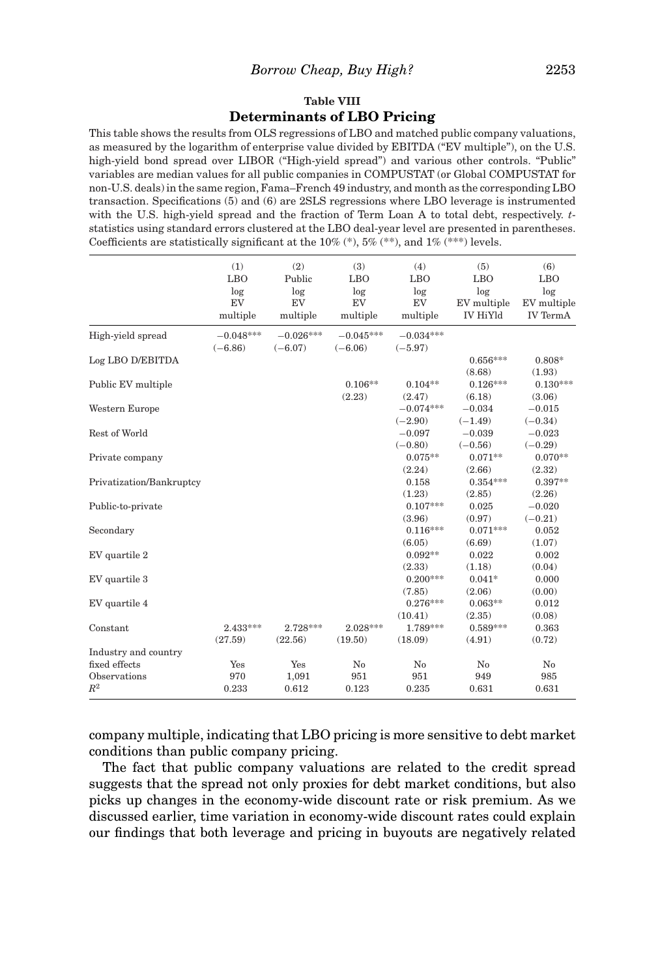## **Table VIII Determinants of LBO Pricing**

<span id="page-30-0"></span>This table shows the results from OLS regressions of LBO and matched public company valuations, as measured by the logarithm of enterprise value divided by EBITDA ("EV multiple"), on the U.S. high-yield bond spread over LIBOR ("High-yield spread") and various other controls. "Public" variables are median values for all public companies in COMPUSTAT (or Global COMPUSTAT for non-U.S. deals) in the same region, Fama–French 49 industry, and month as the corresponding LBO transaction. Specifications (5) and (6) are 2SLS regressions where LBO leverage is instrumented with the U.S. high-yield spread and the fraction of Term Loan A to total debt, respectively. *t*statistics using standard errors clustered at the LBO deal-year level are presented in parentheses. Coefficients are statistically significant at the 10% (\*),  $5\%$  (\*\*), and 1% (\*\*\*) levels.

|                          | (1)<br><b>LBO</b><br>log<br>EV<br>multiple | (2)<br>Public<br>log<br><b>EV</b><br>multiple | (3)<br><b>LBO</b><br>log<br><b>EV</b><br>multiple | (4)<br><b>LBO</b><br>log<br>EV<br>multiple | (5)<br><b>LBO</b><br>log<br>EV multiple<br><b>IV HiYld</b> | (6)<br><b>LBO</b><br>log<br>EV multiple<br><b>IV TermA</b> |
|--------------------------|--------------------------------------------|-----------------------------------------------|---------------------------------------------------|--------------------------------------------|------------------------------------------------------------|------------------------------------------------------------|
| High-yield spread        | $-0.048***$                                | $-0.026***$                                   | $-0.045***$                                       | $-0.034***$                                |                                                            |                                                            |
| Log LBO D/EBITDA         | $(-6.86)$                                  | $(-6.07)$                                     | $(-6.06)$                                         | $(-5.97)$                                  | $0.656***$<br>(8.68)                                       | $0.808*$<br>(1.93)                                         |
| Public EV multiple       |                                            |                                               | $0.106**$<br>(2.23)                               | $0.104**$<br>(2.47)                        | $0.126***$<br>(6.18)                                       | $0.130***$<br>(3.06)                                       |
| Western Europe           |                                            |                                               |                                                   | $-0.074***$<br>$(-2.90)$                   | $-0.034$<br>$(-1.49)$                                      | $-0.015$<br>$(-0.34)$                                      |
| Rest of World            |                                            |                                               |                                                   | $-0.097$<br>$(-0.80)$                      | $-0.039$<br>$(-0.56)$                                      | $-0.023$<br>$(-0.29)$                                      |
| Private company          |                                            |                                               |                                                   | $0.075**$<br>(2.24)                        | $0.071**$<br>(2.66)                                        | $0.070**$<br>(2.32)                                        |
| Privatization/Bankruptcy |                                            |                                               |                                                   | 0.158                                      | $0.354***$                                                 | $0.397**$                                                  |
| Public-to-private        |                                            |                                               |                                                   | (1.23)<br>$0.107***$                       | (2.85)<br>0.025                                            | (2.26)<br>$-0.020$                                         |
| Secondary                |                                            |                                               |                                                   | (3.96)<br>$0.116***$                       | (0.97)<br>$0.071***$                                       | $(-0.21)$<br>0.052                                         |
| EV quartile 2            |                                            |                                               |                                                   | (6.05)<br>$0.092**$                        | (6.69)<br>0.022                                            | (1.07)<br>0.002                                            |
| EV quartile 3            |                                            |                                               |                                                   | (2.33)<br>$0.200***$<br>(7.85)             | (1.18)<br>$0.041*$<br>(2.06)                               | (0.04)<br>0.000<br>(0.00)                                  |
| EV quartile 4            |                                            |                                               |                                                   | $0.276***$<br>(10.41)                      | $0.063**$<br>(2.35)                                        | 0.012<br>(0.08)                                            |
| Constant                 | $2.433***$<br>(27.59)                      | 2.728***<br>(22.56)                           | 2.028***<br>(19.50)                               | 1.789***<br>(18.09)                        | $0.589***$<br>(4.91)                                       | 0.363<br>(0.72)                                            |
| Industry and country     |                                            |                                               |                                                   |                                            |                                                            |                                                            |
| fixed effects            | Yes                                        | Yes                                           | No                                                | N <sub>0</sub>                             | $\rm No$                                                   | No                                                         |
| Observations<br>$R^2$    | 970<br>0.233                               | 1,091<br>0.612                                | 951<br>0.123                                      | 951<br>0.235                               | 949<br>0.631                                               | 985<br>0.631                                               |

company multiple, indicating that LBO pricing is more sensitive to debt market conditions than public company pricing.

The fact that public company valuations are related to the credit spread suggests that the spread not only proxies for debt market conditions, but also picks up changes in the economy-wide discount rate or risk premium. As we discussed earlier, time variation in economy-wide discount rates could explain our findings that both leverage and pricing in buyouts are negatively related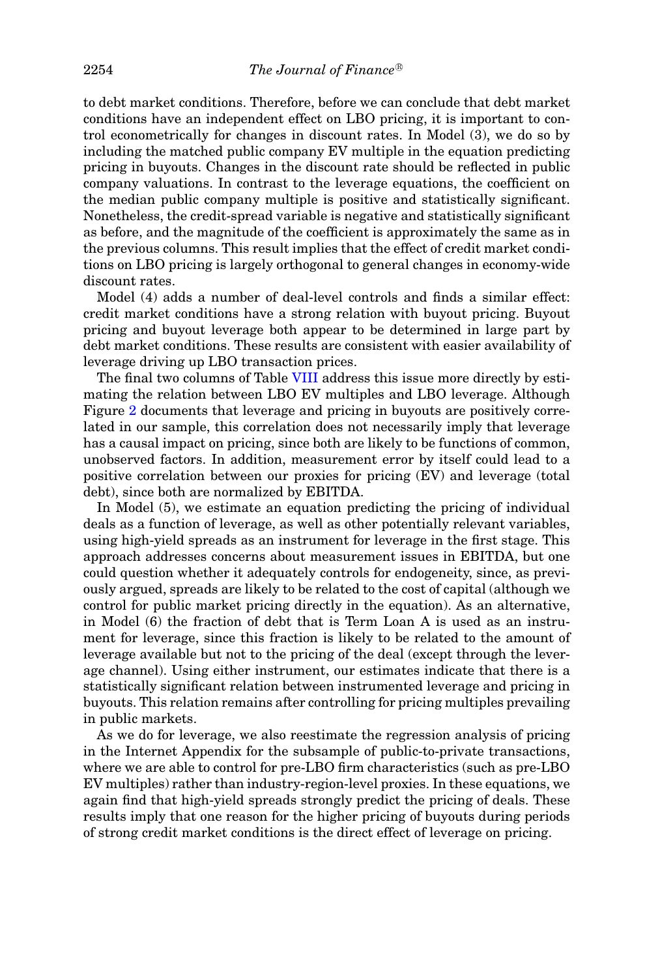to debt market conditions. Therefore, before we can conclude that debt market conditions have an independent effect on LBO pricing, it is important to control econometrically for changes in discount rates. In Model (3), we do so by including the matched public company EV multiple in the equation predicting pricing in buyouts. Changes in the discount rate should be reflected in public company valuations. In contrast to the leverage equations, the coefficient on the median public company multiple is positive and statistically significant. Nonetheless, the credit-spread variable is negative and statistically significant as before, and the magnitude of the coefficient is approximately the same as in the previous columns. This result implies that the effect of credit market conditions on LBO pricing is largely orthogonal to general changes in economy-wide discount rates.

Model (4) adds a number of deal-level controls and finds a similar effect: credit market conditions have a strong relation with buyout pricing. Buyout pricing and buyout leverage both appear to be determined in large part by debt market conditions. These results are consistent with easier availability of leverage driving up LBO transaction prices.

The final two columns of Table [VIII](#page-30-0) address this issue more directly by estimating the relation between LBO EV multiples and LBO leverage. Although Figure [2](#page-20-0) documents that leverage and pricing in buyouts are positively correlated in our sample, this correlation does not necessarily imply that leverage has a causal impact on pricing, since both are likely to be functions of common, unobserved factors. In addition, measurement error by itself could lead to a positive correlation between our proxies for pricing (EV) and leverage (total debt), since both are normalized by EBITDA.

In Model (5), we estimate an equation predicting the pricing of individual deals as a function of leverage, as well as other potentially relevant variables, using high-yield spreads as an instrument for leverage in the first stage. This approach addresses concerns about measurement issues in EBITDA, but one could question whether it adequately controls for endogeneity, since, as previously argued, spreads are likely to be related to the cost of capital (although we control for public market pricing directly in the equation). As an alternative, in Model (6) the fraction of debt that is Term Loan A is used as an instrument for leverage, since this fraction is likely to be related to the amount of leverage available but not to the pricing of the deal (except through the leverage channel). Using either instrument, our estimates indicate that there is a statistically significant relation between instrumented leverage and pricing in buyouts. This relation remains after controlling for pricing multiples prevailing in public markets.

As we do for leverage, we also reestimate the regression analysis of pricing in the Internet Appendix for the subsample of public-to-private transactions, where we are able to control for pre-LBO firm characteristics (such as pre-LBO EV multiples) rather than industry-region-level proxies. In these equations, we again find that high-yield spreads strongly predict the pricing of deals. These results imply that one reason for the higher pricing of buyouts during periods of strong credit market conditions is the direct effect of leverage on pricing.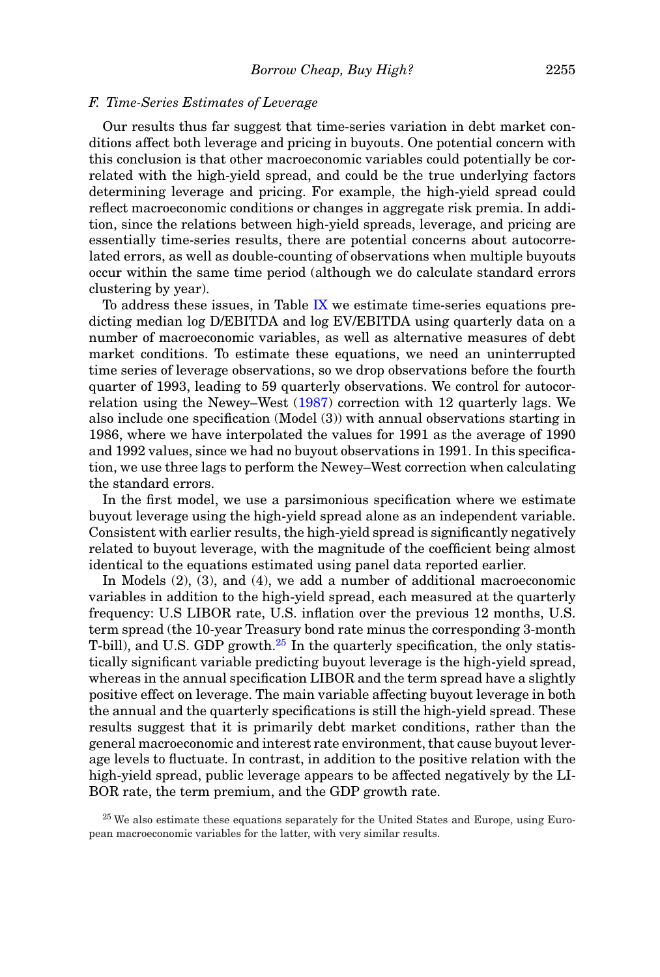#### *F. Time-Series Estimates of Leverage*

Our results thus far suggest that time-series variation in debt market conditions affect both leverage and pricing in buyouts. One potential concern with this conclusion is that other macroeconomic variables could potentially be correlated with the high-yield spread, and could be the true underlying factors determining leverage and pricing. For example, the high-yield spread could reflect macroeconomic conditions or changes in aggregate risk premia. In addition, since the relations between high-yield spreads, leverage, and pricing are essentially time-series results, there are potential concerns about autocorrelated errors, as well as double-counting of observations when multiple buyouts occur within the same time period (although we do calculate standard errors clustering by year).

To address these issues, in Table  $IX$  we estimate time-series equations predicting median log D/EBITDA and log EV/EBITDA using quarterly data on a number of macroeconomic variables, as well as alternative measures of debt market conditions. To estimate these equations, we need an uninterrupted time series of leverage observations, so we drop observations before the fourth quarter of 1993, leading to 59 quarterly observations. We control for autocorrelation using the Newey–West [\(1987\)](#page-43-21) correction with 12 quarterly lags. We also include one specification (Model (3)) with annual observations starting in 1986, where we have interpolated the values for 1991 as the average of 1990 and 1992 values, since we had no buyout observations in 1991. In this specification, we use three lags to perform the Newey–West correction when calculating the standard errors.

In the first model, we use a parsimonious specification where we estimate buyout leverage using the high-yield spread alone as an independent variable. Consistent with earlier results, the high-yield spread is significantly negatively related to buyout leverage, with the magnitude of the coefficient being almost identical to the equations estimated using panel data reported earlier.

In Models (2), (3), and (4), we add a number of additional macroeconomic variables in addition to the high-yield spread, each measured at the quarterly frequency: U.S LIBOR rate, U.S. inflation over the previous 12 months, U.S. term spread (the 10-year Treasury bond rate minus the corresponding 3-month T-bill), and U.S. GDP growth.<sup>[25](#page-32-0)</sup> In the quarterly specification, the only statistically significant variable predicting buyout leverage is the high-yield spread, whereas in the annual specification LIBOR and the term spread have a slightly positive effect on leverage. The main variable affecting buyout leverage in both the annual and the quarterly specifications is still the high-yield spread. These results suggest that it is primarily debt market conditions, rather than the general macroeconomic and interest rate environment, that cause buyout leverage levels to fluctuate. In contrast, in addition to the positive relation with the high-yield spread, public leverage appears to be affected negatively by the LI-BOR rate, the term premium, and the GDP growth rate.

<span id="page-32-0"></span><sup>25</sup> We also estimate these equations separately for the United States and Europe, using European macroeconomic variables for the latter, with very similar results.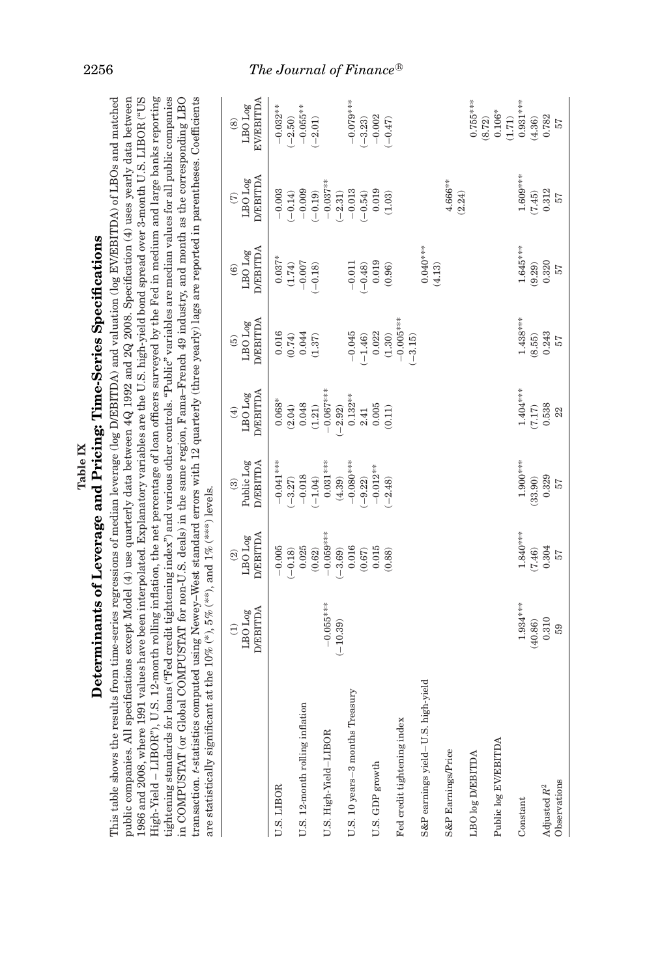<span id="page-33-0"></span>

|                         | ا<br>م                                                                                                                          |
|-------------------------|---------------------------------------------------------------------------------------------------------------------------------|
|                         |                                                                                                                                 |
|                         |                                                                                                                                 |
|                         |                                                                                                                                 |
|                         | م مسابق المجموع المجموع المجموع المجموع المجموع المجموع المجموع المجموع المجموع المجموع المجموع المجموع المجمو<br>مجموع المجموع |
|                         |                                                                                                                                 |
|                         |                                                                                                                                 |
|                         |                                                                                                                                 |
| $\overline{\mathbf{X}}$ |                                                                                                                                 |
|                         |                                                                                                                                 |
| Table                   |                                                                                                                                 |
|                         |                                                                                                                                 |
|                         |                                                                                                                                 |
|                         |                                                                                                                                 |

This table shows the results from time-series regressions of median leverage (log DEBHTDA) and valuation (log EV/BEHTDA) of LBOs and matched and the series of median inversed (og DEBHTDA) and valuation (og EV/BEHTDA) of L Determinants of Leverage and Pricing: Time-Series Specifications **Determinants of Leverage and Pricing: Time-Series Specifications**

|                                    | $\begin{array}{c} {\bf (1)}\\ {\bf LBO Log}\\ {\bf D/EBITDA} \end{array}$ | $\begin{array}{c} {\text{(2)}}\\ {\text{LBO Log}}\\ {\text{DEBITDA}} \end{array}$                                                                                          | $\begin{array}{c} {\bf (3)} \\ {\bf Public Log} \\ {\bf D/EBITDA} \end{array}$                                                                                                                                      | $\begin{array}{c} (4)\\ {\tt LBO Log}\\ {\tt D/BITD} \end{array}$                                                                                                                                                                                                                                                | $\begin{array}{c} \text{(5)} \\ \text{LBO Log} \\ \text{DEBITDA} \end{array}$ | $$\begin{array}{c} (6)\\{\text{LBO Log}}\\{\text{DEBITDA}} \end{array}$$ | $^{(7)}_{\tt LBO\,Log}$<br>DEBITDA                                                                                                       | $$\begin{array}{c} (8)\\ {\bf LBO}\ {\bf Log}\\ {\bf EV/EBITDA} \end{array}$$                                                   |
|------------------------------------|---------------------------------------------------------------------------|----------------------------------------------------------------------------------------------------------------------------------------------------------------------------|---------------------------------------------------------------------------------------------------------------------------------------------------------------------------------------------------------------------|------------------------------------------------------------------------------------------------------------------------------------------------------------------------------------------------------------------------------------------------------------------------------------------------------------------|-------------------------------------------------------------------------------|--------------------------------------------------------------------------|------------------------------------------------------------------------------------------------------------------------------------------|---------------------------------------------------------------------------------------------------------------------------------|
| <b>U.S. LIBOR</b>                  |                                                                           |                                                                                                                                                                            | $\begin{array}{r} -0.041^{***} \\ -0.27) \\ -0.018 \\ -0.014 \\ 0.031^{***} \\ -0.030 \\ -0.080^{***} \\ -0.030^{***} \\ -0.030^{***} \\ -0.030^{***} \\ -0.032^{**} \\ -0.032^{**} \\ -0.033^{***} \\ \end{array}$ | $\begin{array}{c} 0.068^* \\ 0.043 \\ 0.043 \\ 0.048 \\ 0.057^{***} \\ -1.21) \\ -0.067^{***} \\ -0.32 \\ 0.051 \\ 0.005 \\ 0.005 \\ 0.001 \\ 0.001 \\ 0.001 \\ 0.01 \\ 0.01 \\ 0.01 \\ 0.01 \\ 0.01 \\ 0.01 \\ 0.01 \\ 0.01 \\ 0.01 \\ 0.01 \\ 0.01 \\ 0.01 \\ 0.01 \\ 0.01 \\ 0.01 \\ 0.01 \\ 0.01 \\ 0.01 \\$ |                                                                               | $\begin{array}{c} 0.037^{*} \\ (1.74) \\ -0.007 \\ (-0.18) \end{array}$  |                                                                                                                                          | $\begin{array}{r} -0.032^{***} \\ (-2.50) \\ -0.055^{**} \\ (-2.01) \end{array}$                                                |
|                                    |                                                                           | $-0.005$<br>$-0.18$<br>$-0.025$<br>$0.062$<br>$0.63$<br>$-0.56$<br>$-0.56$<br>$-0.016$<br>$-0.016$<br>$-0.016$<br>$-0.016$<br>$-0.016$<br>$-0.016$<br>$-0.016$<br>$-0.016$ |                                                                                                                                                                                                                     |                                                                                                                                                                                                                                                                                                                  | $\begin{array}{c} 0.016 \\ 0.74) \\ 0.044 \\ 1.37) \end{array}$               |                                                                          | $\begin{array}{r} -0.003 \\ -0.14) \\ -0.009 \\ -0.019) \\ -0.037^{**} \\ -0.037^{**} \\ -0.037^{**} \\ -0.013 \\ -0.013 \\ \end{array}$ |                                                                                                                                 |
| U.S. 12-month rolling inflation    |                                                                           |                                                                                                                                                                            |                                                                                                                                                                                                                     |                                                                                                                                                                                                                                                                                                                  |                                                                               |                                                                          |                                                                                                                                          |                                                                                                                                 |
|                                    |                                                                           |                                                                                                                                                                            |                                                                                                                                                                                                                     |                                                                                                                                                                                                                                                                                                                  |                                                                               |                                                                          |                                                                                                                                          |                                                                                                                                 |
| U.S. High-Yield-LIBOR              | $-0.055***$<br>(-10.39)                                                   |                                                                                                                                                                            |                                                                                                                                                                                                                     |                                                                                                                                                                                                                                                                                                                  |                                                                               |                                                                          |                                                                                                                                          |                                                                                                                                 |
|                                    |                                                                           |                                                                                                                                                                            |                                                                                                                                                                                                                     |                                                                                                                                                                                                                                                                                                                  |                                                                               |                                                                          |                                                                                                                                          |                                                                                                                                 |
| U.S. 10 years –3 months Treasury   |                                                                           |                                                                                                                                                                            |                                                                                                                                                                                                                     |                                                                                                                                                                                                                                                                                                                  |                                                                               | $\begin{array}{r} -0.011 \\ -0.48) \\ 0.019 \\ 0.096 \end{array}$        |                                                                                                                                          | $-0.079***$<br>$(-3.23)$<br>$-0.002$<br>$(-0.47)$                                                                               |
|                                    |                                                                           |                                                                                                                                                                            |                                                                                                                                                                                                                     |                                                                                                                                                                                                                                                                                                                  |                                                                               |                                                                          |                                                                                                                                          |                                                                                                                                 |
| U.S. GDP growth                    |                                                                           |                                                                                                                                                                            |                                                                                                                                                                                                                     |                                                                                                                                                                                                                                                                                                                  |                                                                               |                                                                          |                                                                                                                                          |                                                                                                                                 |
|                                    |                                                                           |                                                                                                                                                                            |                                                                                                                                                                                                                     |                                                                                                                                                                                                                                                                                                                  |                                                                               |                                                                          |                                                                                                                                          |                                                                                                                                 |
| Fed credit tightening index        |                                                                           |                                                                                                                                                                            |                                                                                                                                                                                                                     |                                                                                                                                                                                                                                                                                                                  | $-0.045$<br>$(-1.46)$<br>$0.022$<br>$(1.30)$<br>$(-0.005***$                  |                                                                          |                                                                                                                                          |                                                                                                                                 |
| S&P earnings yield-U.S. high-yield |                                                                           |                                                                                                                                                                            |                                                                                                                                                                                                                     |                                                                                                                                                                                                                                                                                                                  |                                                                               |                                                                          |                                                                                                                                          |                                                                                                                                 |
|                                    |                                                                           |                                                                                                                                                                            |                                                                                                                                                                                                                     |                                                                                                                                                                                                                                                                                                                  |                                                                               | $0.040***$<br>(4.13)                                                     |                                                                                                                                          |                                                                                                                                 |
| S&P Earnings/Price                 |                                                                           |                                                                                                                                                                            |                                                                                                                                                                                                                     |                                                                                                                                                                                                                                                                                                                  |                                                                               |                                                                          | $4.666***$<br>(2.24)                                                                                                                     |                                                                                                                                 |
|                                    |                                                                           |                                                                                                                                                                            |                                                                                                                                                                                                                     |                                                                                                                                                                                                                                                                                                                  |                                                                               |                                                                          |                                                                                                                                          |                                                                                                                                 |
| LBO $\log$ D/EBITDA                |                                                                           |                                                                                                                                                                            |                                                                                                                                                                                                                     |                                                                                                                                                                                                                                                                                                                  |                                                                               |                                                                          |                                                                                                                                          |                                                                                                                                 |
| Public log EV/EBITDA               |                                                                           |                                                                                                                                                                            |                                                                                                                                                                                                                     |                                                                                                                                                                                                                                                                                                                  |                                                                               |                                                                          |                                                                                                                                          | $\begin{array}{c} 0.755^{***} \\ (8.72) \\ (0.106^{*} \\ (1.71) \\ (1.71) \\ (0.931^{***} \\ (4.36) \\ 0.782 \\ 57 \end{array}$ |
|                                    |                                                                           |                                                                                                                                                                            |                                                                                                                                                                                                                     |                                                                                                                                                                                                                                                                                                                  |                                                                               |                                                                          |                                                                                                                                          |                                                                                                                                 |
| Constant                           | $1.934***$<br>(40.86)<br>0.310<br>0.310                                   | $1.840***$<br>$(7.46)$<br>$0.304$<br>$57$                                                                                                                                  | $1.900***$<br>$(33.90)$<br>$0.329$<br>$57$                                                                                                                                                                          | $1.404***$<br>$(7.17)$<br>0.538<br>22                                                                                                                                                                                                                                                                            | $1.438***$<br>(8.55)<br>0.243                                                 | $1.645***$<br>$(9.29)$<br>$0.320$<br>$57$                                | $1.609***$<br>$(7.45)$<br>$0.312$<br>$57$                                                                                                |                                                                                                                                 |
|                                    |                                                                           |                                                                                                                                                                            |                                                                                                                                                                                                                     |                                                                                                                                                                                                                                                                                                                  |                                                                               |                                                                          |                                                                                                                                          |                                                                                                                                 |
| Adjusted $R^2$                     |                                                                           |                                                                                                                                                                            |                                                                                                                                                                                                                     |                                                                                                                                                                                                                                                                                                                  |                                                                               |                                                                          |                                                                                                                                          |                                                                                                                                 |
| Observations                       |                                                                           |                                                                                                                                                                            |                                                                                                                                                                                                                     |                                                                                                                                                                                                                                                                                                                  | 57                                                                            |                                                                          |                                                                                                                                          |                                                                                                                                 |

## 2256 **The Journal of Finance**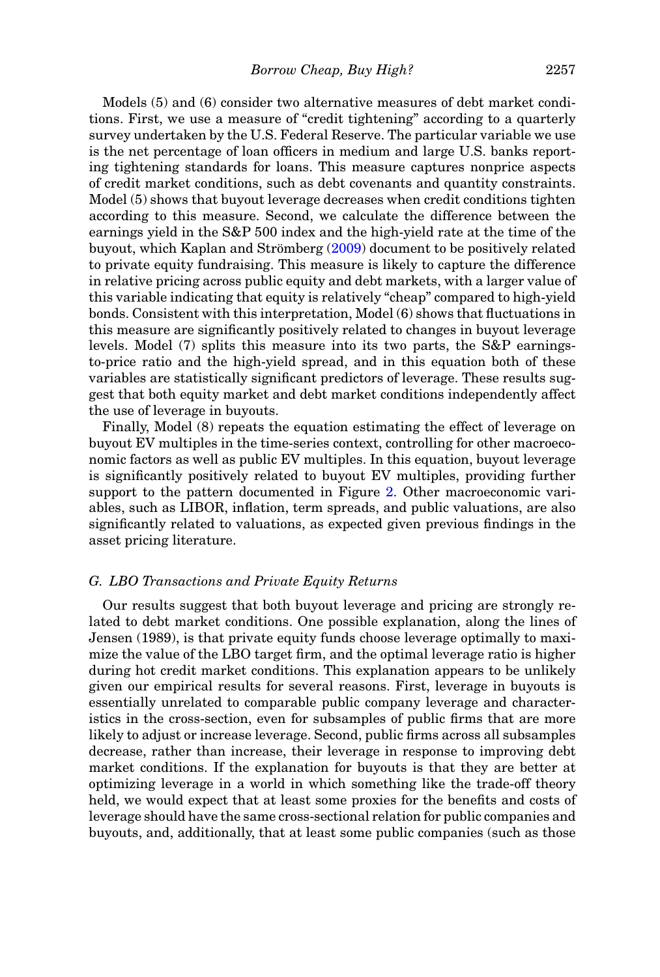Models (5) and (6) consider two alternative measures of debt market conditions. First, we use a measure of "credit tightening" according to a quarterly survey undertaken by the U.S. Federal Reserve. The particular variable we use is the net percentage of loan officers in medium and large U.S. banks reporting tightening standards for loans. This measure captures nonprice aspects of credit market conditions, such as debt covenants and quantity constraints. Model (5) shows that buyout leverage decreases when credit conditions tighten according to this measure. Second, we calculate the difference between the earnings yield in the S&P 500 index and the high-yield rate at the time of the buyout, which Kaplan and Strömberg  $(2009)$  $(2009)$  document to be positively related to private equity fundraising. This measure is likely to capture the difference in relative pricing across public equity and debt markets, with a larger value of this variable indicating that equity is relatively "cheap" compared to high-yield bonds. Consistent with this interpretation, Model (6) shows that fluctuations in this measure are significantly positively related to changes in buyout leverage levels. Model (7) splits this measure into its two parts, the S&P earningsto-price ratio and the high-yield spread, and in this equation both of these variables are statistically significant predictors of leverage. These results suggest that both equity market and debt market conditions independently affect the use of leverage in buyouts.

Finally, Model (8) repeats the equation estimating the effect of leverage on buyout EV multiples in the time-series context, controlling for other macroeconomic factors as well as public EV multiples. In this equation, buyout leverage is significantly positively related to buyout EV multiples, providing further support to the pattern documented in Figure [2.](#page-20-0) Other macroeconomic variables, such as LIBOR, inflation, term spreads, and public valuations, are also significantly related to valuations, as expected given previous findings in the asset pricing literature.

#### *G. LBO Transactions and Private Equity Returns*

Our results suggest that both buyout leverage and pricing are strongly related to debt market conditions. One possible explanation, along the lines of Jensen (1989), is that private equity funds choose leverage optimally to maximize the value of the LBO target firm, and the optimal leverage ratio is higher during hot credit market conditions. This explanation appears to be unlikely given our empirical results for several reasons. First, leverage in buyouts is essentially unrelated to comparable public company leverage and characteristics in the cross-section, even for subsamples of public firms that are more likely to adjust or increase leverage. Second, public firms across all subsamples decrease, rather than increase, their leverage in response to improving debt market conditions. If the explanation for buyouts is that they are better at optimizing leverage in a world in which something like the trade-off theory held, we would expect that at least some proxies for the benefits and costs of leverage should have the same cross-sectional relation for public companies and buyouts, and, additionally, that at least some public companies (such as those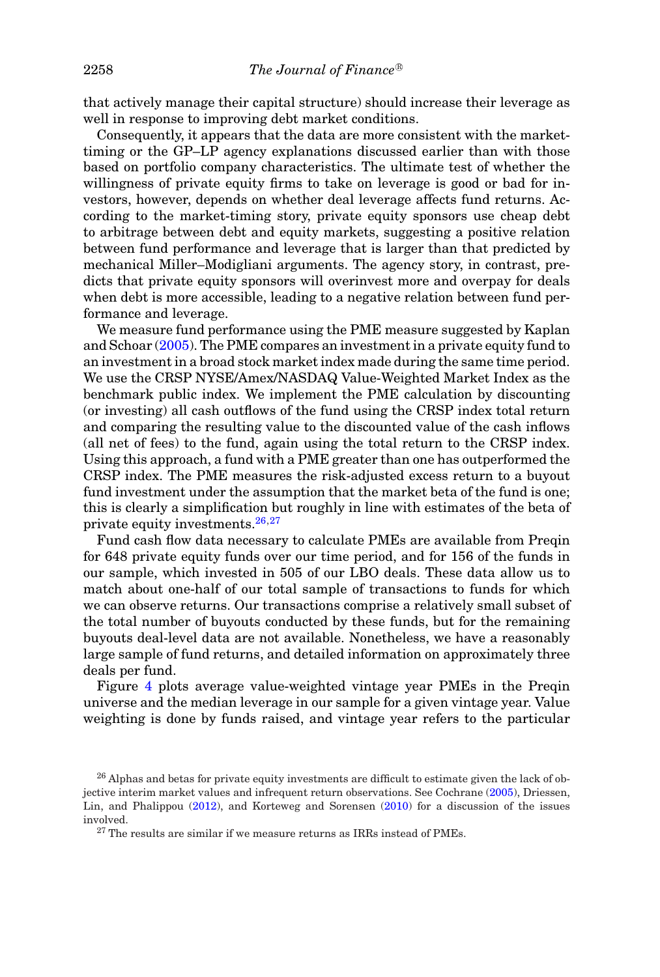that actively manage their capital structure) should increase their leverage as well in response to improving debt market conditions.

Consequently, it appears that the data are more consistent with the markettiming or the GP–LP agency explanations discussed earlier than with those based on portfolio company characteristics. The ultimate test of whether the willingness of private equity firms to take on leverage is good or bad for investors, however, depends on whether deal leverage affects fund returns. According to the market-timing story, private equity sponsors use cheap debt to arbitrage between debt and equity markets, suggesting a positive relation between fund performance and leverage that is larger than that predicted by mechanical Miller–Modigliani arguments. The agency story, in contrast, predicts that private equity sponsors will overinvest more and overpay for deals when debt is more accessible, leading to a negative relation between fund performance and leverage.

We measure fund performance using the PME measure suggested by Kaplan and Schoar [\(2005\)](#page-43-7). The PME compares an investment in a private equity fund to an investment in a broad stock market index made during the same time period. We use the CRSP NYSE/Amex/NASDAQ Value-Weighted Market Index as the benchmark public index. We implement the PME calculation by discounting (or investing) all cash outflows of the fund using the CRSP index total return and comparing the resulting value to the discounted value of the cash inflows (all net of fees) to the fund, again using the total return to the CRSP index. Using this approach, a fund with a PME greater than one has outperformed the CRSP index. The PME measures the risk-adjusted excess return to a buyout fund investment under the assumption that the market beta of the fund is one; this is clearly a simplification but roughly in line with estimates of the beta of private equity investments.[26,](#page-35-0)[27](#page-35-1)

Fund cash flow data necessary to calculate PMEs are available from Preqin for 648 private equity funds over our time period, and for 156 of the funds in our sample, which invested in 505 of our LBO deals. These data allow us to match about one-half of our total sample of transactions to funds for which we can observe returns. Our transactions comprise a relatively small subset of the total number of buyouts conducted by these funds, but for the remaining buyouts deal-level data are not available. Nonetheless, we have a reasonably large sample of fund returns, and detailed information on approximately three deals per fund.

Figure [4](#page-36-0) plots average value-weighted vintage year PMEs in the Preqin universe and the median leverage in our sample for a given vintage year. Value weighting is done by funds raised, and vintage year refers to the particular

<span id="page-35-0"></span><sup>&</sup>lt;sup>26</sup> Alphas and betas for private equity investments are difficult to estimate given the lack of objective interim market values and infrequent return observations. See Cochrane [\(2005\)](#page-42-18), Driessen, Lin, and Phalippou [\(2012\)](#page-42-19), and Korteweg and Sorensen [\(2010\)](#page-43-22) for a discussion of the issues involved.

<span id="page-35-1"></span> $27$  The results are similar if we measure returns as IRRs instead of PMEs.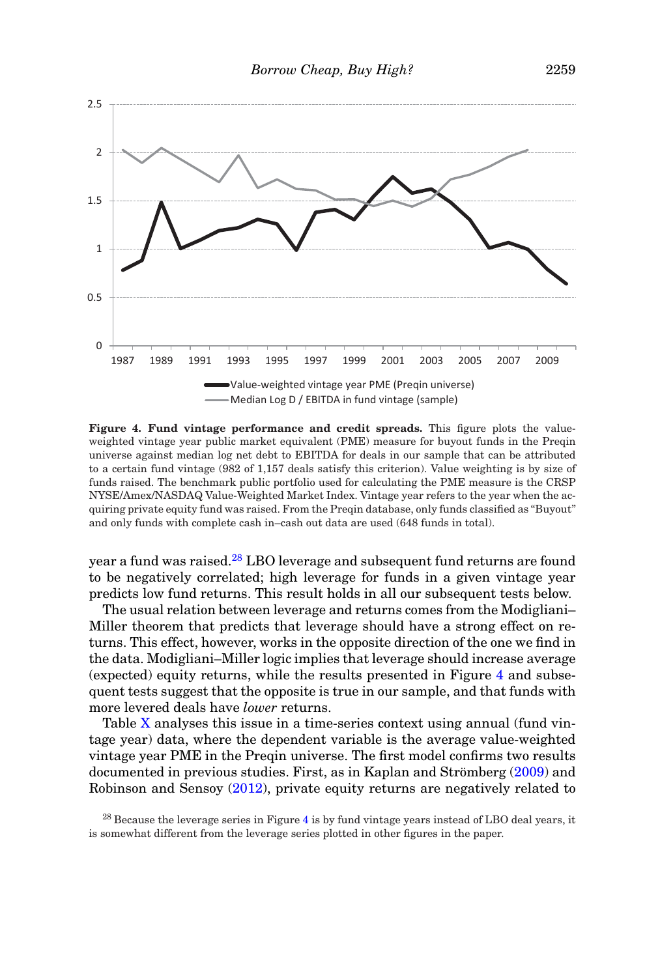

<span id="page-36-0"></span>**Figure 4. Fund vintage performance and credit spreads.** This figure plots the valueweighted vintage year public market equivalent (PME) measure for buyout funds in the Preqin universe against median log net debt to EBITDA for deals in our sample that can be attributed to a certain fund vintage (982 of 1,157 deals satisfy this criterion). Value weighting is by size of funds raised. The benchmark public portfolio used for calculating the PME measure is the CRSP NYSE/Amex/NASDAQ Value-Weighted Market Index. Vintage year refers to the year when the acquiring private equity fund was raised. From the Preqin database, only funds classified as "Buyout" and only funds with complete cash in–cash out data are used (648 funds in total).

year a fund was raised.[28](#page-36-1) LBO leverage and subsequent fund returns are found to be negatively correlated; high leverage for funds in a given vintage year predicts low fund returns. This result holds in all our subsequent tests below.

The usual relation between leverage and returns comes from the Modigliani– Miller theorem that predicts that leverage should have a strong effect on returns. This effect, however, works in the opposite direction of the one we find in the data. Modigliani–Miller logic implies that leverage should increase average (expected) equity returns, while the results presented in Figure [4](#page-36-0) and subsequent tests suggest that the opposite is true in our sample, and that funds with more levered deals have *lower* returns.

Table  $X$  analyses this issue in a time-series context using annual (fund vintage year) data, where the dependent variable is the average value-weighted vintage year PME in the Preqin universe. The first model confirms two results documented in previous studies. First, as in Kaplan and Strömberg  $(2009)$  $(2009)$  and Robinson and Sensoy [\(2012\)](#page-43-23), private equity returns are negatively related to

<span id="page-36-1"></span><sup>28</sup> Because the leverage series in Figure [4](#page-36-0) is by fund vintage years instead of LBO deal years, it is somewhat different from the leverage series plotted in other figures in the paper.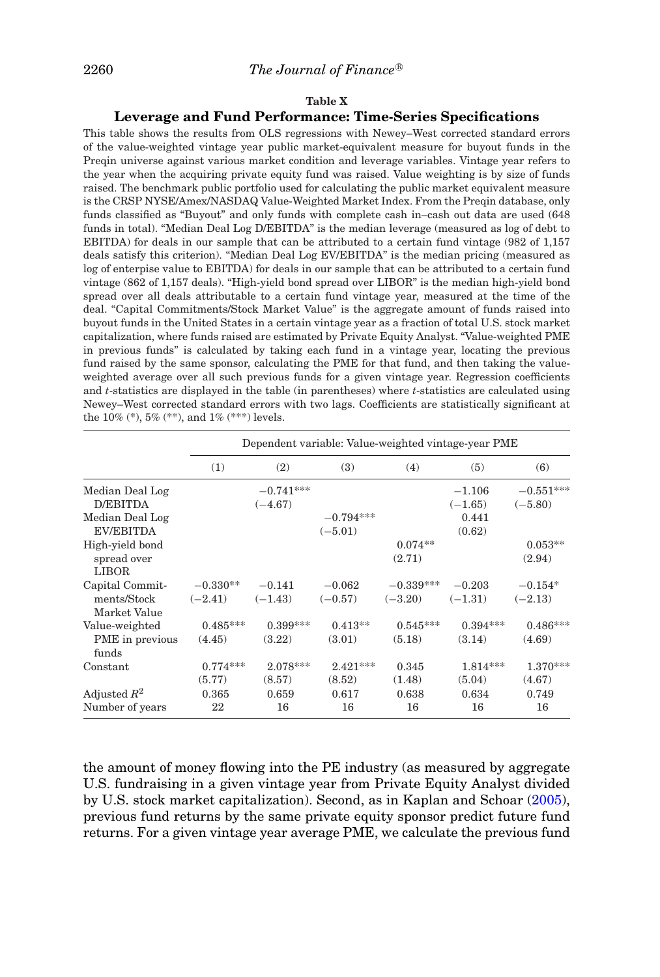#### **Table X**

#### **Leverage and Fund Performance: Time-Series Specifications**

<span id="page-37-0"></span>This table shows the results from OLS regressions with Newey–West corrected standard errors of the value-weighted vintage year public market-equivalent measure for buyout funds in the Preqin universe against various market condition and leverage variables. Vintage year refers to the year when the acquiring private equity fund was raised. Value weighting is by size of funds raised. The benchmark public portfolio used for calculating the public market equivalent measure is the CRSP NYSE/Amex/NASDAQ Value-Weighted Market Index. From the Preqin database, only funds classified as "Buyout" and only funds with complete cash in–cash out data are used (648 funds in total). "Median Deal Log D/EBITDA" is the median leverage (measured as log of debt to EBITDA) for deals in our sample that can be attributed to a certain fund vintage (982 of 1,157 deals satisfy this criterion). "Median Deal Log EV/EBITDA" is the median pricing (measured as log of enterpise value to EBITDA) for deals in our sample that can be attributed to a certain fund vintage (862 of 1,157 deals). "High-yield bond spread over LIBOR" is the median high-yield bond spread over all deals attributable to a certain fund vintage year, measured at the time of the deal. "Capital Commitments/Stock Market Value" is the aggregate amount of funds raised into buyout funds in the United States in a certain vintage year as a fraction of total U.S. stock market capitalization, where funds raised are estimated by Private Equity Analyst. "Value-weighted PME in previous funds" is calculated by taking each fund in a vintage year, locating the previous fund raised by the same sponsor, calculating the PME for that fund, and then taking the valueweighted average over all such previous funds for a given vintage year. Regression coefficients and *t*-statistics are displayed in the table (in parentheses) where *t*-statistics are calculated using Newey–West corrected standard errors with two lags. Coefficients are statistically significant at the 10% (\*), 5% (\*\*), and 1% (\*\*\*) levels.

|                                                |                         |                          | Dependent variable: Value-weighted vintage-year PME |                          |                       |                          |
|------------------------------------------------|-------------------------|--------------------------|-----------------------------------------------------|--------------------------|-----------------------|--------------------------|
|                                                | (1)                     | (2)                      | (3)                                                 | (4)                      | (5)                   | (6)                      |
| Median Deal Log<br>D/EBITDA                    |                         | $-0.741***$<br>$(-4.67)$ |                                                     |                          | $-1.106$<br>$(-1.65)$ | $-0.551***$<br>$(-5.80)$ |
| Median Deal Log<br><b>EV/EBITDA</b>            |                         |                          | $-0.794***$<br>$(-5.01)$                            |                          | 0.441<br>(0.62)       |                          |
| High-yield bond<br>spread over<br><b>LIBOR</b> |                         |                          |                                                     | $0.074**$<br>(2.71)      |                       | $0.053**$<br>(2.94)      |
| Capital Commit-<br>ments/Stock<br>Market Value | $-0.330**$<br>$(-2.41)$ | $-0.141$<br>$(-1.43)$    | $-0.062$<br>$(-0.57)$                               | $-0.339***$<br>$(-3.20)$ | $-0.203$<br>$(-1.31)$ | $-0.154*$<br>$(-2.13)$   |
| Value-weighted<br>PME in previous<br>funds     | $0.485***$<br>(4.45)    | $0.399***$<br>(3.22)     | $0.413**$<br>(3.01)                                 | $0.545***$<br>(5.18)     | $0.394***$<br>(3.14)  | $0.486***$<br>(4.69)     |
| Constant                                       | $0.774***$<br>(5.77)    | 2.078***<br>(8.57)       | $2.421***$<br>(8.52)                                | 0.345<br>(1.48)          | $1.814***$<br>(5.04)  | 1.370***<br>(4.67)       |
| Adjusted $R^2$<br>Number of years              | 0.365<br>22             | 0.659<br>16              | 0.617<br>16                                         | 0.638<br>16              | 0.634<br>16           | 0.749<br>16              |

the amount of money flowing into the PE industry (as measured by aggregate U.S. fundraising in a given vintage year from Private Equity Analyst divided by U.S. stock market capitalization). Second, as in Kaplan and Schoar [\(2005\)](#page-43-7), previous fund returns by the same private equity sponsor predict future fund returns. For a given vintage year average PME, we calculate the previous fund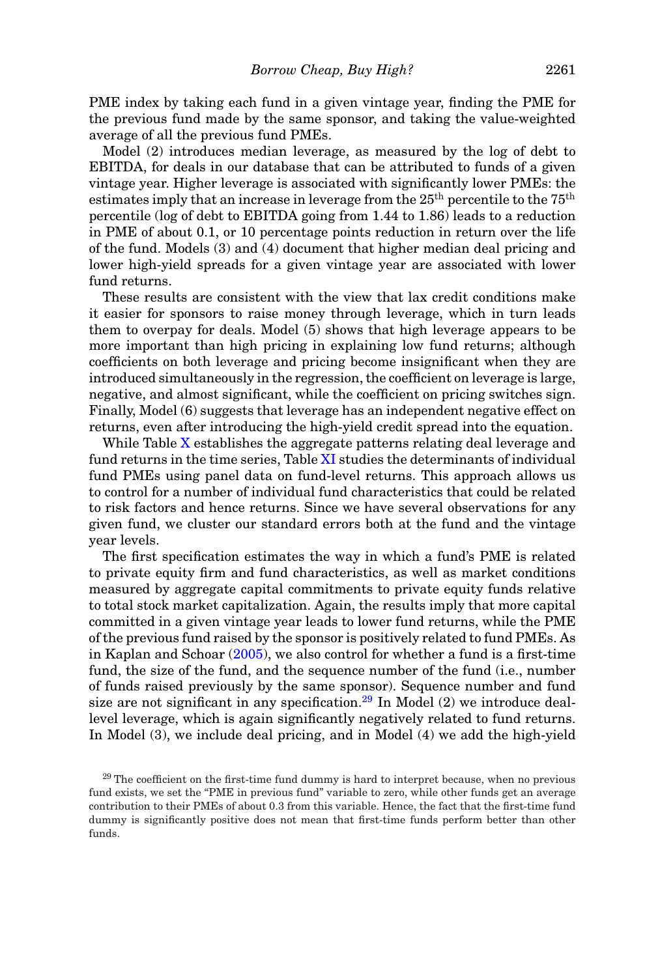PME index by taking each fund in a given vintage year, finding the PME for the previous fund made by the same sponsor, and taking the value-weighted average of all the previous fund PMEs.

Model (2) introduces median leverage, as measured by the log of debt to EBITDA, for deals in our database that can be attributed to funds of a given vintage year. Higher leverage is associated with significantly lower PMEs: the estimates imply that an increase in leverage from the  $25<sup>th</sup>$  percentile to the  $75<sup>th</sup>$ percentile (log of debt to EBITDA going from 1.44 to 1.86) leads to a reduction in PME of about 0.1, or 10 percentage points reduction in return over the life of the fund. Models (3) and (4) document that higher median deal pricing and lower high-yield spreads for a given vintage year are associated with lower fund returns.

These results are consistent with the view that lax credit conditions make it easier for sponsors to raise money through leverage, which in turn leads them to overpay for deals. Model (5) shows that high leverage appears to be more important than high pricing in explaining low fund returns; although coefficients on both leverage and pricing become insignificant when they are introduced simultaneously in the regression, the coefficient on leverage is large, negative, and almost significant, while the coefficient on pricing switches sign. Finally, Model (6) suggests that leverage has an independent negative effect on returns, even after introducing the high-yield credit spread into the equation.

While Table [X](#page-37-0) establishes the aggregate patterns relating deal leverage and fund returns in the time series, Table [XI](#page-39-0) studies the determinants of individual fund PMEs using panel data on fund-level returns. This approach allows us to control for a number of individual fund characteristics that could be related to risk factors and hence returns. Since we have several observations for any given fund, we cluster our standard errors both at the fund and the vintage year levels.

The first specification estimates the way in which a fund's PME is related to private equity firm and fund characteristics, as well as market conditions measured by aggregate capital commitments to private equity funds relative to total stock market capitalization. Again, the results imply that more capital committed in a given vintage year leads to lower fund returns, while the PME of the previous fund raised by the sponsor is positively related to fund PMEs. As in Kaplan and Schoar [\(2005\)](#page-43-7), we also control for whether a fund is a first-time fund, the size of the fund, and the sequence number of the fund (i.e., number of funds raised previously by the same sponsor). Sequence number and fund size are not significant in any specification.<sup>[29](#page-38-0)</sup> In Model  $(2)$  we introduce deallevel leverage, which is again significantly negatively related to fund returns. In Model (3), we include deal pricing, and in Model (4) we add the high-yield

<span id="page-38-0"></span> $29$  The coefficient on the first-time fund dummy is hard to interpret because, when no previous fund exists, we set the "PME in previous fund" variable to zero, while other funds get an average contribution to their PMEs of about 0.3 from this variable. Hence, the fact that the first-time fund dummy is significantly positive does not mean that first-time funds perform better than other funds.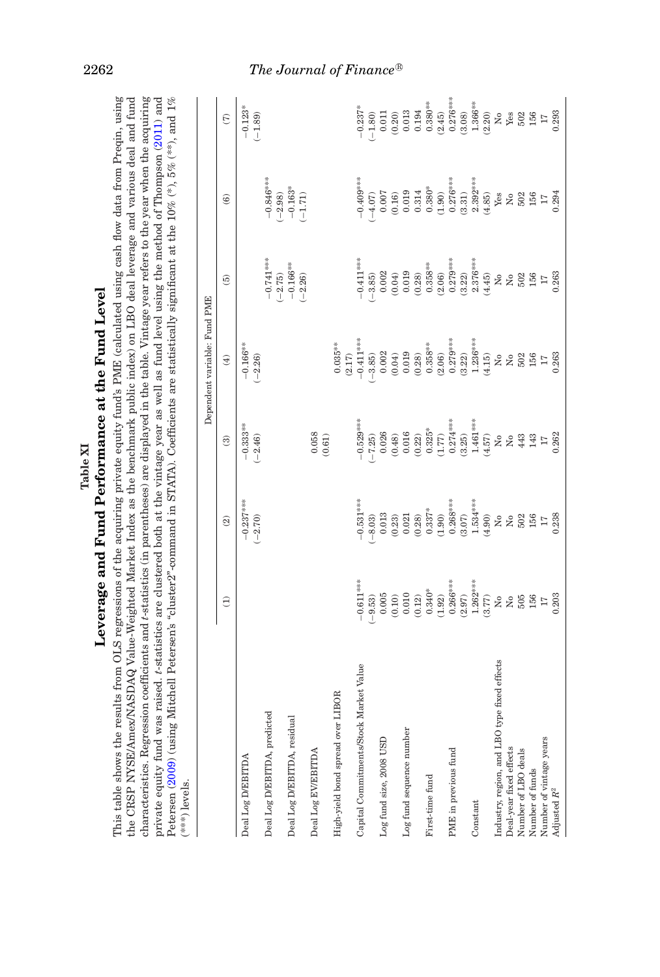| characteristics. Regression coefficients and t-statistics (in parentheses) are displayed in the table. Vintage year refers to the year when the acquiring<br>Petersen (2009) (using Mitchell Petersen's "cluster2"-command in STATA). Coefficients are statistically significant at the 10% (*), 5% (**, and 1%<br>the CRSP NYSE/Amex/NASDAQ Value-Weighted Market Index as the benchmark public index) on LBO deal leverage and various deal and fund<br>private equity fund was raised. t-statistics are clustered both at the vintage year as well as fund level using the method of Thompson (2011) and<br>This table shows the result<br>$(***)$ levels. |                           |                                |                                   | is from OLS regressions of the acquiring private equity fund's PME (calculated using cash flow data from Preqin, using |                                   |                                       |                                             |
|---------------------------------------------------------------------------------------------------------------------------------------------------------------------------------------------------------------------------------------------------------------------------------------------------------------------------------------------------------------------------------------------------------------------------------------------------------------------------------------------------------------------------------------------------------------------------------------------------------------------------------------------------------------|---------------------------|--------------------------------|-----------------------------------|------------------------------------------------------------------------------------------------------------------------|-----------------------------------|---------------------------------------|---------------------------------------------|
|                                                                                                                                                                                                                                                                                                                                                                                                                                                                                                                                                                                                                                                               |                           |                                |                                   | Dependent variable: Fund PME                                                                                           |                                   |                                       |                                             |
|                                                                                                                                                                                                                                                                                                                                                                                                                                                                                                                                                                                                                                                               | $\ominus$                 | $\widehat{2}$                  | $\widehat{\mathcal{E}}$           | $\widehat{E}$                                                                                                          | $\widehat{5}$                     | $\widehat{\mathbf{e}}$                | $\widehat{\epsilon}$                        |
| Deal Log D/EBITDA                                                                                                                                                                                                                                                                                                                                                                                                                                                                                                                                                                                                                                             |                           | $-0.237***$<br>$(-2.70)$       | $-0.333***$<br>$(-2.46)$          | $-0.166***$<br>$(-2.26)$                                                                                               |                                   |                                       | $-0.123*$<br>$(-1.89)$                      |
| Deal Log D/EBITDA, predicted                                                                                                                                                                                                                                                                                                                                                                                                                                                                                                                                                                                                                                  |                           |                                |                                   |                                                                                                                        | $-0.741***$                       | $-0.846***$                           |                                             |
| Deal Log D/EBITDA, residual                                                                                                                                                                                                                                                                                                                                                                                                                                                                                                                                                                                                                                   |                           |                                |                                   |                                                                                                                        | $-0.166***$<br>$(-2.75)$          | $-0.163*$<br>$(-2.98)$                |                                             |
|                                                                                                                                                                                                                                                                                                                                                                                                                                                                                                                                                                                                                                                               |                           |                                |                                   |                                                                                                                        | $(-2.26)$                         | $(-1.71)$                             |                                             |
| Deal Log EV/EBITDA                                                                                                                                                                                                                                                                                                                                                                                                                                                                                                                                                                                                                                            |                           |                                | 0.058<br>(0.61)                   |                                                                                                                        |                                   |                                       |                                             |
| High-yield bond spread over LIBOR                                                                                                                                                                                                                                                                                                                                                                                                                                                                                                                                                                                                                             |                           |                                |                                   | $0.035***$<br>(2.17)                                                                                                   |                                   |                                       |                                             |
| Capital Commitments/Stock Market Value                                                                                                                                                                                                                                                                                                                                                                                                                                                                                                                                                                                                                        | $-0.611***$               | $-0.531***$                    | $-0.529***$                       | $-0.411***$                                                                                                            | $-0.411***$                       | $-0.409***$                           | $-0.237*$                                   |
|                                                                                                                                                                                                                                                                                                                                                                                                                                                                                                                                                                                                                                                               | $(-9.53)$                 | $-8.03$                        | $(-7.25)$                         | $(-3.85)$                                                                                                              | $(-3.85)$                         | $-4.07$                               | $-1.80$                                     |
| Log fund size, 2008 USD                                                                                                                                                                                                                                                                                                                                                                                                                                                                                                                                                                                                                                       | 0.005                     | 0.013                          | 0.026                             | 0.002                                                                                                                  | 0.002                             | $0.007\,$                             | 0.011                                       |
|                                                                                                                                                                                                                                                                                                                                                                                                                                                                                                                                                                                                                                                               | (0.10)                    | (0.23)                         | (0.48)                            | (0.04)                                                                                                                 | (0.04)                            | $\left(0.16\right)$                   | (0.20)                                      |
| Log fund sequence number                                                                                                                                                                                                                                                                                                                                                                                                                                                                                                                                                                                                                                      | 0.010                     | 0.021                          | 0.016                             | 0.019                                                                                                                  | 0.019                             | 0.019                                 | 0.013                                       |
|                                                                                                                                                                                                                                                                                                                                                                                                                                                                                                                                                                                                                                                               | (0.12)                    | (0.28)                         | $\left(0.22\right)$               | (0.28)                                                                                                                 | (0.28)                            | 0.314                                 | 0.194                                       |
| First-time fund                                                                                                                                                                                                                                                                                                                                                                                                                                                                                                                                                                                                                                               | $0.340*$                  | $0.337*$                       | $0.325*$                          | $0.358***$                                                                                                             | $0.358***$                        | $0.380*$                              | $0.380***$                                  |
| PME in previous fund                                                                                                                                                                                                                                                                                                                                                                                                                                                                                                                                                                                                                                          | $0.266***$<br>(1.92)      | $0.268***$<br>(1.90)           | $0.274***$<br>$(1.77)$            | $0.279***$<br>(2.06)                                                                                                   | $0.279***$<br>(2.06)              | $0.276***$<br>(1.90)                  | (2.45)                                      |
|                                                                                                                                                                                                                                                                                                                                                                                                                                                                                                                                                                                                                                                               | (2.97)                    | (3.07)                         | (3.25)                            | (3.22)                                                                                                                 | (3.22)                            | $\left( 3.31\right)$                  | $\frac{0.276***}{(3.08)}$                   |
| Constant                                                                                                                                                                                                                                                                                                                                                                                                                                                                                                                                                                                                                                                      | $1.262***$                | $1.534***$                     | $1.461***$                        | $1.236***$                                                                                                             | $2.376***$                        | $2.392***$                            | $1.366^{\tiny\textcirc}{\tiny\textup{***}}$ |
|                                                                                                                                                                                                                                                                                                                                                                                                                                                                                                                                                                                                                                                               | (3.77)                    | (4.90)                         | (4.57)                            | (4.15)                                                                                                                 | (4.45)                            | (4.85)                                | (2.20)                                      |
| Industry, region, and LBO type fixed effects                                                                                                                                                                                                                                                                                                                                                                                                                                                                                                                                                                                                                  | $\mathop{\rm S}\nolimits$ | $\mathring{\mathsf{Z}}$        | $\mathsf{S}^{\mathsf{o}}$         | $\mathsf{S}^{\mathsf{o}}$                                                                                              | $\mathsf{S}^{\mathsf{o}}$         | ${\it Yes}$                           | $\rm \stackrel{\circ}{\rm \bf Z}$           |
| Deal-year fixed effects                                                                                                                                                                                                                                                                                                                                                                                                                                                                                                                                                                                                                                       | $\rm _{No}$               | $\stackrel{\circ}{\mathbf{Z}}$ | $\rm \stackrel{\circ}{\rm \bf Z}$ | $\rm \stackrel{\circ}{X}$                                                                                              | $\rm \stackrel{\circ}{\rm \bf Z}$ | $\stackrel{\circ}{\phantom{}_{\sim}}$ | $\rm Yes$                                   |
| Number of LBO deals                                                                                                                                                                                                                                                                                                                                                                                                                                                                                                                                                                                                                                           | $505\,$                   | 502                            | 443                               | 502                                                                                                                    | 502                               | 502                                   | 502                                         |
| Number of funds                                                                                                                                                                                                                                                                                                                                                                                                                                                                                                                                                                                                                                               | 156                       | 156                            | 143                               | 156                                                                                                                    | 156                               | 156                                   | 156                                         |
| Number of vintage years                                                                                                                                                                                                                                                                                                                                                                                                                                                                                                                                                                                                                                       | $17\,$                    | $17$                           | $17\,$                            | $17\,$                                                                                                                 | $17\,$                            | $17\,$                                | $17\,$                                      |
| Adjusted $\mathbb{R}^2$                                                                                                                                                                                                                                                                                                                                                                                                                                                                                                                                                                                                                                       | 0.203                     | 0.238                          | 0.262                             | 0.263                                                                                                                  | 0.263                             | 0.294                                 | 0.293                                       |

<span id="page-39-0"></span>Leverage and Fund Performance at the Fund Level **Leverage and Fund Performance at the Fund Level** Table XI **Table XI**

## 2262 *The Journal of Finance* R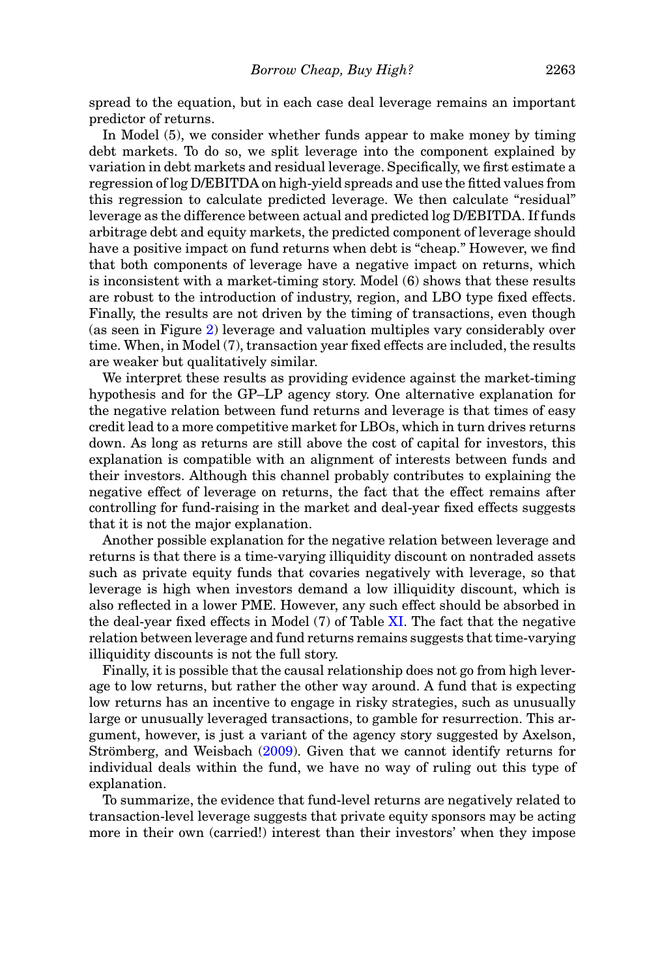spread to the equation, but in each case deal leverage remains an important predictor of returns.

In Model (5), we consider whether funds appear to make money by timing debt markets. To do so, we split leverage into the component explained by variation in debt markets and residual leverage. Specifically, we first estimate a regression of log D/EBITDA on high-yield spreads and use the fitted values from this regression to calculate predicted leverage. We then calculate "residual" leverage as the difference between actual and predicted log D/EBITDA. If funds arbitrage debt and equity markets, the predicted component of leverage should have a positive impact on fund returns when debt is "cheap." However, we find that both components of leverage have a negative impact on returns, which is inconsistent with a market-timing story. Model (6) shows that these results are robust to the introduction of industry, region, and LBO type fixed effects. Finally, the results are not driven by the timing of transactions, even though (as seen in Figure [2\)](#page-20-0) leverage and valuation multiples vary considerably over time. When, in Model (7), transaction year fixed effects are included, the results are weaker but qualitatively similar.

We interpret these results as providing evidence against the market-timing hypothesis and for the GP–LP agency story. One alternative explanation for the negative relation between fund returns and leverage is that times of easy credit lead to a more competitive market for LBOs, which in turn drives returns down. As long as returns are still above the cost of capital for investors, this explanation is compatible with an alignment of interests between funds and their investors. Although this channel probably contributes to explaining the negative effect of leverage on returns, the fact that the effect remains after controlling for fund-raising in the market and deal-year fixed effects suggests that it is not the major explanation.

Another possible explanation for the negative relation between leverage and returns is that there is a time-varying illiquidity discount on nontraded assets such as private equity funds that covaries negatively with leverage, so that leverage is high when investors demand a low illiquidity discount, which is also reflected in a lower PME. However, any such effect should be absorbed in the deal-year fixed effects in Model  $(7)$  of Table [XI.](#page-39-0) The fact that the negative relation between leverage and fund returns remains suggests that time-varying illiquidity discounts is not the full story.

Finally, it is possible that the causal relationship does not go from high leverage to low returns, but rather the other way around. A fund that is expecting low returns has an incentive to engage in risky strategies, such as unusually large or unusually leveraged transactions, to gamble for resurrection. This argument, however, is just a variant of the agency story suggested by Axelson, Strömberg, and Weisbach  $(2009)$  $(2009)$ . Given that we cannot identify returns for individual deals within the fund, we have no way of ruling out this type of explanation.

To summarize, the evidence that fund-level returns are negatively related to transaction-level leverage suggests that private equity sponsors may be acting more in their own (carried!) interest than their investors' when they impose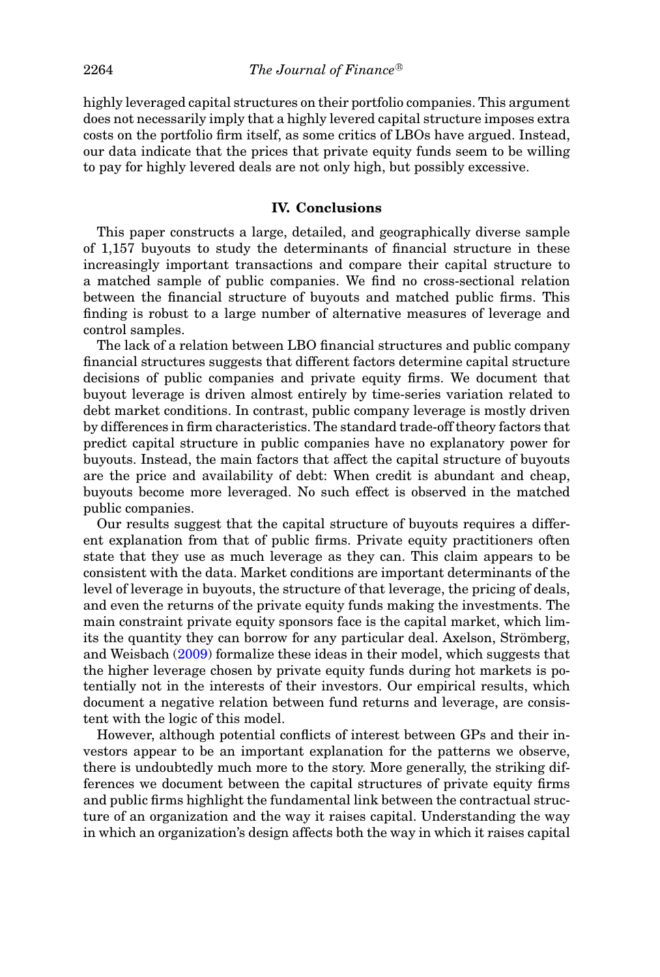highly leveraged capital structures on their portfolio companies. This argument does not necessarily imply that a highly levered capital structure imposes extra costs on the portfolio firm itself, as some critics of LBOs have argued. Instead, our data indicate that the prices that private equity funds seem to be willing to pay for highly levered deals are not only high, but possibly excessive.

#### **IV. Conclusions**

This paper constructs a large, detailed, and geographically diverse sample of 1,157 buyouts to study the determinants of financial structure in these increasingly important transactions and compare their capital structure to a matched sample of public companies. We find no cross-sectional relation between the financial structure of buyouts and matched public firms. This finding is robust to a large number of alternative measures of leverage and control samples.

The lack of a relation between LBO financial structures and public company financial structures suggests that different factors determine capital structure decisions of public companies and private equity firms. We document that buyout leverage is driven almost entirely by time-series variation related to debt market conditions. In contrast, public company leverage is mostly driven by differences in firm characteristics. The standard trade-off theory factors that predict capital structure in public companies have no explanatory power for buyouts. Instead, the main factors that affect the capital structure of buyouts are the price and availability of debt: When credit is abundant and cheap, buyouts become more leveraged. No such effect is observed in the matched public companies.

Our results suggest that the capital structure of buyouts requires a different explanation from that of public firms. Private equity practitioners often state that they use as much leverage as they can. This claim appears to be consistent with the data. Market conditions are important determinants of the level of leverage in buyouts, the structure of that leverage, the pricing of deals, and even the returns of the private equity funds making the investments. The main constraint private equity sponsors face is the capital market, which limits the quantity they can borrow for any particular deal. Axelson, Strömberg, and Weisbach [\(2009\)](#page-42-1) formalize these ideas in their model, which suggests that the higher leverage chosen by private equity funds during hot markets is potentially not in the interests of their investors. Our empirical results, which document a negative relation between fund returns and leverage, are consistent with the logic of this model.

However, although potential conflicts of interest between GPs and their investors appear to be an important explanation for the patterns we observe, there is undoubtedly much more to the story. More generally, the striking differences we document between the capital structures of private equity firms and public firms highlight the fundamental link between the contractual structure of an organization and the way it raises capital. Understanding the way in which an organization's design affects both the way in which it raises capital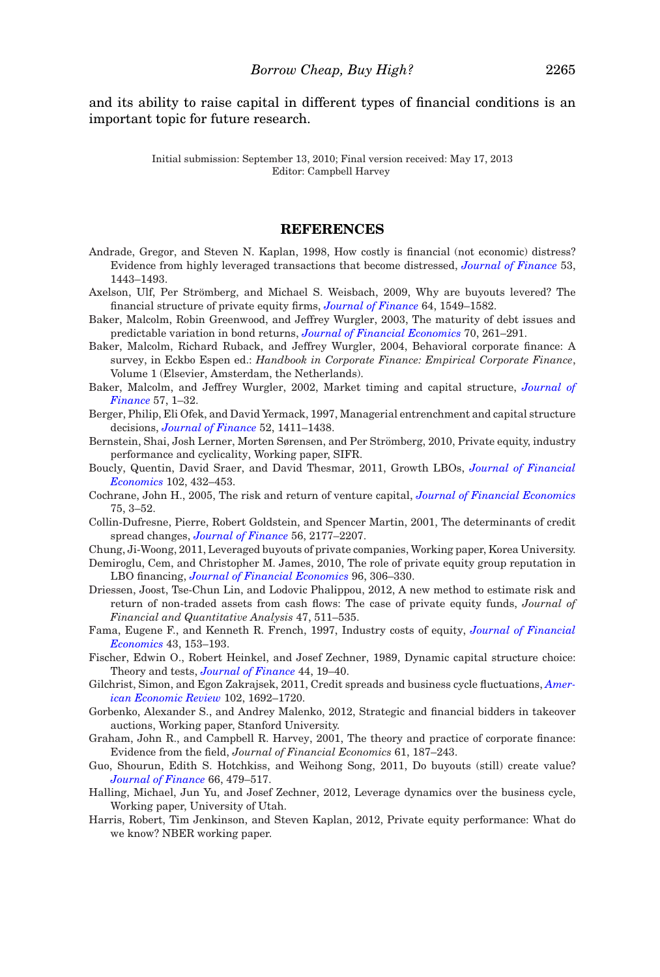and its ability to raise capital in different types of financial conditions is an important topic for future research.

> Initial submission: September 13, 2010; Final version received: May 17, 2013 Editor: Campbell Harvey

#### **REFERENCES**

- <span id="page-42-9"></span>Andrade, Gregor, and Steven N. Kaplan, 1998, How costly is financial (not economic) distress? Evidence from highly leveraged transactions that become distressed, *[Journal of Finance](http://dx.doi.org/10.1111/0022-1082.00062)* 53, 1443–1493.
- <span id="page-42-1"></span>Axelson, Ulf, Per Strömberg, and Michael S. Weisbach, 2009, Why are buyouts levered? The financial structure of private equity firms, *[Journal of Finance](http://dx.doi.org/10.1111/j.1540-6261.2009.01473.x)* 64, 1549–1582.
- <span id="page-42-14"></span>Baker, Malcolm, Robin Greenwood, and Jeffrey Wurgler, 2003, The maturity of debt issues and predictable variation in bond returns, *[Journal of Financial Economics](http://dx.doi.org/10.1016/S0304-405X(03)00147-8)* 70, 261–291.
- Baker, Malcolm, Richard Ruback, and Jeffrey Wurgler, 2004, Behavioral corporate finance: A survey, in Eckbo Espen ed.: *Handbook in Corporate Finance: Empirical Corporate Finance*, Volume 1 (Elsevier, Amsterdam, the Netherlands).
- <span id="page-42-12"></span>Baker, Malcolm, and Jeffrey Wurgler, 2002, Market timing and capital structure, *[Journal of](http://dx.doi.org/10.1111/1540-6261.00414) [Finance](http://dx.doi.org/10.1111/1540-6261.00414)* 57, 1–32.
- <span id="page-42-11"></span>Berger, Philip, Eli Ofek, and David Yermack, 1997, Managerial entrenchment and capital structure decisions, *[Journal of Finance](http://dx.doi.org/10.1111/j.1540-6261.1997.tb01115.x)* 52, 1411–1438.
- <span id="page-42-10"></span>Bernstein, Shai, Josh Lerner, Morten Sørensen, and Per Strömberg, 2010, Private equity, industry performance and cyclicality, Working paper, SIFR.
- <span id="page-42-6"></span>Boucly, Quentin, David Sraer, and David Thesmar, 2011, Growth LBOs, *[Journal of Financial](http://dx.doi.org/10.1016/j.jfineco.2011.05.014) [Economics](http://dx.doi.org/10.1016/j.jfineco.2011.05.014)* 102, 432–453.
- <span id="page-42-18"></span>Cochrane, John H., 2005, The risk and return of venture capital, *[Journal of Financial Economics](http://dx.doi.org/10.1016/j.jfineco.2004.03.006)* 75, 3–52.
- <span id="page-42-2"></span>Collin-Dufresne, Pierre, Robert Goldstein, and Spencer Martin, 2001, The determinants of credit spread changes, *[Journal of Finance](http://dx.doi.org/10.1111/0022-1082.00402)* 56, 2177–2207.
- <span id="page-42-7"></span>Chung, Ji-Woong, 2011, Leveraged buyouts of private companies, Working paper, Korea University.
- <span id="page-42-0"></span>Demiroglu, Cem, and Christopher M. James, 2010, The role of private equity group reputation in LBO financing, *[Journal of Financial Economics](http://dx.doi.org/10.1016/j.jfineco.2010.02.001)* 96, 306–330.
- <span id="page-42-19"></span>Driessen, Joost, Tse-Chun Lin, and Lodovic Phalippou, 2012, A new method to estimate risk and return of non-traded assets from cash flows: The case of private equity funds, *Journal of Financial and Quantitative Analysis* 47, 511–535.
- <span id="page-42-15"></span>Fama, Eugene F., and Kenneth R. French, 1997, Industry costs of equity, *[Journal of Financial](http://dx.doi.org/10.1016/S0304-405X(96)00896-3) [Economics](http://dx.doi.org/10.1016/S0304-405X(96)00896-3)* 43, 153–193.
- <span id="page-42-16"></span>Fischer, Edwin O., Robert Heinkel, and Josef Zechner, 1989, Dynamic capital structure choice: Theory and tests, *[Journal of Finance](http://dx.doi.org/10.1111/j.1540-6261.1989.tb02402.x)* 44, 19–40.
- <span id="page-42-3"></span>Gilchrist, Simon, and Egon Zakrajsek, 2011, Credit spreads and business cycle fluctuations, *[Amer](http://dx.doi.org/10.1257/aer.102.4.1692)[ican Economic Review](http://dx.doi.org/10.1257/aer.102.4.1692)* 102, 1692–1720.
- <span id="page-42-4"></span>Gorbenko, Alexander S., and Andrey Malenko, 2012, Strategic and financial bidders in takeover auctions, Working paper, Stanford University.
- <span id="page-42-13"></span>Graham, John R., and Campbell R. Harvey, 2001, The theory and practice of corporate finance: Evidence from the field, *Journal of Financial Economics* 61, 187–243.
- <span id="page-42-5"></span>Guo, Shourun, Edith S. Hotchkiss, and Weihong Song, 2011, Do buyouts (still) create value? *[Journal of Finance](http://dx.doi.org/10.1111/j.1540-6261.2010.01640.x)* 66, 479–517.
- <span id="page-42-17"></span>Halling, Michael, Jun Yu, and Josef Zechner, 2012, Leverage dynamics over the business cycle, Working paper, University of Utah.
- <span id="page-42-8"></span>Harris, Robert, Tim Jenkinson, and Steven Kaplan, 2012, Private equity performance: What do we know? NBER working paper.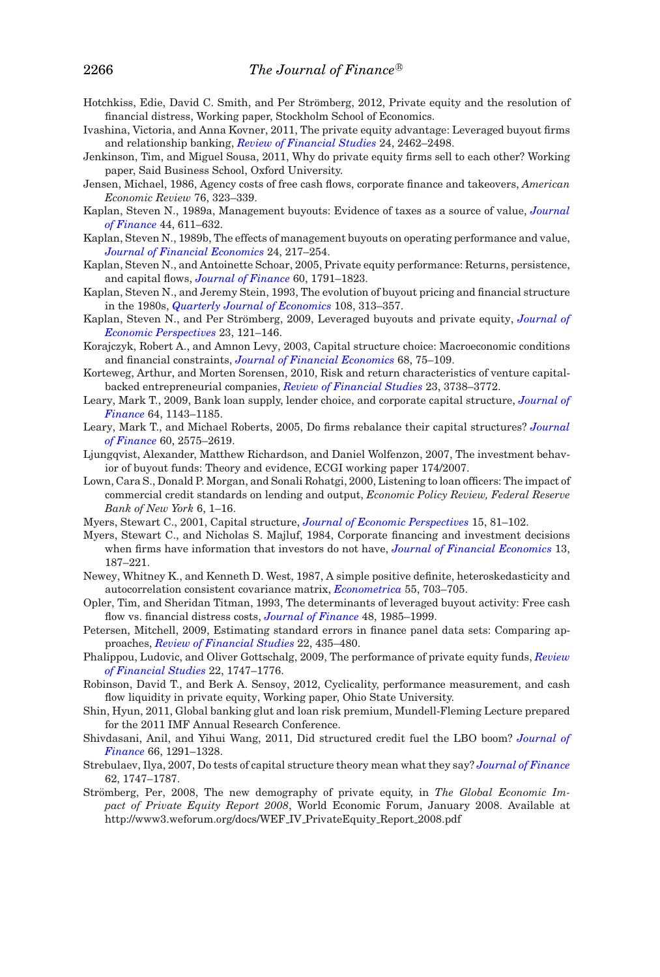- <span id="page-43-9"></span>Hotchkiss, Edie, David C. Smith, and Per Strömberg, 2012, Private equity and the resolution of financial distress, Working paper, Stockholm School of Economics.
- <span id="page-43-1"></span>Ivashina, Victoria, and Anna Kovner, 2011, The private equity advantage: Leveraged buyout firms and relationship banking, *[Review of Financial Studies](http://dx.doi.org/10.1093/rfs/hhr024)* 24, 2462–2498.
- <span id="page-43-6"></span>Jenkinson, Tim, and Miguel Sousa, 2011, Why do private equity firms sell to each other? Working paper, Said Business School, Oxford University.
- Jensen, Michael, 1986, Agency costs of free cash flows, corporate finance and takeovers, *American Economic Review* 76, 323–339.
- <span id="page-43-13"></span>Kaplan, Steven N., 1989a, Management buyouts: Evidence of taxes as a source of value, *[Journal](http://dx.doi.org/10.1111/j.1540-6261.1989.tb04381.x) [of Finance](http://dx.doi.org/10.1111/j.1540-6261.1989.tb04381.x)* 44, 611–632.
- <span id="page-43-14"></span>Kaplan, Steven N., 1989b, The effects of management buyouts on operating performance and value, *[Journal of Financial Economics](http://dx.doi.org/10.1016/0304-405X(89)90047-0)* 24, 217–254.
- <span id="page-43-7"></span>Kaplan, Steven N., and Antoinette Schoar, 2005, Private equity performance: Returns, persistence, and capital flows, *[Journal of Finance](http://dx.doi.org/10.1111/j.1540-6261.2005.00780.x)* 60, 1791–1823.
- <span id="page-43-4"></span>Kaplan, Steven N., and Jeremy Stein, 1993, The evolution of buyout pricing and financial structure in the 1980s, *[Quarterly Journal of Economics](http://dx.doi.org/10.2307/2118334)* 108, 313–357.
- <span id="page-43-0"></span>Kaplan, Steven N., and Per Strömberg, 2009, Leveraged buyouts and private equity, *[Journal of](http://dx.doi.org/10.1257/jep.23.1.121) [Economic Perspectives](http://dx.doi.org/10.1257/jep.23.1.121)* 23, 121–146.
- <span id="page-43-19"></span>Korajczyk, Robert A., and Amnon Levy, 2003, Capital structure choice: Macroeconomic conditions and financial constraints, *[Journal of Financial Economics](http://dx.doi.org/10.1016/S0304-405X(02)00249-0)* 68, 75–109.
- <span id="page-43-22"></span>Korteweg, Arthur, and Morten Sorensen, 2010, Risk and return characteristics of venture capitalbacked entrepreneurial companies, *[Review of Financial Studies](http://dx.doi.org/10.1093/rfs/hhq050)* 23, 3738–3772.
- <span id="page-43-2"></span>Leary, Mark T., 2009, Bank loan supply, lender choice, and corporate capital structure, *[Journal of](http://dx.doi.org/10.1111/j.1540-6261.2009.01461.x) [Finance](http://dx.doi.org/10.1111/j.1540-6261.2009.01461.x)* 64, 1143–1185.
- <span id="page-43-17"></span>Leary, Mark T., and Michael Roberts, 2005, Do firms rebalance their capital structures? *[Journal](http://dx.doi.org/10.1111/j.1540-6261.2005.00811.x) [of Finance](http://dx.doi.org/10.1111/j.1540-6261.2005.00811.x)* 60, 2575–2619.
- <span id="page-43-5"></span>Ljungqvist, Alexander, Matthew Richardson, and Daniel Wolfenzon, 2007, The investment behavior of buyout funds: Theory and evidence, ECGI working paper 174/2007.
- <span id="page-43-15"></span>Lown, Cara S., Donald P. Morgan, and Sonali Rohatgi, 2000, Listening to loan officers: The impact of commercial credit standards on lending and output, *Economic Policy Review, Federal Reserve Bank of New York* 6, 1–16.
- <span id="page-43-10"></span>Myers, Stewart C., 2001, Capital structure, *[Journal of Economic Perspectives](http://dx.doi.org/10.1257/jep.15.2.81)* 15, 81–102.
- <span id="page-43-11"></span>Myers, Stewart C., and Nicholas S. Majluf, 1984, Corporate financing and investment decisions when firms have information that investors do not have, *[Journal of Financial Economics](http://dx.doi.org/10.1016/0304-405X(84)90023-0)* 13, 187–221.
- <span id="page-43-21"></span>Newey, Whitney K., and Kenneth D. West, 1987, A simple positive definite, heteroskedasticity and autocorrelation consistent covariance matrix, *[Econometrica](http://dx.doi.org/10.2307/1913610)* 55, 703–705.
- <span id="page-43-18"></span>Opler, Tim, and Sheridan Titman, 1993, The determinants of leveraged buyout activity: Free cash flow vs. financial distress costs, *[Journal of Finance](http://dx.doi.org/10.1111/j.1540-6261.1993.tb05138.x)* 48, 1985–1999.
- <span id="page-43-24"></span>Petersen, Mitchell, 2009, Estimating standard errors in finance panel data sets: Comparing approaches, *[Review of Financial Studies](http://dx.doi.org/10.1093/rfs/hhn053)* 22, 435–480.
- <span id="page-43-8"></span>Phalippou, Ludovic, and Oliver Gottschalg, 2009, The performance of private equity funds, *[Review](http://dx.doi.org/10.1093/rfs/hhn014) [of Financial Studies](http://dx.doi.org/10.1093/rfs/hhn014)* 22, 1747–1776.
- <span id="page-43-23"></span>Robinson, David T., and Berk A. Sensoy, 2012, Cyclicality, performance measurement, and cash flow liquidity in private equity, Working paper, Ohio State University.
- <span id="page-43-3"></span>Shin, Hyun, 2011, Global banking glut and loan risk premium, Mundell-Fleming Lecture prepared for the 2011 IMF Annual Research Conference.
- <span id="page-43-20"></span>Shivdasani, Anil, and Yihui Wang, 2011, Did structured credit fuel the LBO boom? *[Journal of](http://dx.doi.org/10.1111/j.1540-6261.2011.01667.x) [Finance](http://dx.doi.org/10.1111/j.1540-6261.2011.01667.x)* 66, 1291–1328.
- <span id="page-43-16"></span>Strebulaev, Ilya, 2007, Do tests of capital structure theory mean what they say? *[Journal of Finance](http://dx.doi.org/10.1111/j.1540-6261.2007.01256.x)* 62, 1747–1787.
- <span id="page-43-12"></span>Strömberg, Per, 2008, The new demography of private equity, in *The Global Economic Impact of Private Equity Report 2008*, World Economic Forum, January 2008. Available at http://www3.weforum.org/docs/WEF IV PrivateEquity Report 2008.pdf